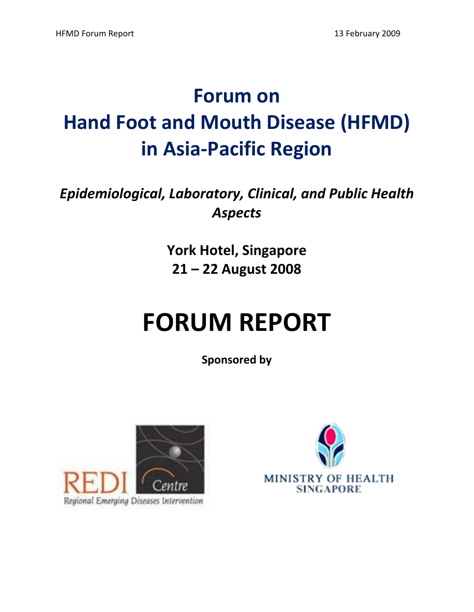# **Forum on Hand Foot and Mouth Disease (HFMD) in Asia‐Pacific Region**

# *Epidemiological, Laboratory, Clinical, and Public Health Aspects*

**York Hotel, Singapore 21 – 22 August 2008**

# **FORUM REPORT**

**Sponsored by**



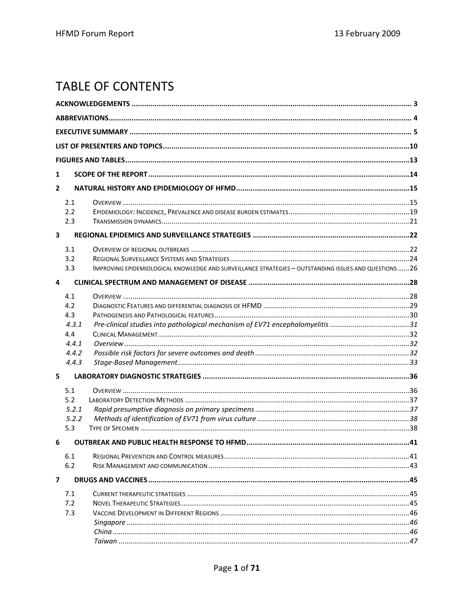# **TABLE OF CONTENTS**

| 1                        |                                                                                                        |  |
|--------------------------|--------------------------------------------------------------------------------------------------------|--|
| $\overline{2}$           |                                                                                                        |  |
| 2.1                      |                                                                                                        |  |
| 2.2                      |                                                                                                        |  |
| 2.3                      |                                                                                                        |  |
| $\overline{\mathbf{3}}$  |                                                                                                        |  |
| 3.1                      |                                                                                                        |  |
| 3.2                      |                                                                                                        |  |
| 3.3                      | IMPROVING EPIDEMIOLOGICAL KNOWLEDGE AND SURVEILLANCE STRATEGIES - OUTSTANDING ISSUES AND QUESTIONS  26 |  |
| 4                        |                                                                                                        |  |
| 4.1                      |                                                                                                        |  |
| 4.2                      |                                                                                                        |  |
| 4.3                      |                                                                                                        |  |
| 4.3.1                    |                                                                                                        |  |
| 4.4                      |                                                                                                        |  |
| 4.4.1                    |                                                                                                        |  |
| 4.4.2                    |                                                                                                        |  |
| 4.4.3                    |                                                                                                        |  |
| 5                        |                                                                                                        |  |
| 5.1                      |                                                                                                        |  |
| 5.2                      |                                                                                                        |  |
| 5.2.1                    |                                                                                                        |  |
| 5.2.2                    |                                                                                                        |  |
| 5.3                      |                                                                                                        |  |
| 6                        |                                                                                                        |  |
| 6.1                      |                                                                                                        |  |
| 6.2                      |                                                                                                        |  |
| $\overline{\phantom{a}}$ |                                                                                                        |  |
| 7.1                      |                                                                                                        |  |
| 7.2                      |                                                                                                        |  |
| 7.3                      |                                                                                                        |  |
|                          |                                                                                                        |  |
|                          |                                                                                                        |  |
|                          |                                                                                                        |  |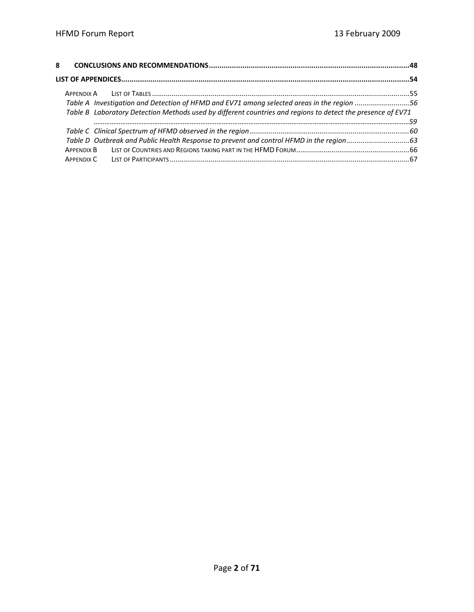| Table A Investigation and Detection of HFMD and EV71 among selected areas in the region 56                  |  |
|-------------------------------------------------------------------------------------------------------------|--|
| Table B Laboratory Detection Methods used by different countries and regions to detect the presence of EV71 |  |
|                                                                                                             |  |
|                                                                                                             |  |
|                                                                                                             |  |
|                                                                                                             |  |
|                                                                                                             |  |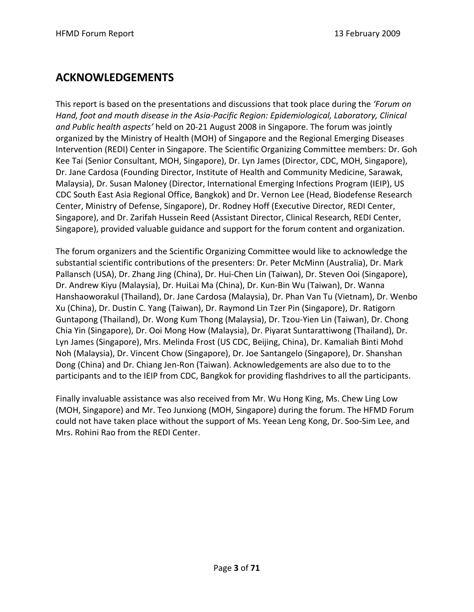## **ACKNOWLEDGEMENTS**

This report is based on the presentations and discussions that took place during the *'Forum on Hand, foot and mouth disease in the Asia‐Pacific Region: Epidemiological, Laboratory, Clinical and Public health aspects'* held on 20‐21 August 2008 in Singapore. The forum was jointly organized by the Ministry of Health (MOH) of Singapore and the Regional Emerging Diseases Intervention (REDI) Center in Singapore. The Scientific Organizing Committee members: Dr. Goh Kee Tai (Senior Consultant, MOH, Singapore), Dr. Lyn James (Director, CDC, MOH, Singapore), Dr. Jane Cardosa (Founding Director, Institute of Health and Community Medicine, Sarawak, Malaysia), Dr. Susan Maloney (Director, International Emerging Infections Program (IEIP), US CDC South East Asia Regional Office, Bangkok) and Dr. Vernon Lee (Head, Biodefense Research Center, Ministry of Defense, Singapore), Dr. Rodney Hoff (Executive Director, REDI Center, Singapore), and Dr. Zarifah Hussein Reed (Assistant Director, Clinical Research, REDI Center, Singapore), provided valuable guidance and support for the forum content and organization.

The forum organizers and the Scientific Organizing Committee would like to acknowledge the substantial scientific contributions of the presenters: Dr. Peter McMinn (Australia), Dr. Mark Pallansch (USA), Dr. Zhang Jing (China), Dr. Hui‐Chen Lin (Taiwan), Dr. Steven Ooi (Singapore), Dr. Andrew Kiyu (Malaysia), Dr. HuiLai Ma (China), Dr. Kun‐Bin Wu (Taiwan), Dr. Wanna Hanshaoworakul (Thailand), Dr. Jane Cardosa (Malaysia), Dr. Phan Van Tu (Vietnam), Dr. Wenbo Xu (China), Dr. Dustin C. Yang (Taiwan), Dr. Raymond Lin Tzer Pin (Singapore), Dr. Ratigorn Guntapong (Thailand), Dr. Wong Kum Thong (Malaysia), Dr. Tzou‐Yien Lin (Taiwan), Dr. Chong Chia Yin (Singapore), Dr. Ooi Mong How (Malaysia), Dr. Piyarat Suntarattiwong (Thailand), Dr. Lyn James (Singapore), Mrs. Melinda Frost (US CDC, Beijing, China), Dr. Kamaliah Binti Mohd Noh (Malaysia), Dr. Vincent Chow (Singapore), Dr. Joe Santangelo (Singapore), Dr. Shanshan Dong (China) and Dr. Chiang Jen‐Ron (Taiwan). Acknowledgements are also due to to the participants and to the IEIP from CDC, Bangkok for providing flashdrives to all the participants.

Finally invaluable assistance was also received from Mr. Wu Hong King, Ms. Chew Ling Low (MOH, Singapore) and Mr. Teo Junxiong (MOH, Singapore) during the forum. The HFMD Forum could not have taken place without the support of Ms. Yeean Leng Kong, Dr. Soo‐Sim Lee, and Mrs. Rohini Rao from the REDI Center.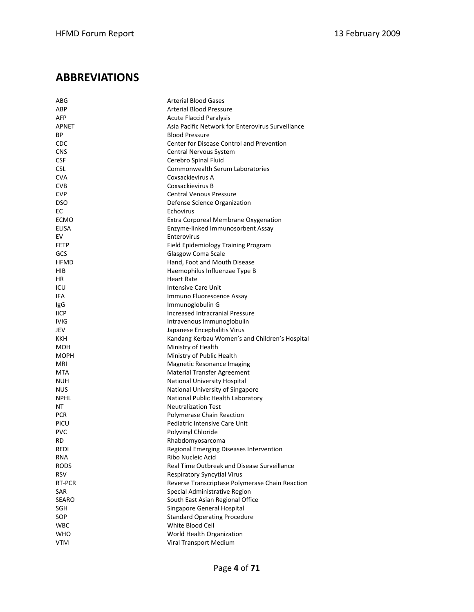# **ABBREVIATIONS**

| ABG          | <b>Arterial Blood Gases</b>                                          |
|--------------|----------------------------------------------------------------------|
| ABP          | Arterial Blood Pressure                                              |
| <b>AFP</b>   | <b>Acute Flaccid Paralysis</b>                                       |
| APNET        | Asia Pacific Network for Enterovirus Surveillance                    |
| ВP           | <b>Blood Pressure</b>                                                |
| CDC          | Center for Disease Control and Prevention                            |
| <b>CNS</b>   | <b>Central Nervous System</b>                                        |
| <b>CSF</b>   | Cerebro Spinal Fluid                                                 |
| <b>CSL</b>   | <b>Commonwealth Serum Laboratories</b>                               |
| <b>CVA</b>   | Coxsackievirus A                                                     |
| <b>CVB</b>   | Coxsackievirus B                                                     |
| <b>CVP</b>   | <b>Central Venous Pressure</b>                                       |
| <b>DSO</b>   | Defense Science Organization                                         |
| ЕC           | Echovirus                                                            |
| ECMO         | Extra Corporeal Membrane Oxygenation                                 |
| <b>ELISA</b> | Enzyme-linked Immunosorbent Assay                                    |
| EV           | Enterovirus                                                          |
| <b>FETP</b>  | Field Epidemiology Training Program                                  |
| GCS          | Glasgow Coma Scale                                                   |
| <b>HFMD</b>  | Hand, Foot and Mouth Disease                                         |
| HIB          | Haemophilus Influenzae Type B                                        |
| ΗR           | <b>Heart Rate</b>                                                    |
| ICU          | <b>Intensive Care Unit</b>                                           |
| IFA          | Immuno Fluorescence Assay                                            |
| IgG          | Immunoglobulin G                                                     |
| <b>IICP</b>  | <b>Increased Intracranial Pressure</b>                               |
| <b>IVIG</b>  |                                                                      |
| JEV          | Intravenous Immunoglobulin                                           |
| KKH          | Japanese Encephalitis Virus                                          |
| MOH          | Kandang Kerbau Women's and Children's Hospital<br>Ministry of Health |
|              |                                                                      |
| MOPH         | Ministry of Public Health                                            |
| MRI          | <b>Magnetic Resonance Imaging</b>                                    |
| MTA          | Material Transfer Agreement                                          |
| NUH          | National University Hospital                                         |
| <b>NUS</b>   | National University of Singapore                                     |
| <b>NPHL</b>  | National Public Health Laboratory                                    |
| NΤ           | <b>Neutralization Test</b>                                           |
| <b>PCR</b>   | Polymerase Chain Reaction                                            |
| PICU         | Pediatric Intensive Care Unit                                        |
| <b>PVC</b>   | Polyvinyl Chloride                                                   |
| RD           | Rhabdomyosarcoma                                                     |
| REDI         | Regional Emerging Diseases Intervention                              |
| RNA          | Ribo Nucleic Acid                                                    |
| <b>RODS</b>  | Real Time Outbreak and Disease Surveillance                          |
| <b>RSV</b>   | <b>Respiratory Syncytial Virus</b>                                   |
| RT-PCR       | Reverse Transcriptase Polymerase Chain Reaction                      |
| SAR          | Special Administrative Region                                        |
| <b>SEARO</b> | South East Asian Regional Office                                     |
| SGH          | Singapore General Hospital                                           |
| SOP          | <b>Standard Operating Procedure</b>                                  |
| <b>WBC</b>   | White Blood Cell                                                     |
| WHO          | World Health Organization                                            |
| <b>VTM</b>   | Viral Transport Medium                                               |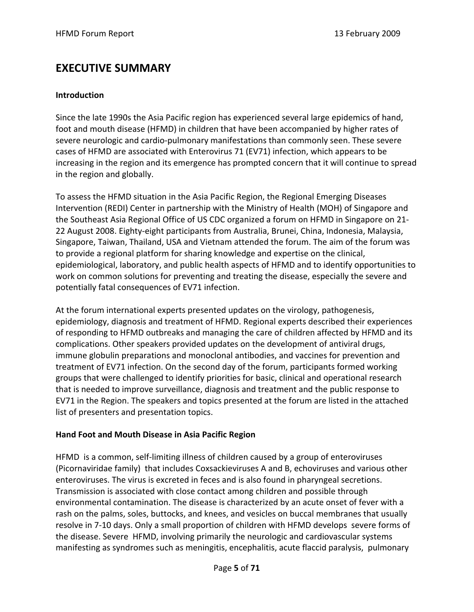# **EXECUTIVE SUMMARY**

#### **Introduction**

Since the late 1990s the Asia Pacific region has experienced several large epidemics of hand, foot and mouth disease (HFMD) in children that have been accompanied by higher rates of severe neurologic and cardio-pulmonary manifestations than commonly seen. These severe cases of HFMD are associated with Enterovirus 71 (EV71) infection, which appears to be increasing in the region and its emergence has prompted concern that it will continue to spread in the region and globally.

To assess the HFMD situation in the Asia Pacific Region, the Regional Emerging Diseases Intervention (REDI) Center in partnership with the Ministry of Health (MOH) of Singapore and the Southeast Asia Regional Office of US CDC organized a forum on HFMD in Singapore on 21‐ 22 August 2008. Eighty-eight participants from Australia, Brunei, China, Indonesia, Malaysia, Singapore, Taiwan, Thailand, USA and Vietnam attended the forum. The aim of the forum was to provide a regional platform for sharing knowledge and expertise on the clinical, epidemiological, laboratory, and public health aspects of HFMD and to identify opportunities to work on common solutions for preventing and treating the disease, especially the severe and potentially fatal consequences of EV71 infection.

At the forum international experts presented updates on the virology, pathogenesis, epidemiology, diagnosis and treatment of HFMD. Regional experts described their experiences of responding to HFMD outbreaks and managing the care of children affected by HFMD and its complications. Other speakers provided updates on the development of antiviral drugs, immune globulin preparations and monoclonal antibodies, and vaccines for prevention and treatment of EV71 infection. On the second day of the forum, participants formed working groups that were challenged to identify priorities for basic, clinical and operational research that is needed to improve surveillance, diagnosis and treatment and the public response to EV71 in the Region. The speakers and topics presented at the forum are listed in the attached list of presenters and presentation topics.

#### **Hand Foot and Mouth Disease in Asia Pacific Region**

HFMD is a common, self‐limiting illness of children caused by a group of enteroviruses (Picornaviridae family) that includes Coxsackieviruses A and B, echoviruses and various other enteroviruses. The virus is excreted in feces and is also found in pharyngeal secretions. Transmission is associated with close contact among children and possible through environmental contamination. The disease is characterized by an acute onset of fever with a rash on the palms, soles, buttocks, and knees, and vesicles on buccal membranes that usually resolve in 7‐10 days. Only a small proportion of children with HFMD develops severe forms of the disease. Severe HFMD, involving primarily the neurologic and cardiovascular systems manifesting as syndromes such as meningitis, encephalitis, acute flaccid paralysis, pulmonary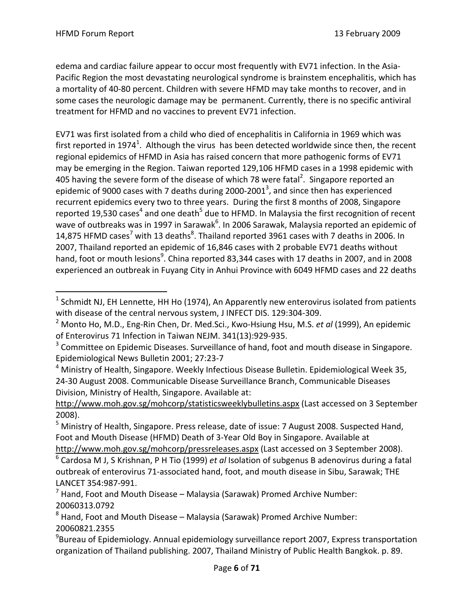$\overline{a}$ 

edema and cardiac failure appear to occur most frequently with EV71 infection. In the Asia‐ Pacific Region the most devastating neurological syndrome is brainstem encephalitis, which has a mortality of 40‐80 percent. Children with severe HFMD may take months to recover, and in some cases the neurologic damage may be permanent. Currently, there is no specific antiviral treatment for HFMD and no vaccines to prevent EV71 infection.

EV71 was first isolated from a child who died of encephalitis in California in 1969 which was first reported in 1974<sup>1</sup>. Although the virus has been detected worldwide since then, the recent regional epidemics of HFMD in Asia has raised concern that more pathogenic forms of EV71 may be emerging in the Region. Taiwan reported 129,106 HFMD cases in a 1998 epidemic with 405 having the severe form of the disease of which 78 were fatal<sup>2</sup>. Singapore reported an epidemic of 9000 cases with 7 deaths during 2000-2001<sup>3</sup>, and since then has experienced recurrent epidemics every two to three years. During the first 8 months of 2008, Singapore reported 19,530 cases<sup>4</sup> and one death<sup>5</sup> due to HFMD. In Malaysia the first recognition of recent wave of outbreaks was in 1997 in Sarawak<sup>6</sup>. In 2006 Sarawak, Malaysia reported an epidemic of 14,875 HFMD cases<sup>7</sup> with 13 deaths<sup>8</sup>. Thailand reported 3961 cases with 7 deaths in 2006. In 2007, Thailand reported an epidemic of 16,846 cases with 2 probable EV71 deaths without hand, foot or mouth lesions<sup>9</sup>. China reported 83,344 cases with 17 deaths in 2007, and in 2008 experienced an outbreak in Fuyang City in Anhui Province with 6049 HFMD cases and 22 deaths

 $1$  Schmidt NJ, EH Lennette, HH Ho (1974), An Apparently new enterovirus isolated from patients with disease of the central nervous system, J INFECT DIS. 129:304‐309.

<sup>2</sup> Monto Ho, M.D., Eng‐Rin Chen, Dr. Med.Sci., Kwo‐Hsiung Hsu, M.S. *et al* (1999), An epidemic of Enterovirus 71 Infection in Taiwan NEJM. 341(13):929‐935.

<sup>&</sup>lt;sup>3</sup> Committee on Epidemic Diseases. Surveillance of hand, foot and mouth disease in Singapore. Epidemiological News Bulletin 2001; 27:23‐7

<sup>&</sup>lt;sup>4</sup> Ministry of Health, Singapore. Weekly Infectious Disease Bulletin. Epidemiological Week 35, 24‐30 August 2008. Communicable Disease Surveillance Branch, Communicable Diseases Division, Ministry of Health, Singapore. Available at:

http://www.moh.gov.sg/mohcorp/statisticsweeklybulletins.aspx (Last accessed on 3 September 2008).

<sup>&</sup>lt;sup>5</sup> Ministry of Health, Singapore. Press release, date of issue: 7 August 2008. Suspected Hand, Foot and Mouth Disease (HFMD) Death of 3‐Year Old Boy in Singapore. Available at http://www.moh.gov.sg/mohcorp/pressreleases.aspx (Last accessed on 3 September 2008).

<sup>6</sup> Cardosa M J, S Krishnan, P H Tio (1999) *et al* Isolation of subgenus B adenovirus during a fatal outbreak of enterovirus 71‐associated hand, foot, and mouth disease in Sibu, Sarawak; THE LANCET 354:987‐991.

 $<sup>7</sup>$  Hand, Foot and Mouth Disease – Malaysia (Sarawak) Promed Archive Number:</sup> 20060313.0792

 $8$  Hand, Foot and Mouth Disease – Malaysia (Sarawak) Promed Archive Number: 20060821.2355

<sup>&</sup>lt;sup>9</sup>Bureau of Epidemiology. Annual epidemiology surveillance report 2007, Express transportation organization of Thailand publishing. 2007, Thailand Ministry of Public Health Bangkok. p. 89.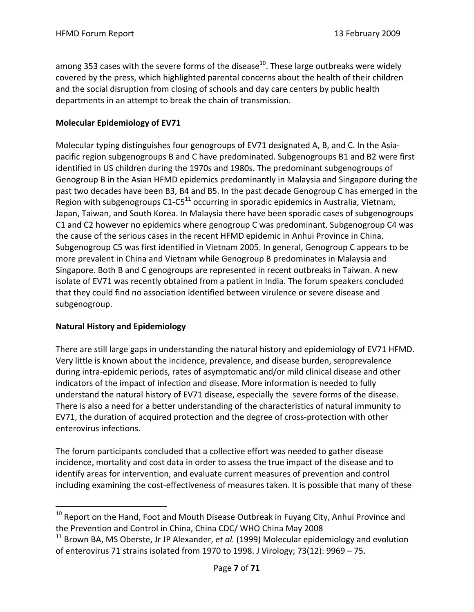among 353 cases with the severe forms of the disease<sup>10</sup>. These large outbreaks were widely covered by the press, which highlighted parental concerns about the health of their children and the social disruption from closing of schools and day care centers by public health departments in an attempt to break the chain of transmission.

## **Molecular Epidemiology of EV71**

Molecular typing distinguishes four genogroups of EV71 designated A, B, and C. In the Asiapacific region subgenogroups B and C have predominated. Subgenogroups B1 and B2 were first identified in US children during the 1970s and 1980s. The predominant subgenogroups of Genogroup B in the Asian HFMD epidemics predominantly in Malaysia and Singapore during the past two decades have been B3, B4 and B5. In the past decade Genogroup C has emerged in the Region with subgenogroups  $C1-C5^{11}$  occurring in sporadic epidemics in Australia, Vietnam, Japan, Taiwan, and South Korea. In Malaysia there have been sporadic cases of subgenogroups C1 and C2 however no epidemics where genogroup C was predominant. Subgenogroup C4 was the cause of the serious cases in the recent HFMD epidemic in Anhui Province in China. Subgenogroup C5 was first identified in Vietnam 2005. In general, Genogroup C appears to be more prevalent in China and Vietnam while Genogroup B predominates in Malaysia and Singapore. Both B and C genogroups are represented in recent outbreaks in Taiwan. A new isolate of EV71 was recently obtained from a patient in India. The forum speakers concluded that they could find no association identified between virulence or severe disease and subgenogroup.

## **Natural History and Epidemiology**

 $\overline{a}$ 

There are still large gaps in understanding the natural history and epidemiology of EV71 HFMD. Very little is known about the incidence, prevalence, and disease burden, seroprevalence during intra‐epidemic periods, rates of asymptomatic and/or mild clinical disease and other indicators of the impact of infection and disease. More information is needed to fully understand the natural history of EV71 disease, especially the severe forms of the disease. There is also a need for a better understanding of the characteristics of natural immunity to EV71, the duration of acquired protection and the degree of cross‐protection with other enterovirus infections.

The forum participants concluded that a collective effort was needed to gather disease incidence, mortality and cost data in order to assess the true impact of the disease and to identify areas for intervention, and evaluate current measures of prevention and control including examining the cost‐effectiveness of measures taken. It is possible that many of these

 $10$  Report on the Hand, Foot and Mouth Disease Outbreak in Fuyang City, Anhui Province and the Prevention and Control in China, China CDC/ WHO China May 2008

<sup>11</sup> Brown BA, MS Oberste, Jr JP Alexander, *et al.* (1999) Molecular epidemiology and evolution of enterovirus 71 strains isolated from 1970 to 1998. J Virology; 73(12): 9969 – 75.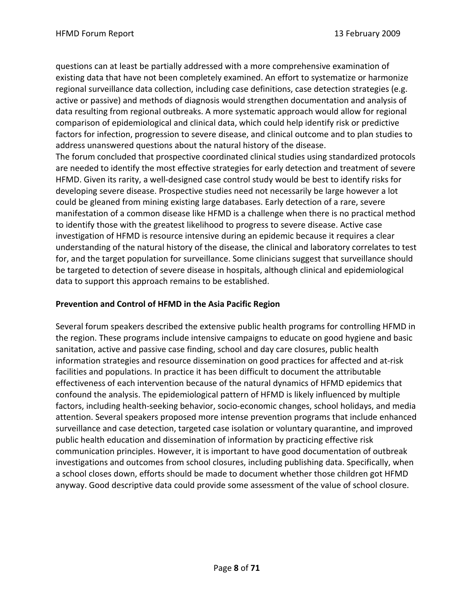questions can at least be partially addressed with a more comprehensive examination of existing data that have not been completely examined. An effort to systematize or harmonize regional surveillance data collection, including case definitions, case detection strategies (e.g. active or passive) and methods of diagnosis would strengthen documentation and analysis of data resulting from regional outbreaks. A more systematic approach would allow for regional comparison of epidemiological and clinical data, which could help identify risk or predictive factors for infection, progression to severe disease, and clinical outcome and to plan studies to address unanswered questions about the natural history of the disease.

The forum concluded that prospective coordinated clinical studies using standardized protocols are needed to identify the most effective strategies for early detection and treatment of severe HFMD. Given its rarity, a well‐designed case control study would be best to identify risks for developing severe disease. Prospective studies need not necessarily be large however a lot could be gleaned from mining existing large databases. Early detection of a rare, severe manifestation of a common disease like HFMD is a challenge when there is no practical method to identify those with the greatest likelihood to progress to severe disease. Active case investigation of HFMD is resource intensive during an epidemic because it requires a clear understanding of the natural history of the disease, the clinical and laboratory correlates to test for, and the target population for surveillance. Some clinicians suggest that surveillance should be targeted to detection of severe disease in hospitals, although clinical and epidemiological data to support this approach remains to be established.

## **Prevention and Control of HFMD in the Asia Pacific Region**

Several forum speakers described the extensive public health programs for controlling HFMD in the region. These programs include intensive campaigns to educate on good hygiene and basic sanitation, active and passive case finding, school and day care closures, public health information strategies and resource dissemination on good practices for affected and at‐risk facilities and populations. In practice it has been difficult to document the attributable effectiveness of each intervention because of the natural dynamics of HFMD epidemics that confound the analysis. The epidemiological pattern of HFMD is likely influenced by multiple factors, including health‐seeking behavior, socio‐economic changes, school holidays, and media attention. Several speakers proposed more intense prevention programs that include enhanced surveillance and case detection, targeted case isolation or voluntary quarantine, and improved public health education and dissemination of information by practicing effective risk communication principles. However, it is important to have good documentation of outbreak investigations and outcomes from school closures, including publishing data. Specifically, when a school closes down, efforts should be made to document whether those children got HFMD anyway. Good descriptive data could provide some assessment of the value of school closure.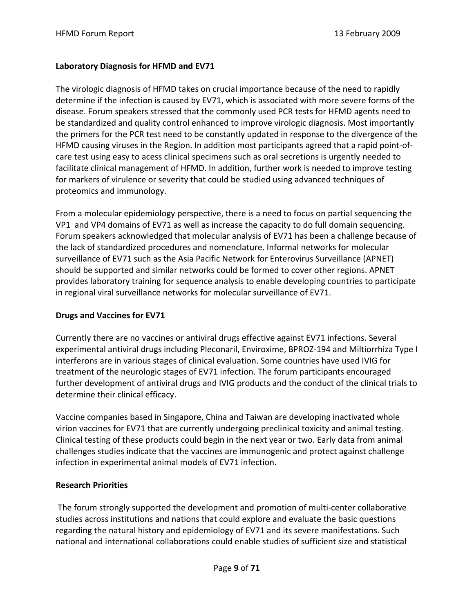## **Laboratory Diagnosis for HFMD and EV71**

The virologic diagnosis of HFMD takes on crucial importance because of the need to rapidly determine if the infection is caused by EV71, which is associated with more severe forms of the disease. Forum speakers stressed that the commonly used PCR tests for HFMD agents need to be standardized and quality control enhanced to improve virologic diagnosis. Most importantly the primers for the PCR test need to be constantly updated in response to the divergence of the HFMD causing viruses in the Region. In addition most participants agreed that a rapid point‐of‐ care test using easy to acess clinical specimens such as oral secretions is urgently needed to facilitate clinical management of HFMD. In addition, further work is needed to improve testing for markers of virulence or severity that could be studied using advanced techniques of proteomics and immunology.

From a molecular epidemiology perspective, there is a need to focus on partial sequencing the VP1 and VP4 domains of EV71 as well as increase the capacity to do full domain sequencing. Forum speakers acknowledged that molecular analysis of EV71 has been a challenge because of the lack of standardized procedures and nomenclature. Informal networks for molecular surveillance of EV71 such as the Asia Pacific Network for Enterovirus Surveillance (APNET) should be supported and similar networks could be formed to cover other regions. APNET provides laboratory training for sequence analysis to enable developing countries to participate in regional viral surveillance networks for molecular surveillance of EV71.

## **Drugs and Vaccines for EV71**

Currently there are no vaccines or antiviral drugs effective against EV71 infections. Several experimental antiviral drugs including Pleconaril, Enviroxime, BPROZ‐194 and Miltiorrhiza Type I interferons are in various stages of clinical evaluation. Some countries have used IVIG for treatment of the neurologic stages of EV71 infection. The forum participants encouraged further development of antiviral drugs and IVIG products and the conduct of the clinical trials to determine their clinical efficacy.

Vaccine companies based in Singapore, China and Taiwan are developing inactivated whole virion vaccines for EV71 that are currently undergoing preclinical toxicity and animal testing. Clinical testing of these products could begin in the next year or two. Early data from animal challenges studies indicate that the vaccines are immunogenic and protect against challenge infection in experimental animal models of EV71 infection.

## **Research Priorities**

The forum strongly supported the development and promotion of multi-center collaborative studies across institutions and nations that could explore and evaluate the basic questions regarding the natural history and epidemiology of EV71 and its severe manifestations. Such national and international collaborations could enable studies of sufficient size and statistical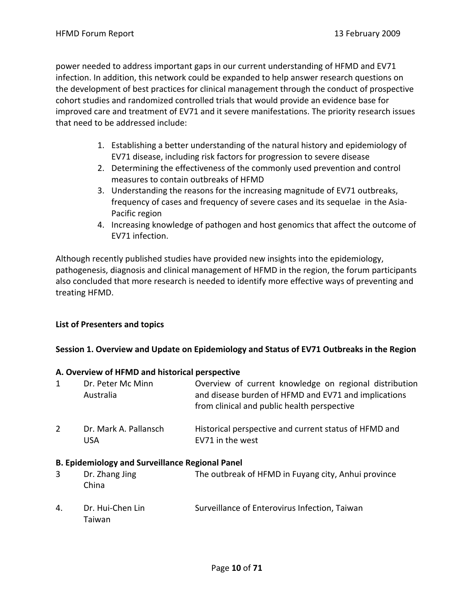power needed to address important gaps in our current understanding of HFMD and EV71 infection. In addition, this network could be expanded to help answer research questions on the development of best practices for clinical management through the conduct of prospective cohort studies and randomized controlled trials that would provide an evidence base for improved care and treatment of EV71 and it severe manifestations. The priority research issues that need to be addressed include:

- 1. Establishing a better understanding of the natural history and epidemiology of EV71 disease, including risk factors for progression to severe disease
- 2. Determining the effectiveness of the commonly used prevention and control measures to contain outbreaks of HFMD
- 3. Understanding the reasons for the increasing magnitude of EV71 outbreaks, frequency of cases and frequency of severe cases and its sequelae in the Asia‐ Pacific region
- 4. Increasing knowledge of pathogen and host genomics that affect the outcome of EV71 infection.

Although recently published studies have provided new insights into the epidemiology, pathogenesis, diagnosis and clinical management of HFMD in the region, the forum participants also concluded that more research is needed to identify more effective ways of preventing and treating HFMD.

## **List of Presenters and topics**

## **Session 1. Overview and Update on Epidemiology and Status of EV71 Outbreaks in the Region**

## **A. Overview of HFMD and historical perspective**

| 1              | Dr. Peter Mc Minn<br>Australia                         | Overview of current knowledge on regional distribution<br>and disease burden of HFMD and EV71 and implications<br>from clinical and public health perspective |
|----------------|--------------------------------------------------------|---------------------------------------------------------------------------------------------------------------------------------------------------------------|
| $\overline{2}$ | Dr. Mark A. Pallansch<br>USA                           | Historical perspective and current status of HFMD and<br>EV71 in the west                                                                                     |
|                | <b>B. Epidemiology and Surveillance Regional Panel</b> |                                                                                                                                                               |
| 3              | Dr. Zhang Jing<br>China                                | The outbreak of HFMD in Fuyang city, Anhui province                                                                                                           |

4. Dr. Hui-Chen Lin Surveillance of Enterovirus Infection, Taiwan Taiwan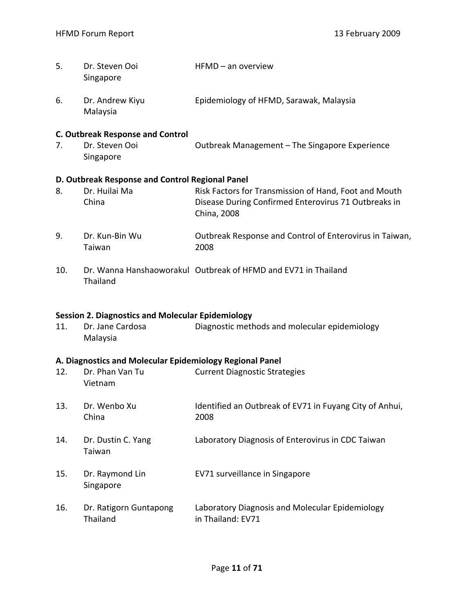| 5. | Dr. Steven Ooi<br>Singapore                     | HFMD – an overview                                                  |
|----|-------------------------------------------------|---------------------------------------------------------------------|
| 6. | Dr. Andrew Kiyu<br>Malaysia                     | Epidemiology of HFMD, Sarawak, Malaysia                             |
|    | <b>C. Outbreak Response and Control</b>         |                                                                     |
| 7. | Dr. Steven Ooi<br>Singapore                     | Outbreak Management – The Singapore Experience                      |
|    | D. Outbreak Response and Control Regional Panel |                                                                     |
| 8. | Dr. Huilai Ma                                   | Risk Factors for Transmission of Hand, Foot and Mouth               |
|    | China                                           | Disease During Confirmed Enterovirus 71 Outbreaks in<br>China, 2008 |
| 9. | Dr. Kun-Bin Wu<br>Taiwan                        | Outbreak Response and Control of Enterovirus in Taiwan,<br>2008     |
|    |                                                 |                                                                     |

10. Dr. Wanna Hanshaoworakul Outbreak of HFMD and EV71 in Thailand Thailand

#### **Session 2. Diagnostics and Molecular Epidemiology**

11. Dr. Jane Cardosa **Diagnostic methods and molecular epidemiology** Malaysia

## **A. Diagnostics and Molecular Epidemiology Regional Panel**

| 12. | Dr. Phan Van Tu<br>Vietnam         | <b>Current Diagnostic Strategies</b>                                 |
|-----|------------------------------------|----------------------------------------------------------------------|
| 13. | Dr. Wenbo Xu<br>China              | Identified an Outbreak of EV71 in Fuyang City of Anhui,<br>2008      |
| 14. | Dr. Dustin C. Yang<br>Taiwan       | Laboratory Diagnosis of Enterovirus in CDC Taiwan                    |
| 15. | Dr. Raymond Lin<br>Singapore       | EV71 surveillance in Singapore                                       |
| 16. | Dr. Ratigorn Guntapong<br>Thailand | Laboratory Diagnosis and Molecular Epidemiology<br>in Thailand: EV71 |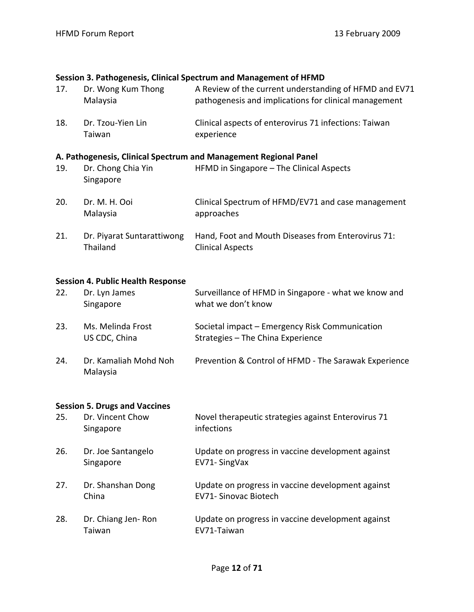#### **Session 3. Pathogenesis, Clinical Spectrum and Management of HFMD**

| 17. | Dr. Wong Kum Thong<br>Malaysia         | A Review of the current understanding of HFMD and EV71<br>pathogenesis and implications for clinical management |
|-----|----------------------------------------|-----------------------------------------------------------------------------------------------------------------|
| 18. | Dr. Tzou-Yien Lin<br>Taiwan            | Clinical aspects of enterovirus 71 infections: Taiwan<br>experience                                             |
|     |                                        | A. Pathogenesis, Clinical Spectrum and Management Regional Panel                                                |
| 19. | Dr. Chong Chia Yin<br>Singapore        | HFMD in Singapore - The Clinical Aspects                                                                        |
| 20. | Dr. M. H. Ooi<br>Malaysia              | Clinical Spectrum of HFMD/EV71 and case management<br>approaches                                                |
| 21. | Dr. Piyarat Suntarattiwong<br>Thailand | Hand, Foot and Mouth Diseases from Enterovirus 71:<br><b>Clinical Aspects</b>                                   |

#### **Session 4. Public Health Response**

| 22. | Dr. Lyn James<br>Singapore           | Surveillance of HFMD in Singapore - what we know and<br>what we don't know          |
|-----|--------------------------------------|-------------------------------------------------------------------------------------|
| 23. | Ms. Melinda Frost<br>US CDC, China   | Societal impact – Emergency Risk Communication<br>Strategies - The China Experience |
| 24. | Dr. Kamaliah Mohd Noh<br>Malaysia    | Prevention & Control of HFMD - The Sarawak Experience                               |
|     | <b>Session 5. Drugs and Vaccines</b> |                                                                                     |
| 25. | Dr. Vincent Chow<br>Singapore        | Novel therapeutic strategies against Enterovirus 71<br>infections                   |
| 26. | Dr. Joe Santangelo<br>Singapore      | Update on progress in vaccine development against<br>EV71- SingVax                  |

- 27. Dr. Shanshan Dong Update on progress in vaccine development against China EV71‐ Sinovac Biotech
- 28. Dr. Chiang Jen-Ron Update on progress in vaccine development against Taiwan EV71‐Taiwan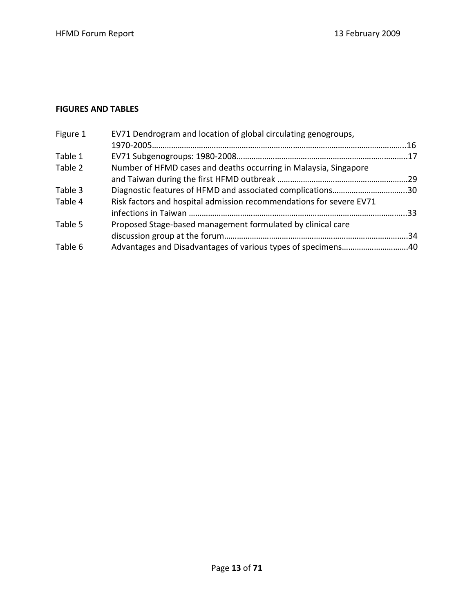#### **FIGURES AND TABLES**

| Figure 1 | EV71 Dendrogram and location of global circulating genogroups,      |  |
|----------|---------------------------------------------------------------------|--|
|          |                                                                     |  |
| Table 1  |                                                                     |  |
| Table 2  | Number of HFMD cases and deaths occurring in Malaysia, Singapore    |  |
|          |                                                                     |  |
| Table 3  | Diagnostic features of HFMD and associated complications30          |  |
| Table 4  | Risk factors and hospital admission recommendations for severe EV71 |  |
|          |                                                                     |  |
| Table 5  | Proposed Stage-based management formulated by clinical care         |  |
|          |                                                                     |  |
| Table 6  |                                                                     |  |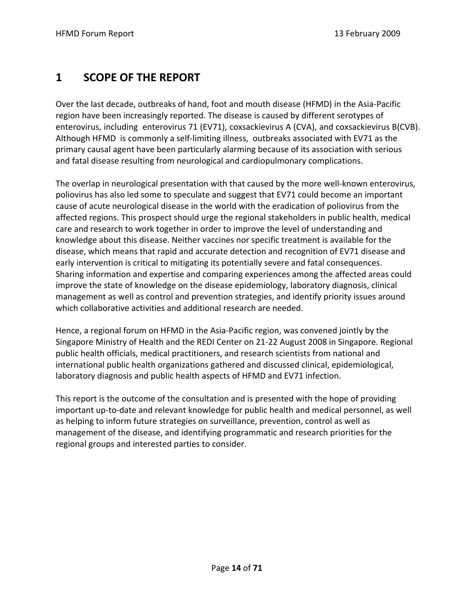# **1 SCOPE OF THE REPORT**

Over the last decade, outbreaks of hand, foot and mouth disease (HFMD) in the Asia‐Pacific region have been increasingly reported. The disease is caused by different serotypes of enterovirus, including enterovirus 71 (EV71), coxsackievirus A (CVA), and coxsackievirus B(CVB). Although HFMD is commonly a self‐limiting illness, outbreaks associated with EV71 as the primary causal agent have been particularly alarming because of its association with serious and fatal disease resulting from neurological and cardiopulmonary complications.

The overlap in neurological presentation with that caused by the more well‐known enterovirus, poliovirus has also led some to speculate and suggest that EV71 could become an important cause of acute neurological disease in the world with the eradication of poliovirus from the affected regions. This prospect should urge the regional stakeholders in public health, medical care and research to work together in order to improve the level of understanding and knowledge about this disease. Neither vaccines nor specific treatment is available for the disease, which means that rapid and accurate detection and recognition of EV71 disease and early intervention is critical to mitigating its potentially severe and fatal consequences. Sharing information and expertise and comparing experiences among the affected areas could improve the state of knowledge on the disease epidemiology, laboratory diagnosis, clinical management as well as control and prevention strategies, and identify priority issues around which collaborative activities and additional research are needed.

Hence, a regional forum on HFMD in the Asia‐Pacific region, was convened jointly by the Singapore Ministry of Health and the REDI Center on 21‐22 August 2008 in Singapore. Regional public health officials, medical practitioners, and research scientists from national and international public health organizations gathered and discussed clinical, epidemiological, laboratory diagnosis and public health aspects of HFMD and EV71 infection.

This report is the outcome of the consultation and is presented with the hope of providing important up‐to‐date and relevant knowledge for public health and medical personnel, as well as helping to inform future strategies on surveillance, prevention, control as well as management of the disease, and identifying programmatic and research priorities for the regional groups and interested parties to consider.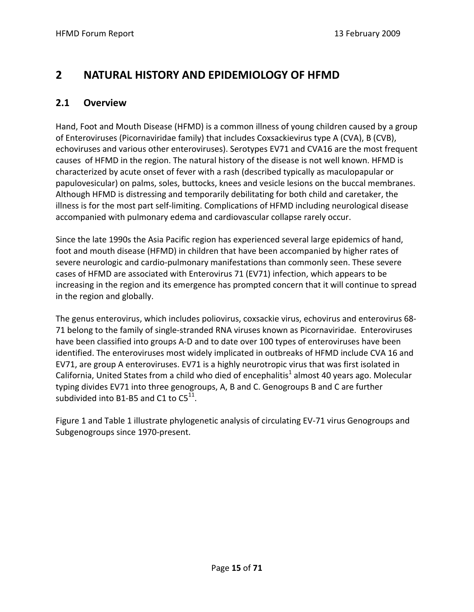# **2 NATURAL HISTORY AND EPIDEMIOLOGY OF HFMD**

## **2.1 Overview**

Hand, Foot and Mouth Disease (HFMD) is a common illness of young children caused by a group of Enteroviruses (Picornaviridae family) that includes Coxsackievirus type A (CVA), B (CVB), echoviruses and various other enteroviruses). Serotypes EV71 and CVA16 are the most frequent causes of HFMD in the region. The natural history of the disease is not well known. HFMD is characterized by acute onset of fever with a rash (described typically as maculopapular or papulovesicular) on palms, soles, buttocks, knees and vesicle lesions on the buccal membranes. Although HFMD is distressing and temporarily debilitating for both child and caretaker, the illness is for the most part self‐limiting. Complications of HFMD including neurological disease accompanied with pulmonary edema and cardiovascular collapse rarely occur.

Since the late 1990s the Asia Pacific region has experienced several large epidemics of hand, foot and mouth disease (HFMD) in children that have been accompanied by higher rates of severe neurologic and cardio‐pulmonary manifestations than commonly seen. These severe cases of HFMD are associated with Enterovirus 71 (EV71) infection, which appears to be increasing in the region and its emergence has prompted concern that it will continue to spread in the region and globally.

The genus enterovirus, which includes poliovirus, coxsackie virus, echovirus and enterovirus 68‐ 71 belong to the family of single‐stranded RNA viruses known as Picornaviridae. Enteroviruses have been classified into groups A‐D and to date over 100 types of enteroviruses have been identified. The enteroviruses most widely implicated in outbreaks of HFMD include CVA 16 and EV71, are group A enteroviruses. EV71 is a highly neurotropic virus that was first isolated in California, United States from a child who died of encephalitis<sup>1</sup> almost 40 years ago. Molecular typing divides EV71 into three genogroups, A, B and C. Genogroups B and C are further subdivided into B1-B5 and C1 to  $C5^{11}$ .

Figure 1 and Table 1 illustrate phylogenetic analysis of circulating EV‐71 virus Genogroups and Subgenogroups since 1970‐present.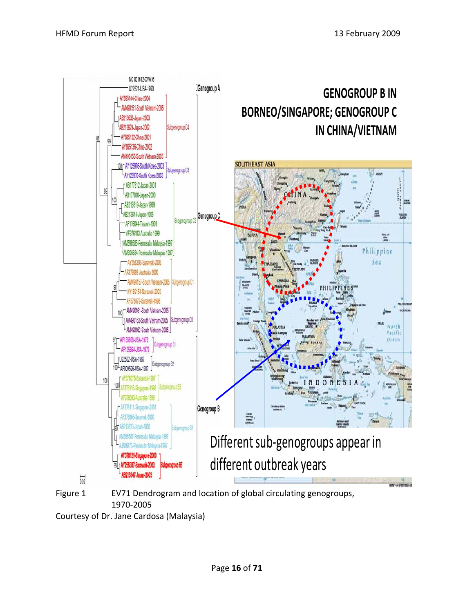

Figure 1 EV71 Dendrogram and location of global circulating genogroups, 1970‐2005

Courtesy of Dr. Jane Cardosa (Malaysia)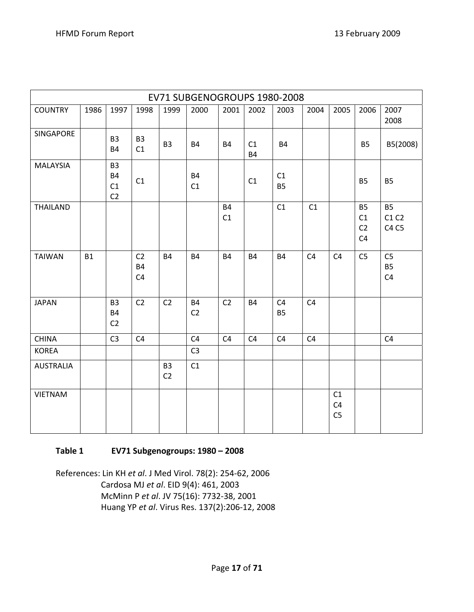| EV71 SUBGENOGROUPS 1980-2008 |           |                                                     |                                               |                                  |                             |                 |                 |                             |                |                                        |                                         |                                               |
|------------------------------|-----------|-----------------------------------------------------|-----------------------------------------------|----------------------------------|-----------------------------|-----------------|-----------------|-----------------------------|----------------|----------------------------------------|-----------------------------------------|-----------------------------------------------|
| <b>COUNTRY</b>               | 1986      | 1997                                                | 1998                                          | 1999                             | 2000                        | 2001            | 2002            | 2003                        | 2004           | 2005                                   | 2006                                    | 2007<br>2008                                  |
| SINGAPORE                    |           | B <sub>3</sub><br><b>B4</b>                         | B <sub>3</sub><br>C1                          | B <sub>3</sub>                   | <b>B4</b>                   | <b>B4</b>       | C1<br><b>B4</b> | <b>B4</b>                   |                |                                        | <b>B5</b>                               | B5(2008)                                      |
| <b>MALAYSIA</b>              |           | B <sub>3</sub><br><b>B4</b><br>C1<br>C <sub>2</sub> | C1                                            |                                  | <b>B4</b><br>C1             |                 | C1              | C1<br><b>B5</b>             |                |                                        | <b>B5</b>                               | <b>B5</b>                                     |
| <b>THAILAND</b>              |           |                                                     |                                               |                                  |                             | <b>B4</b><br>C1 |                 | C1                          | C1             |                                        | <b>B5</b><br>C1<br>C <sub>2</sub><br>C4 | <b>B5</b><br>C1 C2<br>C4 C5                   |
| <b>TAIWAN</b>                | <b>B1</b> |                                                     | C <sub>2</sub><br><b>B4</b><br>C <sub>4</sub> | <b>B4</b>                        | <b>B4</b>                   | <b>B4</b>       | <b>B4</b>       | <b>B4</b>                   | C <sub>4</sub> | C <sub>4</sub>                         | C <sub>5</sub>                          | C <sub>5</sub><br><b>B5</b><br>C <sub>4</sub> |
| <b>JAPAN</b>                 |           | B <sub>3</sub><br><b>B4</b><br>C <sub>2</sub>       | C <sub>2</sub>                                | C <sub>2</sub>                   | <b>B4</b><br>C <sub>2</sub> | C <sub>2</sub>  | <b>B4</b>       | C <sub>4</sub><br><b>B5</b> | C <sub>4</sub> |                                        |                                         |                                               |
| <b>CHINA</b>                 |           | C <sub>3</sub>                                      | C <sub>4</sub>                                |                                  | C4                          | C <sub>4</sub>  | C4              | C <sub>4</sub>              | C <sub>4</sub> |                                        |                                         | C <sub>4</sub>                                |
| <b>KOREA</b>                 |           |                                                     |                                               |                                  | C <sub>3</sub>              |                 |                 |                             |                |                                        |                                         |                                               |
| <b>AUSTRALIA</b>             |           |                                                     |                                               | B <sub>3</sub><br>C <sub>2</sub> | C1                          |                 |                 |                             |                |                                        |                                         |                                               |
| <b>VIETNAM</b>               |           |                                                     |                                               |                                  |                             |                 |                 |                             |                | C1<br>C <sub>4</sub><br>C <sub>5</sub> |                                         |                                               |

## **Table 1 EV71 Subgenogroups: 1980 – 2008**

References: Lin KH *et al*. J Med Virol. 78(2): 254‐62, 2006 Cardosa MJ *et al*. EID 9(4): 461, 2003 McMinn P *et al*. JV 75(16): 7732‐38, 2001 Huang YP *et al*. Virus Res. 137(2):206‐12, 2008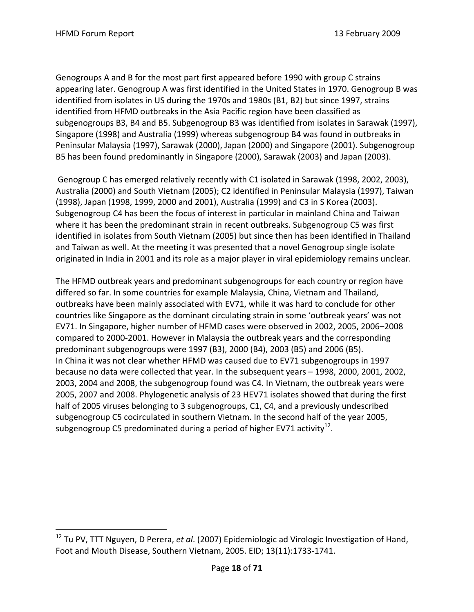$\overline{a}$ 

Genogroups A and B for the most part first appeared before 1990 with group C strains appearing later. Genogroup A was first identified in the United States in 1970. Genogroup B was identified from isolates in US during the 1970s and 1980s (B1, B2) but since 1997, strains identified from HFMD outbreaks in the Asia Pacific region have been classified as subgenogroups B3, B4 and B5. Subgenogroup B3 was identified from isolates in Sarawak (1997), Singapore (1998) and Australia (1999) whereas subgenogroup B4 was found in outbreaks in Peninsular Malaysia (1997), Sarawak (2000), Japan (2000) and Singapore (2001). Subgenogroup B5 has been found predominantly in Singapore (2000), Sarawak (2003) and Japan (2003).

Genogroup C has emerged relatively recently with C1 isolated in Sarawak (1998, 2002, 2003), Australia (2000) and South Vietnam (2005); C2 identified in Peninsular Malaysia (1997), Taiwan (1998), Japan (1998, 1999, 2000 and 2001), Australia (1999) and C3 in S Korea (2003). Subgenogroup C4 has been the focus of interest in particular in mainland China and Taiwan where it has been the predominant strain in recent outbreaks. Subgenogroup C5 was first identified in isolates from South Vietnam (2005) but since then has been identified in Thailand and Taiwan as well. At the meeting it was presented that a novel Genogroup single isolate originated in India in 2001 and its role as a major player in viral epidemiology remains unclear.

The HFMD outbreak years and predominant subgenogroups for each country or region have differed so far. In some countries for example Malaysia, China, Vietnam and Thailand, outbreaks have been mainly associated with EV71, while it was hard to conclude for other countries like Singapore as the dominant circulating strain in some 'outbreak years' was not EV71. In Singapore, higher number of HFMD cases were observed in 2002, 2005, 2006–2008 compared to 2000‐2001. However in Malaysia the outbreak years and the corresponding predominant subgenogroups were 1997 (B3), 2000 (B4), 2003 (B5) and 2006 (B5). In China it was not clear whether HFMD was caused due to EV71 subgenogroups in 1997 because no data were collected that year. In the subsequent years – 1998, 2000, 2001, 2002, 2003, 2004 and 2008, the subgenogroup found was C4. In Vietnam, the outbreak years were 2005, 2007 and 2008. Phylogenetic analysis of 23 HEV71 isolates showed that during the first half of 2005 viruses belonging to 3 subgenogroups, C1, C4, and a previously undescribed subgenogroup C5 cocirculated in southern Vietnam. In the second half of the year 2005, subgenogroup C5 predominated during a period of higher EV71 activity<sup>12</sup>.

<sup>12</sup> Tu PV, TTT Nguyen, D Perera, *et al*. (2007) Epidemiologic ad Virologic Investigation of Hand, Foot and Mouth Disease, Southern Vietnam, 2005. EID; 13(11):1733‐1741.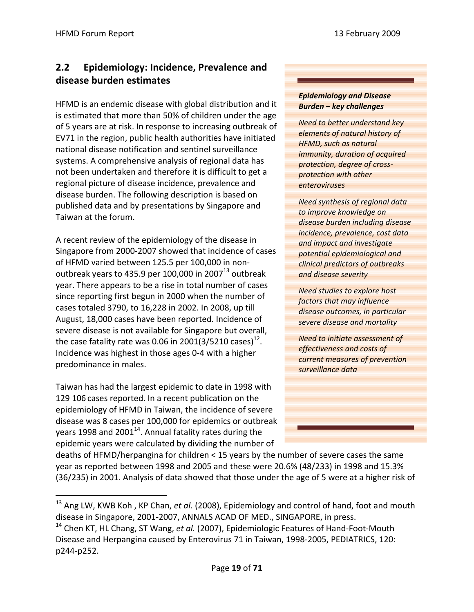## **2.2 Epidemiology: Incidence, Prevalence and disease burden estimates**

HFMD is an endemic disease with global distribution and it is estimated that more than 50% of children under the age of 5 years are at risk. In response to increasing outbreak of EV71 in the region, public health authorities have initiated national disease notification and sentinel surveillance systems. A comprehensive analysis of regional data has not been undertaken and therefore it is difficult to get a regional picture of disease incidence, prevalence and disease burden. The following description is based on published data and by presentations by Singapore and Taiwan at the forum.

A recent review of the epidemiology of the disease in Singapore from 2000‐2007 showed that incidence of cases of HFMD varied between 125.5 per 100,000 in non‐ outbreak years to 435.9 per 100,000 in 2007 $^{13}$  outbreak year. There appears to be a rise in total number of cases since reporting first begun in 2000 when the number of cases totaled 3790, to 16,228 in 2002. In 2008, up till August, 18,000 cases have been reported. Incidence of severe disease is not available for Singapore but overall, the case fatality rate was 0.06 in 2001(3/5210 cases)<sup>12</sup>. Incidence was highest in those ages 0‐4 with a higher predominance in males.

Taiwan has had the largest epidemic to date in 1998 with 129 106 cases reported. In a recent publication on the epidemiology of HFMD in Taiwan, the incidence of severe disease was 8 cases per 100,000 for epidemics or outbreak years 1998 and 2001 $^{14}$ . Annual fatality rates during the epidemic years were calculated by dividing the number of

 $\overline{a}$ 

#### *Epidemiology and Disease Burden – key challenges*

*Need to better understand key elements of natural history of HFMD, such as natural immunity, duration of acquired protection, degree of cross‐ protection with other enteroviruses* 

*Need synthesis of regional data to improve knowledge on disease burden including disease incidence, prevalence, cost data and impact and investigate potential epidemiological and clinical predictors of outbreaks and disease severity*

*Need studies to explore host factors that may influence disease outcomes, in particular severe disease and mortality*

*Need to initiate assessment of effectiveness and costs of current measures of prevention surveillance data*

deaths of HFMD/herpangina for children < 15 years by the number of severe cases the same year as reported between 1998 and 2005 and these were 20.6% (48/233) in 1998 and 15.3% (36/235) in 2001. Analysis of data showed that those under the age of 5 were at a higher risk of

<sup>13</sup> Ang LW, KWB Koh , KP Chan, *et al.* (2008), Epidemiology and control of hand, foot and mouth disease in Singapore, 2001‐2007, ANNALS ACAD OF MED., SINGAPORE, in press.

<sup>14</sup> Chen KT, HL Chang, ST Wang, *et al.* (2007), Epidemiologic Features of Hand‐Foot‐Mouth Disease and Herpangina caused by Enterovirus 71 in Taiwan, 1998‐2005, PEDIATRICS, 120: p244‐p252.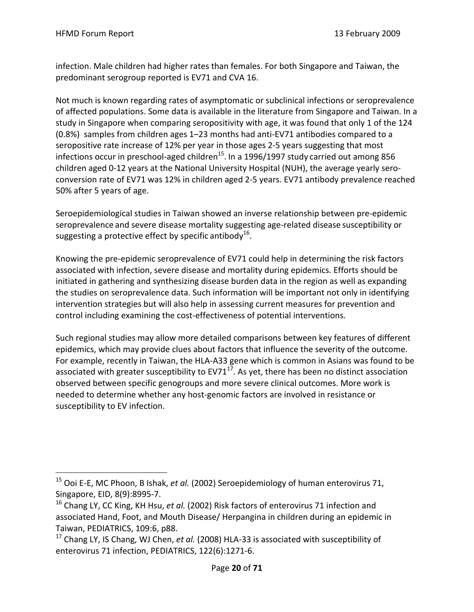$\overline{a}$ 

infection. Male children had higher rates than females. For both Singapore and Taiwan, the predominant serogroup reported is EV71 and CVA 16.

Not much is known regarding rates of asymptomatic or subclinical infections or seroprevalence of affected populations. Some data is available in the literature from Singapore and Taiwan. In a study in Singapore when comparing seropositivity with age, it was found that only 1 of the 124 (0.8%) samples from children ages 1–23 months had anti‐EV71 antibodies compared to a seropositive rate increase of 12% per year in those ages 2‐5 years suggesting that most infections occur in preschool-aged children<sup>15</sup>. In a 1996/1997 study carried out among 856 children aged 0‐12 years at the National University Hospital (NUH), the average yearly sero‐ conversion rate of EV71 was 12% in children aged 2‐5 years. EV71 antibody prevalence reached 50% after 5 years of age.

Seroepidemiological studies in Taiwan showed an inverse relationship between pre‐epidemic seroprevalence and severe disease mortality suggesting age-related disease susceptibility or suggesting a protective effect by specific antibody<sup>16</sup>.

Knowing the pre‐epidemic seroprevalence of EV71 could help in determining the risk factors associated with infection, severe disease and mortality during epidemics. Efforts should be initiated in gathering and synthesizing disease burden data in the region as well as expanding the studies on seroprevalence data. Such information will be important not only in identifying intervention strategies but will also help in assessing current measures for prevention and control including examining the cost‐effectiveness of potential interventions.

Such regional studies may allow more detailed comparisons between key features of different epidemics, which may provide clues about factors that influence the severity of the outcome. For example, recently in Taiwan, the HLA‐A33 gene which is common in Asians was found to be associated with greater susceptibility to  $EV71^{17}$ . As yet, there has been no distinct association observed between specific genogroups and more severe clinical outcomes. More work is needed to determine whether any host‐genomic factors are involved in resistance or susceptibility to EV infection.

<sup>15</sup> Ooi E‐E, MC Phoon, B Ishak, *et al.* (2002) Seroepidemiology of human enterovirus 71, Singapore, EID, 8(9):8995‐7.

<sup>16</sup> Chang LY, CC King, KH Hsu, *et al.* (2002) Risk factors of enterovirus 71 infection and associated Hand, Foot, and Mouth Disease/ Herpangina in children during an epidemic in Taiwan, PEDIATRICS, 109:6, p88.

<sup>17</sup> Chang LY, IS Chang, WJ Chen, *et al.* (2008) HLA‐33 is associated with susceptibility of enterovirus 71 infection, PEDIATRICS, 122(6):1271‐6.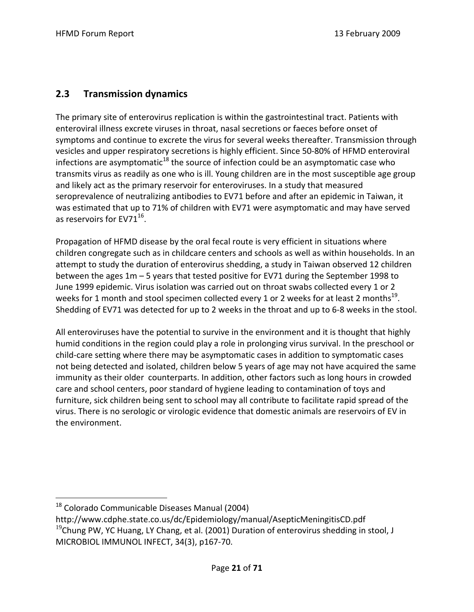## **2.3 Transmission dynamics**

The primary site of enterovirus replication is within the gastrointestinal tract. Patients with enteroviral illness excrete viruses in throat, nasal secretions or faeces before onset of symptoms and continue to excrete the virus for several weeks thereafter. Transmission through vesicles and upper respiratory secretions is highly efficient. Since 50‐80% of HFMD enteroviral infections are asymptomatic $^{18}$  the source of infection could be an asymptomatic case who transmits virus as readily as one who is ill. Young children are in the most susceptible age group and likely act as the primary reservoir for enteroviruses. In a study that measured seroprevalence of neutralizing antibodies to EV71 before and after an epidemic in Taiwan, it was estimated that up to 71% of children with EV71 were asymptomatic and may have served as reservoirs for  $EV71^{16}$ .

Propagation of HFMD disease by the oral fecal route is very efficient in situations where children congregate such as in childcare centers and schools as well as within households. In an attempt to study the duration of enterovirus shedding, a study in Taiwan observed 12 children between the ages 1m – 5 years that tested positive for EV71 during the September 1998 to June 1999 epidemic. Virus isolation was carried out on throat swabs collected every 1 or 2 weeks for 1 month and stool specimen collected every 1 or 2 weeks for at least 2 months<sup>19</sup>. Shedding of EV71 was detected for up to 2 weeks in the throat and up to 6‐8 weeks in the stool.

All enteroviruses have the potential to survive in the environment and it is thought that highly humid conditions in the region could play a role in prolonging virus survival. In the preschool or child‐care setting where there may be asymptomatic cases in addition to symptomatic cases not being detected and isolated, children below 5 years of age may not have acquired the same immunity as their older counterparts. In addition, other factors such as long hours in crowded care and school centers, poor standard of hygiene leading to contamination of toys and furniture, sick children being sent to school may all contribute to facilitate rapid spread of the virus. There is no serologic or virologic evidence that domestic animals are reservoirs of EV in the environment.

 $\overline{a}$ 

 $18$  Colorado Communicable Diseases Manual (2004)

http://www.cdphe.state.co.us/dc/Epidemiology/manual/AsepticMeningitisCD.pdf<br><sup>19</sup>Chung PW, YC Huang, LY Chang, et al. (2001) Duration of enterovirus shedding in stool, J

MICROBIOL IMMUNOL INFECT, 34(3), p167‐70.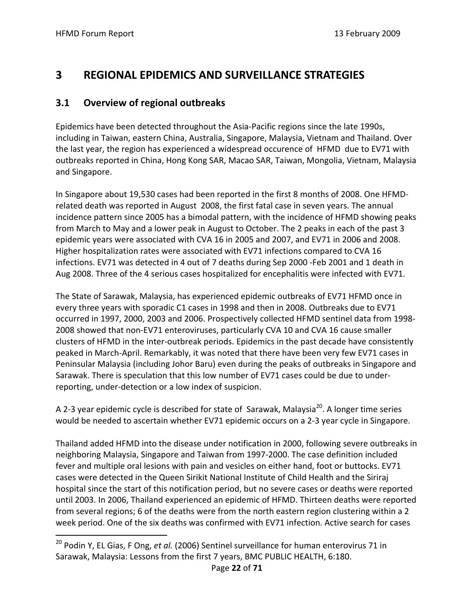$\overline{a}$ 

# **3 REGIONAL EPIDEMICS AND SURVEILLANCE STRATEGIES**

## **3.1 Overview of regional outbreaks**

Epidemics have been detected throughout the Asia‐Pacific regions since the late 1990s, including in Taiwan, eastern China, Australia, Singapore, Malaysia, Vietnam and Thailand. Over the last year, the region has experienced a widespread occurence of HFMD due to EV71 with outbreaks reported in China, Hong Kong SAR, Macao SAR, Taiwan, Mongolia, Vietnam, Malaysia and Singapore.

In Singapore about 19,530 cases had been reported in the first 8 months of 2008. One HFMD‐ related death was reported in August 2008, the first fatal case in seven years. The annual incidence pattern since 2005 has a bimodal pattern, with the incidence of HFMD showing peaks from March to May and a lower peak in August to October. The 2 peaks in each of the past 3 epidemic years were associated with CVA 16 in 2005 and 2007, and EV71 in 2006 and 2008. Higher hospitalization rates were associated with EV71 infections compared to CVA 16 infections. EV71 was detected in 4 out of 7 deaths during Sep 2000 ‐Feb 2001 and 1 death in Aug 2008. Three of the 4 serious cases hospitalized for encephalitis were infected with EV71.

The State of Sarawak, Malaysia, has experienced epidemic outbreaks of EV71 HFMD once in every three years with sporadic C1 cases in 1998 and then in 2008. Outbreaks due to EV71 occurred in 1997, 2000, 2003 and 2006. Prospectively collected HFMD sentinel data from 1998‐ 2008 showed that non‐EV71 enteroviruses, particularly CVA 10 and CVA 16 cause smaller clusters of HFMD in the inter‐outbreak periods. Epidemics in the past decade have consistently peaked in March‐April. Remarkably, it was noted that there have been very few EV71 cases in Peninsular Malaysia (including Johor Baru) even during the peaks of outbreaks in Singapore and Sarawak. There is speculation that this low number of EV71 cases could be due to under‐ reporting, under‐detection or a low index of suspicion.

A 2-3 year epidemic cycle is described for state of Sarawak, Malaysia<sup>20</sup>. A longer time series would be needed to ascertain whether EV71 epidemic occurs on a 2-3 year cycle in Singapore.

Thailand added HFMD into the disease under notification in 2000, following severe outbreaks in neighboring Malaysia, Singapore and Taiwan from 1997‐2000. The case definition included fever and multiple oral lesions with pain and vesicles on either hand, foot or buttocks. EV71 cases were detected in the Queen Sirikit National Institute of Child Health and the Siriraj hospital since the start of this notification period, but no severe cases or deaths were reported until 2003. In 2006, Thailand experienced an epidemic of HFMD. Thirteen deaths were reported from several regions; 6 of the deaths were from the north eastern region clustering within a 2 week period. One of the six deaths was confirmed with EV71 infection. Active search for cases

<sup>20</sup> Podin Y, EL Gias, F Ong, *et al.* (2006) Sentinel surveillance for human enterovirus 71 in Sarawak, Malaysia: Lessons from the first 7 years, BMC PUBLIC HEALTH, 6:180.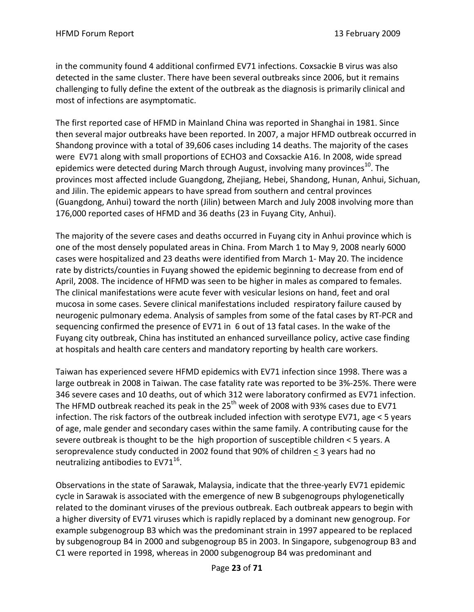in the community found 4 additional confirmed EV71 infections. Coxsackie B virus was also detected in the same cluster. There have been several outbreaks since 2006, but it remains challenging to fully define the extent of the outbreak as the diagnosis is primarily clinical and most of infections are asymptomatic.

The first reported case of HFMD in Mainland China was reported in Shanghai in 1981. Since then several major outbreaks have been reported. In 2007, a major HFMD outbreak occurred in Shandong province with a total of 39,606 cases including 14 deaths. The majority of the cases were EV71 along with small proportions of ECHO3 and Coxsackie A16. In 2008, wide spread epidemics were detected during March through August, involving many provinces<sup>10</sup>. The provinces most affected include Guangdong, Zhejiang, Hebei, Shandong, Hunan, Anhui, Sichuan, and Jilin. The epidemic appears to have spread from southern and central provinces (Guangdong, Anhui) toward the north (Jilin) between March and July 2008 involving more than 176,000 reported cases of HFMD and 36 deaths (23 in Fuyang City, Anhui).

The majority of the severe cases and deaths occurred in Fuyang city in Anhui province which is one of the most densely populated areas in China. From March 1 to May 9, 2008 nearly 6000 cases were hospitalized and 23 deaths were identified from March 1‐ May 20. The incidence rate by districts/counties in Fuyang showed the epidemic beginning to decrease from end of April, 2008. The incidence of HFMD was seen to be higher in males as compared to females. The clinical manifestations were acute fever with vesicular lesions on hand, feet and oral mucosa in some cases. Severe clinical manifestations included respiratory failure caused by neurogenic pulmonary edema. Analysis of samples from some of the fatal cases by RT‐PCR and sequencing confirmed the presence of EV71 in 6 out of 13 fatal cases. In the wake of the Fuyang city outbreak, China has instituted an enhanced surveillance policy, active case finding at hospitals and health care centers and mandatory reporting by health care workers.

Taiwan has experienced severe HFMD epidemics with EV71 infection since 1998. There was a large outbreak in 2008 in Taiwan. The case fatality rate was reported to be 3%‐25%. There were 346 severe cases and 10 deaths, out of which 312 were laboratory confirmed as EV71 infection. The HFMD outbreak reached its peak in the 25<sup>th</sup> week of 2008 with 93% cases due to EV71 infection. The risk factors of the outbreak included infection with serotype EV71, age < 5 years of age, male gender and secondary cases within the same family. A contributing cause for the severe outbreak is thought to be the high proportion of susceptible children < 5 years. A seroprevalence study conducted in 2002 found that 90% of children < 3 years had no neutralizing antibodies to  $EV71^{16}$ .

Observations in the state of Sarawak, Malaysia, indicate that the three‐yearly EV71 epidemic cycle in Sarawak is associated with the emergence of new B subgenogroups phylogenetically related to the dominant viruses of the previous outbreak. Each outbreak appears to begin with a higher diversity of EV71 viruses which is rapidly replaced by a dominant new genogroup. For example subgenogroup B3 which was the predominant strain in 1997 appeared to be replaced by subgenogroup B4 in 2000 and subgenogroup B5 in 2003. In Singapore, subgenogroup B3 and C1 were reported in 1998, whereas in 2000 subgenogroup B4 was predominant and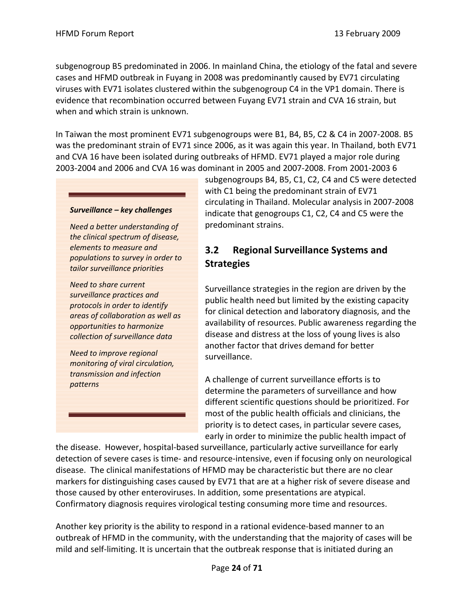subgenogroup B5 predominated in 2006. In mainland China, the etiology of the fatal and severe cases and HFMD outbreak in Fuyang in 2008 was predominantly caused by EV71 circulating viruses with EV71 isolates clustered within the subgenogroup C4 in the VP1 domain. There is evidence that recombination occurred between Fuyang EV71 strain and CVA 16 strain, but when and which strain is unknown.

In Taiwan the most prominent EV71 subgenogroups were B1, B4, B5, C2 & C4 in 2007‐2008. B5 was the predominant strain of EV71 since 2006, as it was again this year. In Thailand, both EV71 and CVA 16 have been isolated during outbreaks of HFMD. EV71 played a major role during 2003‐2004 and 2006 and CVA 16 was dominant in 2005 and 2007‐2008. From 2001‐2003 6

#### *Surveillance – key challenges*

*Need a better understanding of the clinical spectrum of disease, elements to measure and populations to survey in order to tailor surveillance priorities* 

*Need to share current surveillance practices and protocols in order to identify areas of collaboration as well as opportunities to harmonize collection of surveillance data*

*Need to improve regional monitoring of viral circulation, transmission and infection patterns* 

subgenogroups B4, B5, C1, C2, C4 and C5 were detected with C1 being the predominant strain of EV71 circulating in Thailand. Molecular analysis in 2007‐2008 indicate that genogroups C1, C2, C4 and C5 were the predominant strains.

## **3.2 Regional Surveillance Systems and Strategies**

Surveillance strategies in the region are driven by the public health need but limited by the existing capacity for clinical detection and laboratory diagnosis, and the availability of resources. Public awareness regarding the disease and distress at the loss of young lives is also another factor that drives demand for better surveillance.

A challenge of current surveillance efforts is to determine the parameters of surveillance and how different scientific questions should be prioritized. For most of the public health officials and clinicians, the priority is to detect cases, in particular severe cases, early in order to minimize the public health impact of

the disease. However, hospital‐based surveillance, particularly active surveillance for early detection of severe cases is time‐ and resource‐intensive, even if focusing only on neurological disease. The clinical manifestations of HFMD may be characteristic but there are no clear markers for distinguishing cases caused by EV71 that are at a higher risk of severe disease and those caused by other enteroviruses. In addition, some presentations are atypical. Confirmatory diagnosis requires virological testing consuming more time and resources.

Another key priority is the ability to respond in a rational evidence‐based manner to an outbreak of HFMD in the community, with the understanding that the majority of cases will be mild and self‐limiting. It is uncertain that the outbreak response that is initiated during an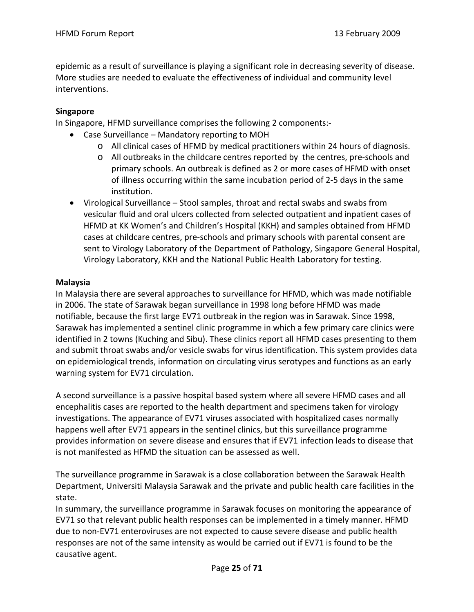epidemic as a result of surveillance is playing a significant role in decreasing severity of disease. More studies are needed to evaluate the effectiveness of individual and community level interventions.

## **Singapore**

In Singapore, HFMD surveillance comprises the following 2 components:‐

- Case Surveillance Mandatory reporting to MOH
	- o All clinical cases of HFMD by medical practitioners within 24 hours of diagnosis.
	- o All outbreaks in the childcare centres reported by the centres, pre‐schools and primary schools. An outbreak is defined as 2 or more cases of HFMD with onset of illness occurring within the same incubation period of 2‐5 days in the same institution.
- Virological Surveillance Stool samples, throat and rectal swabs and swabs from vesicular fluid and oral ulcers collected from selected outpatient and inpatient cases of HFMD at KK Women's and Children's Hospital (KKH) and samples obtained from HFMD cases at childcare centres, pre‐schools and primary schools with parental consent are sent to Virology Laboratory of the Department of Pathology, Singapore General Hospital, Virology Laboratory, KKH and the National Public Health Laboratory for testing.

#### **Malaysia**

In Malaysia there are several approaches to surveillance for HFMD, which was made notifiable in 2006. The state of Sarawak began surveillance in 1998 long before HFMD was made notifiable, because the first large EV71 outbreak in the region was in Sarawak. Since 1998, Sarawak has implemented a sentinel clinic programme in which a few primary care clinics were identified in 2 towns (Kuching and Sibu). These clinics report all HFMD cases presenting to them and submit throat swabs and/or vesicle swabs for virus identification. This system provides data on epidemiological trends, information on circulating virus serotypes and functions as an early warning system for EV71 circulation.

A second surveillance is a passive hospital based system where all severe HFMD cases and all encephalitis cases are reported to the health department and specimens taken for virology investigations. The appearance of EV71 viruses associated with hospitalized cases normally happens well after EV71 appears in the sentinel clinics, but this surveillance programme provides information on severe disease and ensures that if EV71 infection leads to disease that is not manifested as HFMD the situation can be assessed as well.

The surveillance programme in Sarawak is a close collaboration between the Sarawak Health Department, Universiti Malaysia Sarawak and the private and public health care facilities in the state.

In summary, the surveillance programme in Sarawak focuses on monitoring the appearance of EV71 so that relevant public health responses can be implemented in a timely manner. HFMD due to non‐EV71 enteroviruses are not expected to cause severe disease and public health responses are not of the same intensity as would be carried out if EV71 is found to be the causative agent.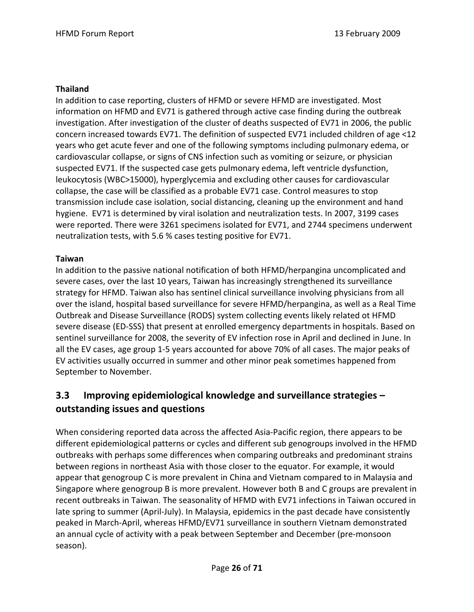## **Thailand**

In addition to case reporting, clusters of HFMD or severe HFMD are investigated. Most information on HFMD and EV71 is gathered through active case finding during the outbreak investigation. After investigation of the cluster of deaths suspected of EV71 in 2006, the public concern increased towards EV71. The definition of suspected EV71 included children of age <12 years who get acute fever and one of the following symptoms including pulmonary edema, or cardiovascular collapse, or signs of CNS infection such as vomiting or seizure, or physician suspected EV71. If the suspected case gets pulmonary edema, left ventricle dysfunction, leukocytosis (WBC>15000), hyperglycemia and excluding other causes for cardiovascular collapse, the case will be classified as a probable EV71 case. Control measures to stop transmission include case isolation, social distancing, cleaning up the environment and hand hygiene. EV71 is determined by viral isolation and neutralization tests. In 2007, 3199 cases were reported. There were 3261 specimens isolated for EV71, and 2744 specimens underwent neutralization tests, with 5.6 % cases testing positive for EV71.

## **Taiwan**

In addition to the passive national notification of both HFMD/herpangina uncomplicated and severe cases, over the last 10 years, Taiwan has increasingly strengthened its surveillance strategy for HFMD. Taiwan also has sentinel clinical surveillance involving physicians from all over the island, hospital based surveillance for severe HFMD/herpangina, as well as a Real Time Outbreak and Disease Surveillance (RODS) system collecting events likely related ot HFMD severe disease (ED-SSS) that present at enrolled emergency departments in hospitals. Based on sentinel surveillance for 2008, the severity of EV infection rose in April and declined in June. In all the EV cases, age group 1‐5 years accounted for above 70% of all cases. The major peaks of EV activities usually occurred in summer and other minor peak sometimes happened from September to November.

## **3.3 Improving epidemiological knowledge and surveillance strategies – outstanding issues and questions**

When considering reported data across the affected Asia‐Pacific region, there appears to be different epidemiological patterns or cycles and different sub genogroups involved in the HFMD outbreaks with perhaps some differences when comparing outbreaks and predominant strains between regions in northeast Asia with those closer to the equator. For example, it would appear that genogroup C is more prevalent in China and Vietnam compared to in Malaysia and Singapore where genogroup B is more prevalent. However both B and C groups are prevalent in recent outbreaks in Taiwan. The seasonality of HFMD with EV71 infections in Taiwan occured in late spring to summer (April‐July). In Malaysia, epidemics in the past decade have consistently peaked in March‐April, whereas HFMD/EV71 surveillance in southern Vietnam demonstrated an annual cycle of activity with a peak between September and December (pre‐monsoon season).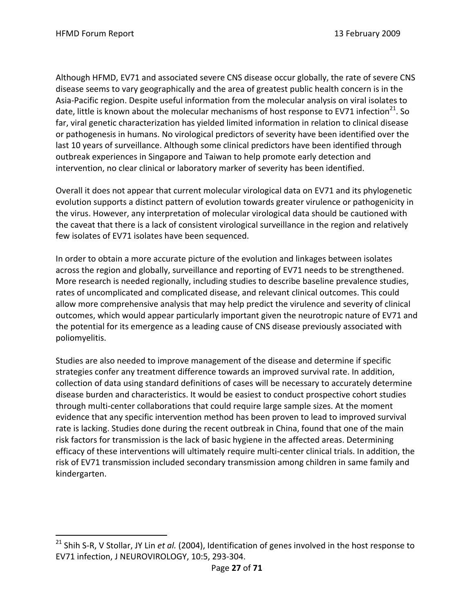1

Although HFMD, EV71 and associated severe CNS disease occur globally, the rate of severe CNS disease seems to vary geographically and the area of greatest public health concern is in the Asia‐Pacific region. Despite useful information from the molecular analysis on viral isolates to date, little is known about the molecular mechanisms of host response to EV71 infection<sup>21</sup>. So far, viral genetic characterization has yielded limited information in relation to clinical disease or pathogenesis in humans. No virological predictors of severity have been identified over the last 10 years of surveillance. Although some clinical predictors have been identified through outbreak experiences in Singapore and Taiwan to help promote early detection and intervention, no clear clinical or laboratory marker of severity has been identified.

Overall it does not appear that current molecular virological data on EV71 and its phylogenetic evolution supports a distinct pattern of evolution towards greater virulence or pathogenicity in the virus. However, any interpretation of molecular virological data should be cautioned with the caveat that there is a lack of consistent virological surveillance in the region and relatively few isolates of EV71 isolates have been sequenced.

In order to obtain a more accurate picture of the evolution and linkages between isolates across the region and globally, surveillance and reporting of EV71 needs to be strengthened. More research is needed regionally, including studies to describe baseline prevalence studies, rates of uncomplicated and complicated disease, and relevant clinical outcomes. This could allow more comprehensive analysis that may help predict the virulence and severity of clinical outcomes, which would appear particularly important given the neurotropic nature of EV71 and the potential for its emergence as a leading cause of CNS disease previously associated with poliomyelitis.

Studies are also needed to improve management of the disease and determine if specific strategies confer any treatment difference towards an improved survival rate. In addition, collection of data using standard definitions of cases will be necessary to accurately determine disease burden and characteristics. It would be easiest to conduct prospective cohort studies through multi‐center collaborations that could require large sample sizes. At the moment evidence that any specific intervention method has been proven to lead to improved survival rate is lacking. Studies done during the recent outbreak in China, found that one of the main risk factors for transmission is the lack of basic hygiene in the affected areas. Determining efficacy of these interventions will ultimately require multi‐center clinical trials. In addition, the risk of EV71 transmission included secondary transmission among children in same family and kindergarten.

<sup>21</sup> Shih S‐R, V Stollar, JY Lin *et al.* (2004), Identification of genes involved in the host response to EV71 infection, J NEUROVIROLOGY, 10:5, 293‐304.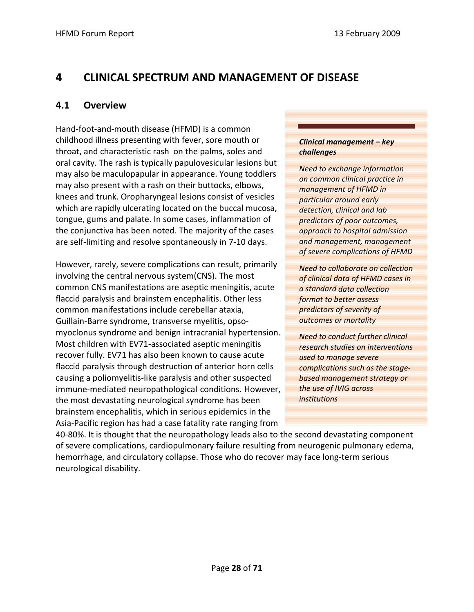## **4 CLINICAL SPECTRUM AND MANAGEMENT OF DISEASE**

## **4.1 Overview**

Hand‐foot‐and‐mouth disease (HFMD) is a common childhood illness presenting with fever, sore mouth or throat, and characteristic rash on the palms, soles and oral cavity. The rash is typically papulovesicular lesions but may also be maculopapular in appearance. Young toddlers may also present with a rash on their buttocks, elbows, knees and trunk. Oropharyngeal lesions consist of vesicles which are rapidly ulcerating located on the buccal mucosa, tongue, gums and palate. In some cases, inflammation of the conjunctiva has been noted. The majority of the cases are self‐limiting and resolve spontaneously in 7‐10 days.

However, rarely, severe complications can result, primarily involving the central nervous system(CNS). The most common CNS manifestations are aseptic meningitis, acute flaccid paralysis and brainstem encephalitis. Other less common manifestations include cerebellar ataxia, Guillain‐Barre syndrome, transverse myelitis, opso‐ myoclonus syndrome and benign intracranial hypertension. Most children with EV71‐associated aseptic meningitis recover fully. EV71 has also been known to cause acute flaccid paralysis through destruction of anterior horn cells causing a poliomyelitis‐like paralysis and other suspected immune‐mediated neuropathological conditions. However, the most devastating neurological syndrome has been brainstem encephalitis, which in serious epidemics in the Asia‐Pacific region has had a case fatality rate ranging from

#### *Clinical management – key challenges*

*Need to exchange information on common clinical practice in management of HFMD in particular around early detection, clinical and lab predictors of poor outcomes, approach to hospital admission and management, management of severe complications of HFMD*

*Need to collaborate on collection of clinical data of HFMD cases in a standard data collection format to better assess predictors of severity of outcomes or mortality* 

*Need to conduct further clinical research studies on interventions used to manage severe complications such as the stage‐ based management strategy or the use of IVIG across institutions* 

40‐80%. It is thought that the neuropathology leads also to the second devastating component of severe complications, cardiopulmonary failure resulting from neurogenic pulmonary edema, hemorrhage, and circulatory collapse. Those who do recover may face long‐term serious neurological disability.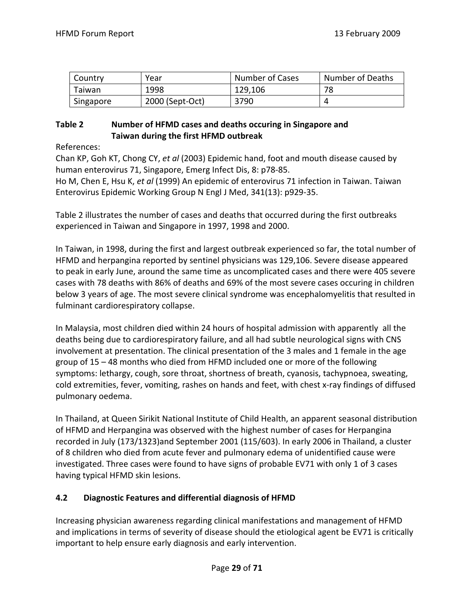| Country   | Year            | Number of Cases | Number of Deaths |
|-----------|-----------------|-----------------|------------------|
| Taiwan    | 1998            | 129,106         | 78               |
| Singapore | 2000 (Sept-Oct) | 3790            |                  |

## **Table 2 Number of HFMD cases and deaths occuring in Singapore and Taiwan during the first HFMD outbreak**

References:

Chan KP, Goh KT, Chong CY, *et al* (2003) Epidemic hand, foot and mouth disease caused by human enterovirus 71, Singapore, Emerg Infect Dis, 8: p78‐85.

Ho M, Chen E, Hsu K, *et al* (1999) An epidemic of enterovirus 71 infection in Taiwan. Taiwan Enterovirus Epidemic Working Group N Engl J Med, 341(13): p929‐35.

Table 2 illustrates the number of cases and deaths that occurred during the first outbreaks experienced in Taiwan and Singapore in 1997, 1998 and 2000.

In Taiwan, in 1998, during the first and largest outbreak experienced so far, the total number of HFMD and herpangina reported by sentinel physicians was 129,106. Severe disease appeared to peak in early June, around the same time as uncomplicated cases and there were 405 severe cases with 78 deaths with 86% of deaths and 69% of the most severe cases occuring in children below 3 years of age. The most severe clinical syndrome was encephalomyelitis that resulted in fulminant cardiorespiratory collapse.

In Malaysia, most children died within 24 hours of hospital admission with apparently all the deaths being due to cardiorespiratory failure, and all had subtle neurological signs with CNS involvement at presentation. The clinical presentation of the 3 males and 1 female in the age group of 15 – 48 months who died from HFMD included one or more of the following symptoms: lethargy, cough, sore throat, shortness of breath, cyanosis, tachypnoea, sweating, cold extremities, fever, vomiting, rashes on hands and feet, with chest x-ray findings of diffused pulmonary oedema.

In Thailand, at Queen Sirikit National Institute of Child Health, an apparent seasonal distribution of HFMD and Herpangina was observed with the highest number of cases for Herpangina recorded in July (173/1323)and September 2001 (115/603). In early 2006 in Thailand, a cluster of 8 children who died from acute fever and pulmonary edema of unidentified cause were investigated. Three cases were found to have signs of probable EV71 with only 1 of 3 cases having typical HFMD skin lesions.

## **4.2 Diagnostic Features and differential diagnosis of HFMD**

Increasing physician awareness regarding clinical manifestations and management of HFMD and implications in terms of severity of disease should the etiological agent be EV71 is critically important to help ensure early diagnosis and early intervention.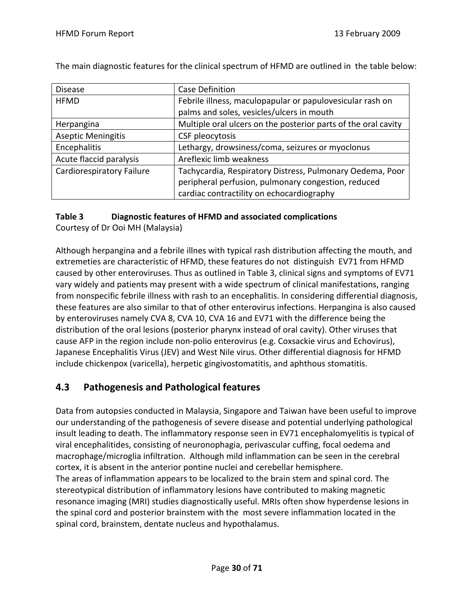| <b>Disease</b>                   | <b>Case Definition</b>                                         |
|----------------------------------|----------------------------------------------------------------|
| <b>HFMD</b>                      | Febrile illness, maculopapular or papulovesicular rash on      |
|                                  | palms and soles, vesicles/ulcers in mouth                      |
| Herpangina                       | Multiple oral ulcers on the posterior parts of the oral cavity |
| <b>Aseptic Meningitis</b>        | CSF pleocytosis                                                |
| Encephalitis                     | Lethargy, drowsiness/coma, seizures or myoclonus               |
| Acute flaccid paralysis          | Areflexic limb weakness                                        |
| <b>Cardiorespiratory Failure</b> | Tachycardia, Respiratory Distress, Pulmonary Oedema, Poor      |
|                                  | peripheral perfusion, pulmonary congestion, reduced            |
|                                  | cardiac contractility on echocardiography                      |

The main diagnostic features for the clinical spectrum of HFMD are outlined in the table below:

## **Table 3 Diagnostic features of HFMD and associated complications**

Courtesy of Dr Ooi MH (Malaysia)

Although herpangina and a febrile illnes with typical rash distribution affecting the mouth, and extremeties are characteristic of HFMD, these features do not distinguish EV71 from HFMD caused by other enteroviruses. Thus as outlined in Table 3, clinical signs and symptoms of EV71 vary widely and patients may present with a wide spectrum of clinical manifestations, ranging from nonspecific febrile illness with rash to an encephalitis. In considering differential diagnosis, these features are also similar to that of other enterovirus infections. Herpangina is also caused by enteroviruses namely CVA 8, CVA 10, CVA 16 and EV71 with the difference being the distribution of the oral lesions (posterior pharynx instead of oral cavity). Other viruses that cause AFP in the region include non‐polio enterovirus (e.g. Coxsackie virus and Echovirus), Japanese Encephalitis Virus (JEV) and West Nile virus. Other differential diagnosis for HFMD include chickenpox (varicella), herpetic gingivostomatitis, and aphthous stomatitis.

## **4.3 Pathogenesis and Pathological features**

Data from autopsies conducted in Malaysia, Singapore and Taiwan have been useful to improve our understanding of the pathogenesis of severe disease and potential underlying pathological insult leading to death. The inflammatory response seen in EV71 encephalomyelitis is typical of viral encephalitides, consisting of neuronophagia, perivascular cuffing, focal oedema and macrophage/microglia infiltration. Although mild inflammation can be seen in the cerebral cortex, it is absent in the anterior pontine nuclei and cerebellar hemisphere. The areas of inflammation appears to be localized to the brain stem and spinal cord. The stereotypical distribution of inflammatory lesions have contributed to making magnetic resonance imaging (MRI) studies diagnostically useful. MRIs often show hyperdense lesions in the spinal cord and posterior brainstem with the most severe inflammation located in the spinal cord, brainstem, dentate nucleus and hypothalamus.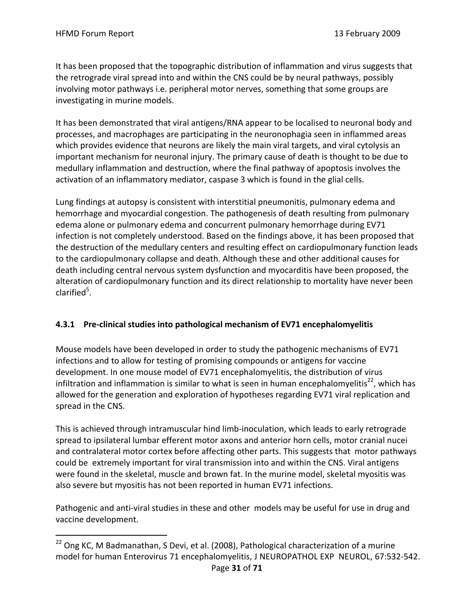$\overline{a}$ 

It has been proposed that the topographic distribution of inflammation and virus suggests that the retrograde viral spread into and within the CNS could be by neural pathways, possibly involving motor pathways i.e. peripheral motor nerves, something that some groups are investigating in murine models.

It has been demonstrated that viral antigens/RNA appear to be localised to neuronal body and processes, and macrophages are participating in the neuronophagia seen in inflammed areas which provides evidence that neurons are likely the main viral targets, and viral cytolysis an important mechanism for neuronal injury. The primary cause of death is thought to be due to medullary inflammation and destruction, where the final pathway of apoptosis involves the activation of an inflammatory mediator, caspase 3 which is found in the glial cells.

Lung findings at autopsy is consistent with interstitial pneumonitis, pulmonary edema and hemorrhage and myocardial congestion. The pathogenesis of death resulting from pulmonary edema alone or pulmonary edema and concurrent pulmonary hemorrhage during EV71 infection is not completely understood. Based on the findings above, it has been proposed that the destruction of the medullary centers and resulting effect on cardiopulmonary function leads to the cardiopulmonary collapse and death. Although these and other additional causes for death including central nervous system dysfunction and myocarditis have been proposed, the alteration of cardiopulmonary function and its direct relationship to mortality have never been clarified<sup>5</sup>.

## **4.3.1 Pre‐clinical studies into pathological mechanism of EV71 encephalomyelitis**

Mouse models have been developed in order to study the pathogenic mechanisms of EV71 infections and to allow for testing of promising compounds or antigens for vaccine development. In one mouse model of EV71 encephalomyelitis, the distribution of virus infiltration and inflammation is similar to what is seen in human encephalomyelitis $^{22}$ , which has allowed for the generation and exploration of hypotheses regarding EV71 viral replication and spread in the CNS.

This is achieved through intramuscular hind limb‐inoculation, which leads to early retrograde spread to ipsilateral lumbar efferent motor axons and anterior horn cells, motor cranial nucei and contralateral motor cortex before affecting other parts. This suggests that motor pathways could be extremely important for viral transmission into and within the CNS. Viral antigens were found in the skeletal, muscle and brown fat. In the murine model, skeletal myositis was also severe but myositis has not been reported in human EV71 infections.

Pathogenic and anti‐viral studies in these and other models may be useful for use in drug and vaccine development.

<sup>&</sup>lt;sup>22</sup> Ong KC, M Badmanathan, S Devi, et al. (2008), Pathological characterization of a murine model for human Enterovirus 71 encephalomyelitis, J NEUROPATHOL EXP NEUROL, 67:532‐542.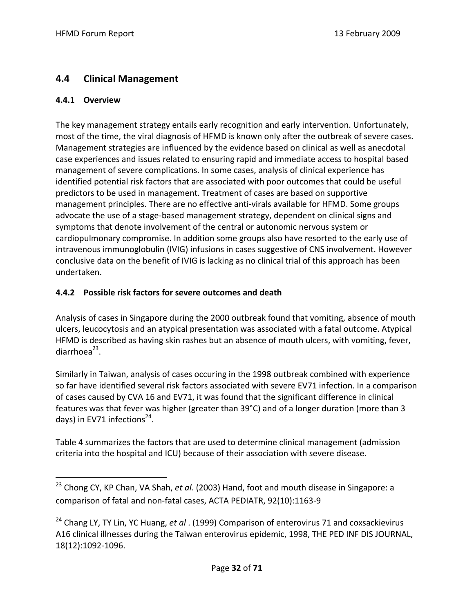## **4.4 Clinical Management**

## **4.4.1 Overview**

<u>.</u>

The key management strategy entails early recognition and early intervention. Unfortunately, most of the time, the viral diagnosis of HFMD is known only after the outbreak of severe cases. Management strategies are influenced by the evidence based on clinical as well as anecdotal case experiences and issues related to ensuring rapid and immediate access to hospital based management of severe complications. In some cases, analysis of clinical experience has identified potential risk factors that are associated with poor outcomes that could be useful predictors to be used in management. Treatment of cases are based on supportive management principles. There are no effective anti-virals available for HFMD. Some groups advocate the use of a stage‐based management strategy, dependent on clinical signs and symptoms that denote involvement of the central or autonomic nervous system or cardiopulmonary compromise. In addition some groups also have resorted to the early use of intravenous immunoglobulin (IVIG) infusions in cases suggestive of CNS involvement. However conclusive data on the benefit of IVIG is lacking as no clinical trial of this approach has been undertaken.

## **4.4.2 Possible risk factors for severe outcomes and death**

Analysis of cases in Singapore during the 2000 outbreak found that vomiting, absence of mouth ulcers, leucocytosis and an atypical presentation was associated with a fatal outcome. Atypical HFMD is described as having skin rashes but an absence of mouth ulcers, with vomiting, fever, diarrhoe $a^{23}$ .

Similarly in Taiwan, analysis of cases occuring in the 1998 outbreak combined with experience so far have identified several risk factors associated with severe EV71 infection. In a comparison of cases caused by CVA 16 and EV71, it was found that the significant difference in clinical features was that fever was higher (greater than 39°C) and of a longer duration (more than 3 days) in EV71 infections<sup>24</sup>.

Table 4 summarizes the factors that are used to determine clinical management (admission criteria into the hospital and ICU) because of their association with severe disease.

<sup>23</sup> Chong CY, KP Chan, VA Shah, *et al.* (2003) Hand, foot and mouth disease in Singapore: a comparison of fatal and non‐fatal cases, ACTA PEDIATR, 92(10):1163‐9

<sup>24</sup> Chang LY, TY Lin, YC Huang, *et al* . (1999) Comparison of enterovirus 71 and coxsackievirus A16 clinical illnesses during the Taiwan enterovirus epidemic, 1998, THE PED INF DIS JOURNAL, 18(12):1092‐1096.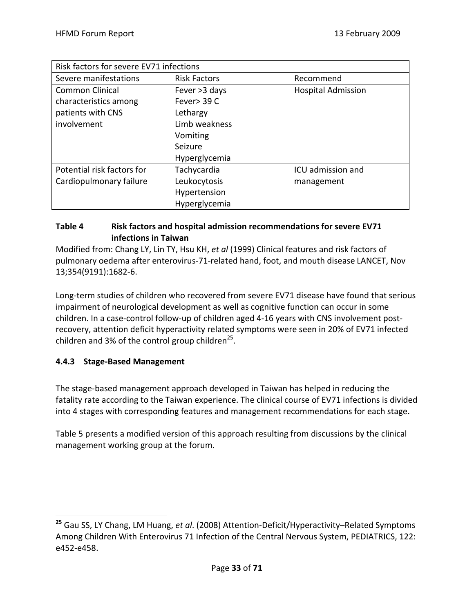| Risk factors for severe EV71 infections |                     |                           |  |
|-----------------------------------------|---------------------|---------------------------|--|
| Severe manifestations                   | <b>Risk Factors</b> | Recommend                 |  |
| <b>Common Clinical</b>                  | Fever >3 days       | <b>Hospital Admission</b> |  |
| characteristics among                   | Fever> 39 C         |                           |  |
| patients with CNS                       | Lethargy            |                           |  |
| involvement                             | Limb weakness       |                           |  |
|                                         | Vomiting            |                           |  |
|                                         | Seizure             |                           |  |
|                                         | Hyperglycemia       |                           |  |
| Potential risk factors for              | Tachycardia         | ICU admission and         |  |
| Cardiopulmonary failure                 | Leukocytosis        | management                |  |
|                                         | Hypertension        |                           |  |
|                                         | Hyperglycemia       |                           |  |

## **Table 4 Risk factors and hospital admission recommendations for severe EV71 infections in Taiwan**

Modified from: Chang LY, Lin TY, Hsu KH, *et al* (1999) Clinical features and risk factors of pulmonary oedema after enterovirus‐71‐related hand, foot, and mouth disease LANCET, Nov 13;354(9191):1682‐6.

Long-term studies of children who recovered from severe EV71 disease have found that serious impairment of neurological development as well as cognitive function can occur in some children. In a case‐control follow‐up of children aged 4‐16 years with CNS involvement post‐ recovery, attention deficit hyperactivity related symptoms were seen in 20% of EV71 infected children and 3% of the control group children<sup>25</sup>.

## **4.4.3 Stage‐Based Management**

 $\overline{a}$ 

The stage‐based management approach developed in Taiwan has helped in reducing the fatality rate according to the Taiwan experience. The clinical course of EV71 infections is divided into 4 stages with corresponding features and management recommendations for each stage.

Table 5 presents a modified version of this approach resulting from discussions by the clinical management working group at the forum.

**<sup>25</sup>** Gau SS, LY Chang, LM Huang, *et al*. (2008) Attention‐Deficit/Hyperactivity–Related Symptoms Among Children With Enterovirus 71 Infection of the Central Nervous System, PEDIATRICS, 122: e452‐e458.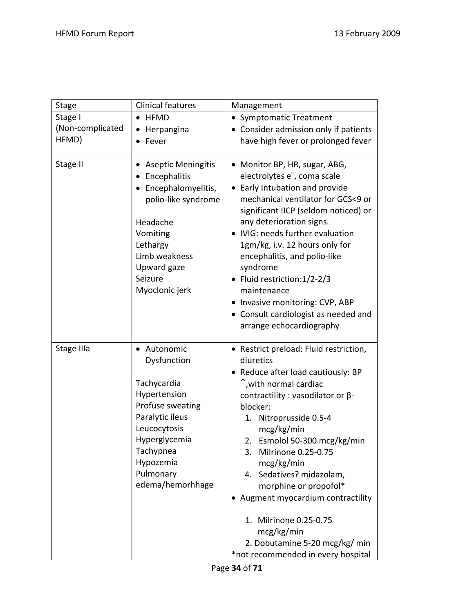| <b>Stage</b>                         | <b>Clinical features</b>                                                                                                                                                                     | Management                                                                                                                                                                                                                                                                                                                                                                                                                                                                                                                 |
|--------------------------------------|----------------------------------------------------------------------------------------------------------------------------------------------------------------------------------------------|----------------------------------------------------------------------------------------------------------------------------------------------------------------------------------------------------------------------------------------------------------------------------------------------------------------------------------------------------------------------------------------------------------------------------------------------------------------------------------------------------------------------------|
| Stage I<br>(Non-complicated<br>HFMD) | $\bullet$ HFMD<br>Herpangina<br>Fever                                                                                                                                                        | • Symptomatic Treatment<br>• Consider admission only if patients<br>have high fever or prolonged fever                                                                                                                                                                                                                                                                                                                                                                                                                     |
| Stage II                             | <b>Aseptic Meningitis</b><br>Encephalitis<br>Encephalomyelitis,<br>polio-like syndrome<br>Headache<br>Vomiting<br>Lethargy<br>Limb weakness<br>Upward gaze<br>Seizure<br>Myoclonic jerk      | • Monitor BP, HR, sugar, ABG,<br>electrolytes e <sup>-</sup> , coma scale<br>Early Intubation and provide<br>mechanical ventilator for GCS<9 or<br>significant IICP (seldom noticed) or<br>any deterioration signs.<br>• IVIG: needs further evaluation<br>1gm/kg, i.v. 12 hours only for<br>encephalitis, and polio-like<br>syndrome<br>• Fluid restriction: 1/2-2/3<br>maintenance<br>• Invasive monitoring: CVP, ABP<br>• Consult cardiologist as needed and<br>arrange echocardiography                                |
| Stage IIIa                           | • Autonomic<br>Dysfunction<br>Tachycardia<br>Hypertension<br>Profuse sweating<br>Paralytic ileus<br>Leucocytosis<br>Hyperglycemia<br>Tachypnea<br>Hypozemia<br>Pulmonary<br>edema/hemorhhage | • Restrict preload: Fluid restriction,<br>diuretics<br>• Reduce after load cautiously: BP<br>$\uparrow$ , with normal cardiac<br>contractility : vasodilator or $\beta$ -<br>blocker:<br>Nitroprusside 0.5-4<br>1.<br>mcg/kg/min<br>Esmolol 50-300 mcg/kg/min<br>2.<br>3.<br>Milrinone 0.25-0.75<br>mcg/kg/min<br>Sedatives? midazolam,<br>4.<br>morphine or propofol*<br>Augment myocardium contractility<br>1. Milrinone 0.25-0.75<br>mcg/kg/min<br>2. Dobutamine 5-20 mcg/kg/ min<br>*not recommended in every hospital |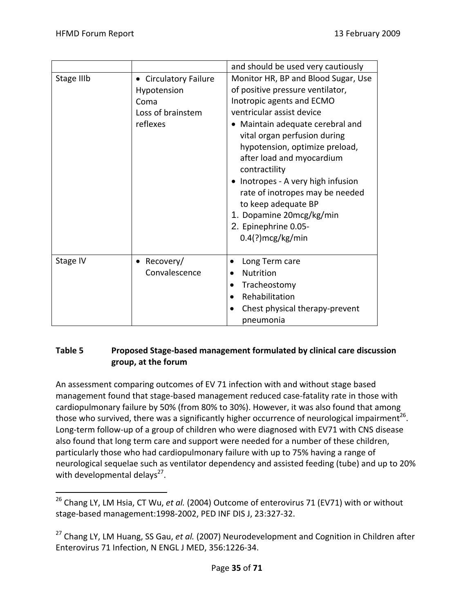|            |                                                                               | and should be used very cautiously                                                                                                                                                                                                                                                                                                                                                                                                                                           |
|------------|-------------------------------------------------------------------------------|------------------------------------------------------------------------------------------------------------------------------------------------------------------------------------------------------------------------------------------------------------------------------------------------------------------------------------------------------------------------------------------------------------------------------------------------------------------------------|
| Stage IIIb | • Circulatory Failure<br>Hypotension<br>Coma<br>Loss of brainstem<br>reflexes | Monitor HR, BP and Blood Sugar, Use<br>of positive pressure ventilator,<br>Inotropic agents and ECMO<br>ventricular assist device<br>• Maintain adequate cerebral and<br>vital organ perfusion during<br>hypotension, optimize preload,<br>after load and myocardium<br>contractility<br>Inotropes - A very high infusion<br>$\bullet$<br>rate of inotropes may be needed<br>to keep adequate BP<br>1. Dopamine 20mcg/kg/min<br>2. Epinephrine 0.05-<br>$0.4$ (?) mcg/kg/min |
| Stage IV   | Recovery/<br>Convalescence                                                    | Long Term care<br><b>Nutrition</b><br>Tracheostomy<br>Rehabilitation<br>Chest physical therapy-prevent<br>pneumonia                                                                                                                                                                                                                                                                                                                                                          |

## **Table 5 Proposed Stage‐based management formulated by clinical care discussion group, at the forum**

An assessment comparing outcomes of EV 71 infection with and without stage based management found that stage‐based management reduced case‐fatality rate in those with cardiopulmonary failure by 50% (from 80% to 30%). However, it was also found that among those who survived, there was a significantly higher occurrence of neurological impairment<sup>26</sup>. Long-term follow-up of a group of children who were diagnosed with EV71 with CNS disease also found that long term care and support were needed for a number of these children, particularly those who had cardiopulmonary failure with up to 75% having a range of neurological sequelae such as ventilator dependency and assisted feeding (tube) and up to 20% with developmental delays<sup>27</sup>.

 $\overline{a}$ <sup>26</sup> Chang LY, LM Hsia, CT Wu, *et al.* (2004) Outcome of enterovirus 71 (EV71) with or without stage‐based management:1998‐2002, PED INF DIS J, 23:327‐32.

<sup>27</sup> Chang LY, LM Huang, SS Gau, *et al.* (2007) Neurodevelopment and Cognition in Children after Enterovirus 71 Infection, N ENGL J MED, 356:1226‐34.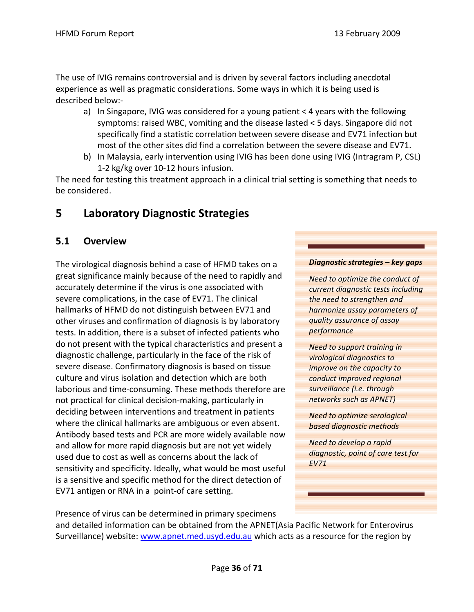The use of IVIG remains controversial and is driven by several factors including anecdotal experience as well as pragmatic considerations. Some ways in which it is being used is described below:‐

- a) In Singapore, IVIG was considered for a young patient < 4 years with the following symptoms: raised WBC, vomiting and the disease lasted < 5 days. Singapore did not specifically find a statistic correlation between severe disease and EV71 infection but most of the other sites did find a correlation between the severe disease and EV71.
- b) In Malaysia, early intervention using IVIG has been done using IVIG (Intragram P, CSL) 1‐2 kg/kg over 10‐12 hours infusion.

The need for testing this treatment approach in a clinical trial setting is something that needs to be considered.

# **5 Laboratory Diagnostic Strategies**

# **5.1 Overview**

The virological diagnosis behind a case of HFMD takes on a great significance mainly because of the need to rapidly and accurately determine if the virus is one associated with severe complications, in the case of EV71. The clinical hallmarks of HFMD do not distinguish between EV71 and other viruses and confirmation of diagnosis is by laboratory tests. In addition, there is a subset of infected patients who do not present with the typical characteristics and present a diagnostic challenge, particularly in the face of the risk of severe disease. Confirmatory diagnosis is based on tissue culture and virus isolation and detection which are both laborious and time‐consuming. These methods therefore are not practical for clinical decision‐making, particularly in deciding between interventions and treatment in patients where the clinical hallmarks are ambiguous or even absent. Antibody based tests and PCR are more widely available now and allow for more rapid diagnosis but are not yet widely used due to cost as well as concerns about the lack of sensitivity and specificity. Ideally, what would be most useful is a sensitive and specific method for the direct detection of EV71 antigen or RNA in a point‐of care setting.

### *Diagnostic strategies – key gaps*

*Need to optimize the conduct of current diagnostic tests including the need to strengthen and harmonize assay parameters of quality assurance of assay performance*

*Need to support training in virological diagnostics to improve on the capacity to conduct improved regional surveillance (i.e. through networks such as APNET)*

*Need to optimize serological based diagnostic methods*

*Need to develop a rapid diagnostic, point of care test for EV71* 

Presence of virus can be determined in primary specimens

and detailed information can be obtained from the APNET(Asia Pacific Network for Enterovirus Surveillance) website: www.apnet.med.usyd.edu.au which acts as a resource for the region by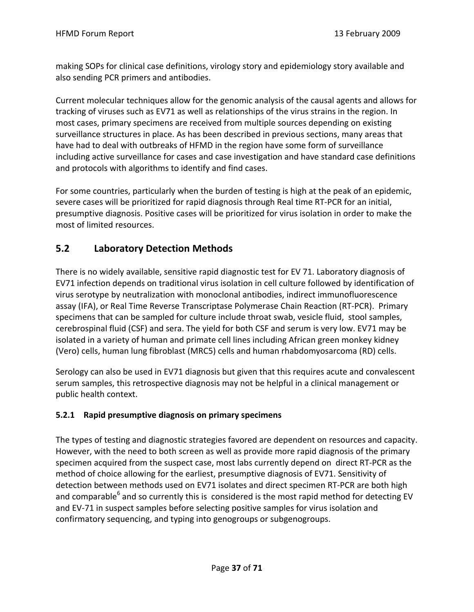making SOPs for clinical case definitions, virology story and epidemiology story available and also sending PCR primers and antibodies.

Current molecular techniques allow for the genomic analysis of the causal agents and allows for tracking of viruses such as EV71 as well as relationships of the virus strains in the region. In most cases, primary specimens are received from multiple sources depending on existing surveillance structures in place. As has been described in previous sections, many areas that have had to deal with outbreaks of HFMD in the region have some form of surveillance including active surveillance for cases and case investigation and have standard case definitions and protocols with algorithms to identify and find cases.

For some countries, particularly when the burden of testing is high at the peak of an epidemic, severe cases will be prioritized for rapid diagnosis through Real time RT‐PCR for an initial, presumptive diagnosis. Positive cases will be prioritized for virus isolation in order to make the most of limited resources.

# **5.2 Laboratory Detection Methods**

There is no widely available, sensitive rapid diagnostic test for EV 71. Laboratory diagnosis of EV71 infection depends on traditional virus isolation in cell culture followed by identification of virus serotype by neutralization with monoclonal antibodies, indirect immunofluorescence assay (IFA), or Real Time Reverse Transcriptase Polymerase Chain Reaction (RT‐PCR). Primary specimens that can be sampled for culture include throat swab, vesicle fluid, stool samples, cerebrospinal fluid (CSF) and sera. The yield for both CSF and serum is very low. EV71 may be isolated in a variety of human and primate cell lines including African green monkey kidney (Vero) cells, human lung fibroblast (MRC5) cells and human rhabdomyosarcoma (RD) cells.

Serology can also be used in EV71 diagnosis but given that this requires acute and convalescent serum samples, this retrospective diagnosis may not be helpful in a clinical management or public health context.

### **5.2.1 Rapid presumptive diagnosis on primary specimens**

The types of testing and diagnostic strategies favored are dependent on resources and capacity. However, with the need to both screen as well as provide more rapid diagnosis of the primary specimen acquired from the suspect case, most labs currently depend on direct RT‐PCR as the method of choice allowing for the earliest, presumptive diagnosis of EV71. Sensitivity of detection between methods used on EV71 isolates and direct specimen RT‐PCR are both high and comparable $^6$  and so currently this is considered is the most rapid method for detecting EV and EV-71 in suspect samples before selecting positive samples for virus isolation and confirmatory sequencing, and typing into genogroups or subgenogroups.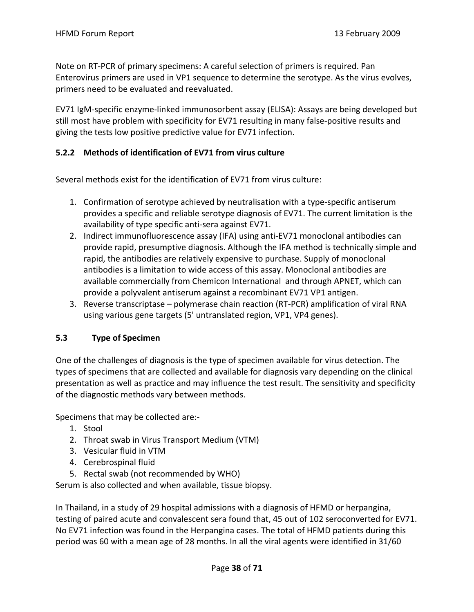Note on RT‐PCR of primary specimens: A careful selection of primers is required. Pan Enterovirus primers are used in VP1 sequence to determine the serotype. As the virus evolves, primers need to be evaluated and reevaluated.

EV71 IgM‐specific enzyme‐linked immunosorbent assay (ELISA): Assays are being developed but still most have problem with specificity for EV71 resulting in many false-positive results and giving the tests low positive predictive value for EV71 infection.

### **5.2.2 Methods of identification of EV71 from virus culture**

Several methods exist for the identification of EV71 from virus culture:

- 1. Confirmation of serotype achieved by neutralisation with a type‐specific antiserum provides a specific and reliable serotype diagnosis of EV71. The current limitation is the availability of type specific anti‐sera against EV71.
- 2. Indirect immunofluorescence assay (IFA) using anti‐EV71 monoclonal antibodies can provide rapid, presumptive diagnosis. Although the IFA method is technically simple and rapid, the antibodies are relatively expensive to purchase. Supply of monoclonal antibodies is a limitation to wide access of this assay. Monoclonal antibodies are available commercially from Chemicon International and through APNET, which can provide a polyvalent antiserum against a recombinant EV71 VP1 antigen.
- 3. Reverse transcriptase polymerase chain reaction (RT‐PCR) amplification of viral RNA using various gene targets (5' untranslated region, VP1, VP4 genes).

### **5.3 Type of Specimen**

One of the challenges of diagnosis is the type of specimen available for virus detection. The types of specimens that are collected and available for diagnosis vary depending on the clinical presentation as well as practice and may influence the test result. The sensitivity and specificity of the diagnostic methods vary between methods.

Specimens that may be collected are:‐

- 1. Stool
- 2. Throat swab in Virus Transport Medium (VTM)
- 3. Vesicular fluid in VTM
- 4. Cerebrospinal fluid
- 5. Rectal swab (not recommended by WHO)

Serum is also collected and when available, tissue biopsy.

In Thailand, in a study of 29 hospital admissions with a diagnosis of HFMD or herpangina, testing of paired acute and convalescent sera found that, 45 out of 102 seroconverted for EV71. No EV71 infection was found in the Herpangina cases. The total of HFMD patients during this period was 60 with a mean age of 28 months. In all the viral agents were identified in 31/60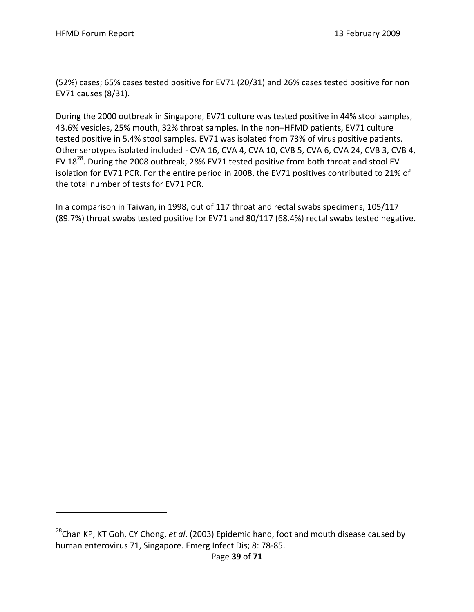$\overline{a}$ 

(52%) cases; 65% cases tested positive for EV71 (20/31) and 26% cases tested positive for non EV71 causes (8/31).

During the 2000 outbreak in Singapore, EV71 culture was tested positive in 44% stool samples, 43.6% vesicles, 25% mouth, 32% throat samples. In the non–HFMD patients, EV71 culture tested positive in 5.4% stool samples. EV71 was isolated from 73% of virus positive patients. Other serotypes isolated included - CVA 16, CVA 4, CVA 10, CVB 5, CVA 6, CVA 24, CVB 3, CVB 4, EV  $18^{28}$ . During the 2008 outbreak, 28% EV71 tested positive from both throat and stool EV isolation for EV71 PCR. For the entire period in 2008, the EV71 positives contributed to 21% of the total number of tests for EV71 PCR.

In a comparison in Taiwan, in 1998, out of 117 throat and rectal swabs specimens, 105/117 (89.7%) throat swabs tested positive for EV71 and 80/117 (68.4%) rectal swabs tested negative.

<sup>28</sup>Chan KP, KT Goh, CY Chong, *et al*. (2003) Epidemic hand, foot and mouth disease caused by human enterovirus 71, Singapore. Emerg Infect Dis; 8: 78‐85.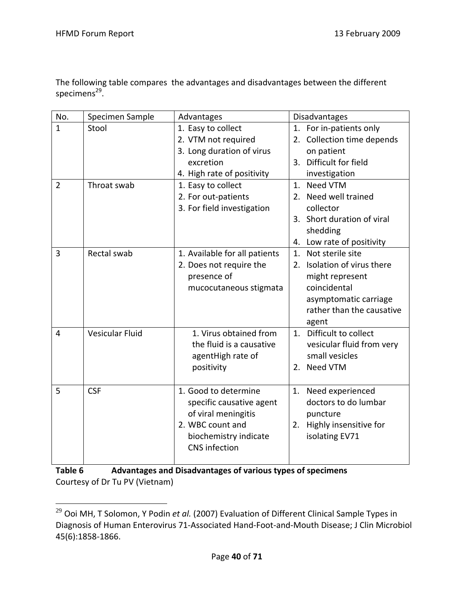$\overline{a}$ 

The following table compares the advantages and disadvantages between the different specimens<sup>29</sup>.

| No.            | Specimen Sample        | Advantages                    |             | <b>Disadvantages</b>       |
|----------------|------------------------|-------------------------------|-------------|----------------------------|
| $\mathbf{1}$   | Stool                  | 1. Easy to collect            |             | 1. For in-patients only    |
|                |                        | 2. VTM not required           |             | 2. Collection time depends |
|                |                        | 3. Long duration of virus     |             | on patient                 |
|                |                        | excretion                     |             | 3. Difficult for field     |
|                |                        | 4. High rate of positivity    |             | investigation              |
| $\overline{2}$ | Throat swab            | 1. Easy to collect            |             | 1. Need VTM                |
|                |                        | 2. For out-patients           |             | 2. Need well trained       |
|                |                        | 3. For field investigation    |             | collector                  |
|                |                        |                               |             | 3. Short duration of viral |
|                |                        |                               |             | shedding                   |
|                |                        |                               | 4.          | Low rate of positivity     |
| 3              | Rectal swab            | 1. Available for all patients | $1_{\cdot}$ | Not sterile site           |
|                |                        | 2. Does not require the       | $2_{1}$     | Isolation of virus there   |
|                |                        | presence of                   |             | might represent            |
|                |                        | mucocutaneous stigmata        |             | coincidental               |
|                |                        |                               |             | asymptomatic carriage      |
|                |                        |                               |             | rather than the causative  |
|                |                        |                               |             | agent                      |
| 4              | <b>Vesicular Fluid</b> | 1. Virus obtained from        |             | 1. Difficult to collect    |
|                |                        | the fluid is a causative      |             | vesicular fluid from very  |
|                |                        | agentHigh rate of             |             | small vesicles             |
|                |                        | positivity                    |             | 2. Need VTM                |
|                |                        |                               |             |                            |
| 5              | <b>CSF</b>             | 1. Good to determine          | 1.          | Need experienced           |
|                |                        | specific causative agent      |             | doctors to do lumbar       |
|                |                        | of viral meningitis           |             | puncture                   |
|                |                        | 2. WBC count and              | 2.          | Highly insensitive for     |
|                |                        | biochemistry indicate         |             | isolating EV71             |
|                |                        | <b>CNS</b> infection          |             |                            |
|                |                        |                               |             |                            |

**Table 6 Advantages and Disadvantages of various types of specimens** Courtesy of Dr Tu PV (Vietnam)

<sup>29</sup> Ooi MH, T Solomon, Y Podin *et al.* (2007) Evaluation of Different Clinical Sample Types in Diagnosis of Human Enterovirus 71‐Associated Hand‐Foot‐and‐Mouth Disease; J Clin Microbiol 45(6):1858‐1866.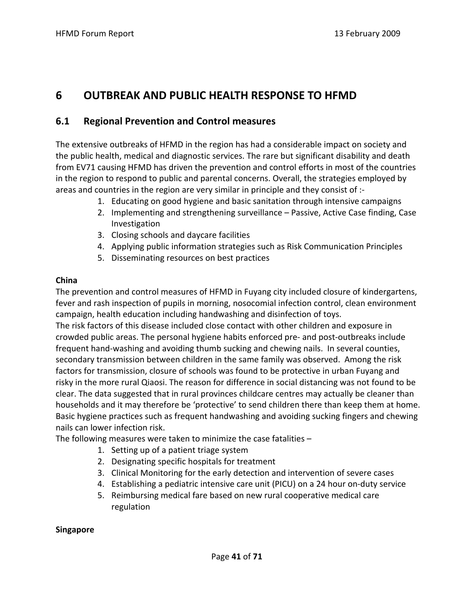# **6 OUTBREAK AND PUBLIC HEALTH RESPONSE TO HFMD**

## **6.1 Regional Prevention and Control measures**

The extensive outbreaks of HFMD in the region has had a considerable impact on society and the public health, medical and diagnostic services. The rare but significant disability and death from EV71 causing HFMD has driven the prevention and control efforts in most of the countries in the region to respond to public and parental concerns. Overall, the strategies employed by areas and countries in the region are very similar in principle and they consist of :‐

- 1. Educating on good hygiene and basic sanitation through intensive campaigns
- 2. Implementing and strengthening surveillance Passive, Active Case finding, Case Investigation
- 3. Closing schools and daycare facilities
- 4. Applying public information strategies such as Risk Communication Principles
- 5. Disseminating resources on best practices

### **China**

The prevention and control measures of HFMD in Fuyang city included closure of kindergartens, fever and rash inspection of pupils in morning, nosocomial infection control, clean environment campaign, health education including handwashing and disinfection of toys.

The risk factors of this disease included close contact with other children and exposure in crowded public areas. The personal hygiene habits enforced pre‐ and post‐outbreaks include frequent hand‐washing and avoiding thumb sucking and chewing nails. In several counties, secondary transmission between children in the same family was observed. Among the risk factors for transmission, closure of schools was found to be protective in urban Fuyang and risky in the more rural Qiaosi. The reason for difference in social distancing was not found to be clear. The data suggested that in rural provinces childcare centres may actually be cleaner than households and it may therefore be 'protective' to send children there than keep them at home. Basic hygiene practices such as frequent handwashing and avoiding sucking fingers and chewing nails can lower infection risk.

The following measures were taken to minimize the case fatalities –

- 1. Setting up of a patient triage system
- 2. Designating specific hospitals for treatment
- 3. Clinical Monitoring for the early detection and intervention of severe cases
- 4. Establishing a pediatric intensive care unit (PICU) on a 24 hour on-duty service
- 5. Reimbursing medical fare based on new rural cooperative medical care regulation

### **Singapore**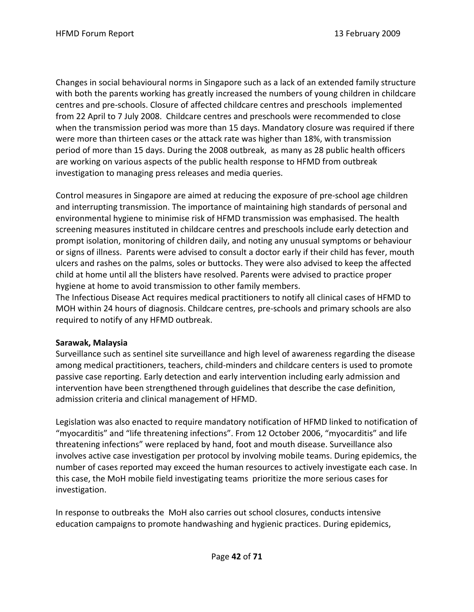Changes in social behavioural norms in Singapore such as a lack of an extended family structure with both the parents working has greatly increased the numbers of young children in childcare centres and pre‐schools. Closure of affected childcare centres and preschools implemented from 22 April to 7 July 2008. Childcare centres and preschools were recommended to close when the transmission period was more than 15 days. Mandatory closure was required if there were more than thirteen cases or the attack rate was higher than 18%, with transmission period of more than 15 days. During the 2008 outbreak, as many as 28 public health officers are working on various aspects of the public health response to HFMD from outbreak investigation to managing press releases and media queries.

Control measures in Singapore are aimed at reducing the exposure of pre‐school age children and interrupting transmission. The importance of maintaining high standards of personal and environmental hygiene to minimise risk of HFMD transmission was emphasised. The health screening measures instituted in childcare centres and preschools include early detection and prompt isolation, monitoring of children daily, and noting any unusual symptoms or behaviour or signs of illness. Parents were advised to consult a doctor early if their child has fever, mouth ulcers and rashes on the palms, soles or buttocks. They were also advised to keep the affected child at home until all the blisters have resolved. Parents were advised to practice proper hygiene at home to avoid transmission to other family members.

The Infectious Disease Act requires medical practitioners to notify all clinical cases of HFMD to MOH within 24 hours of diagnosis. Childcare centres, pre‐schools and primary schools are also required to notify of any HFMD outbreak.

### **Sarawak, Malaysia**

Surveillance such as sentinel site surveillance and high level of awareness regarding the disease among medical practitioners, teachers, child-minders and childcare centers is used to promote passive case reporting. Early detection and early intervention including early admission and intervention have been strengthened through guidelines that describe the case definition, admission criteria and clinical management of HFMD.

Legislation was also enacted to require mandatory notification of HFMD linked to notification of "myocarditis" and "life threatening infections". From 12 October 2006, "myocarditis" and life threatening infections" were replaced by hand, foot and mouth disease. Surveillance also involves active case investigation per protocol by involving mobile teams. During epidemics, the number of cases reported may exceed the human resources to actively investigate each case. In this case, the MoH mobile field investigating teams prioritize the more serious cases for investigation.

In response to outbreaks the MoH also carries out school closures, conducts intensive education campaigns to promote handwashing and hygienic practices. During epidemics,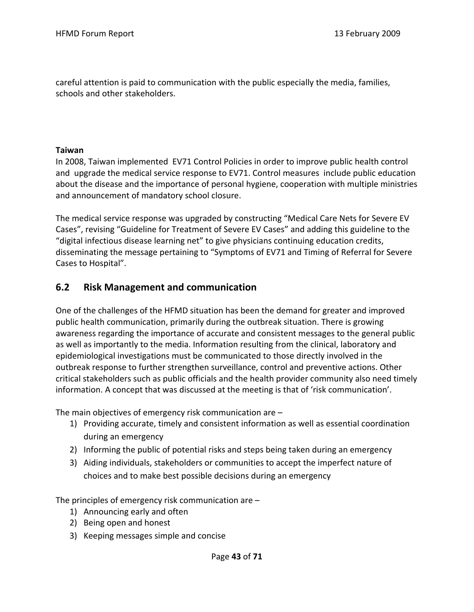careful attention is paid to communication with the public especially the media, families, schools and other stakeholders.

### **Taiwan**

In 2008, Taiwan implemented EV71 Control Policies in order to improve public health control and upgrade the medical service response to EV71. Control measures include public education about the disease and the importance of personal hygiene, cooperation with multiple ministries and announcement of mandatory school closure.

The medical service response was upgraded by constructing "Medical Care Nets for Severe EV Cases", revising "Guideline for Treatment of Severe EV Cases" and adding this guideline to the "digital infectious disease learning net" to give physicians continuing education credits, disseminating the message pertaining to "Symptoms of EV71 and Timing of Referral for Severe Cases to Hospital".

## **6.2 Risk Management and communication**

One of the challenges of the HFMD situation has been the demand for greater and improved public health communication, primarily during the outbreak situation. There is growing awareness regarding the importance of accurate and consistent messages to the general public as well as importantly to the media. Information resulting from the clinical, laboratory and epidemiological investigations must be communicated to those directly involved in the outbreak response to further strengthen surveillance, control and preventive actions. Other critical stakeholders such as public officials and the health provider community also need timely information. A concept that was discussed at the meeting is that of 'risk communication'.

The main objectives of emergency risk communication are –

- 1) Providing accurate, timely and consistent information as well as essential coordination during an emergency
- 2) Informing the public of potential risks and steps being taken during an emergency
- 3) Aiding individuals, stakeholders or communities to accept the imperfect nature of choices and to make best possible decisions during an emergency

The principles of emergency risk communication are –

- 1) Announcing early and often
- 2) Being open and honest
- 3) Keeping messages simple and concise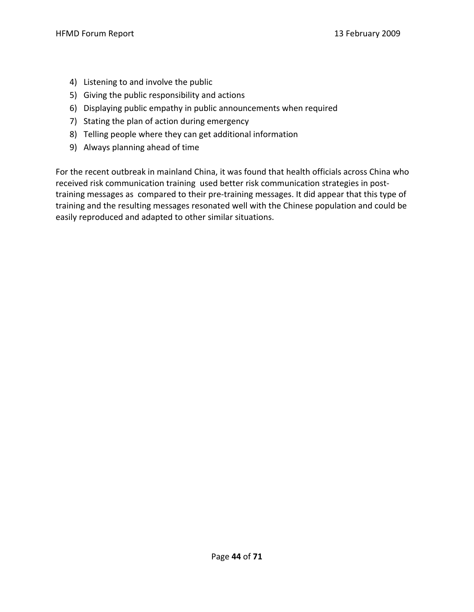- 4) Listening to and involve the public
- 5) Giving the public responsibility and actions
- 6) Displaying public empathy in public announcements when required
- 7) Stating the plan of action during emergency
- 8) Telling people where they can get additional information
- 9) Always planning ahead of time

For the recent outbreak in mainland China, it was found that health officials across China who received risk communication training used better risk communication strategies in post‐ training messages as compared to their pre‐training messages. It did appear that this type of training and the resulting messages resonated well with the Chinese population and could be easily reproduced and adapted to other similar situations.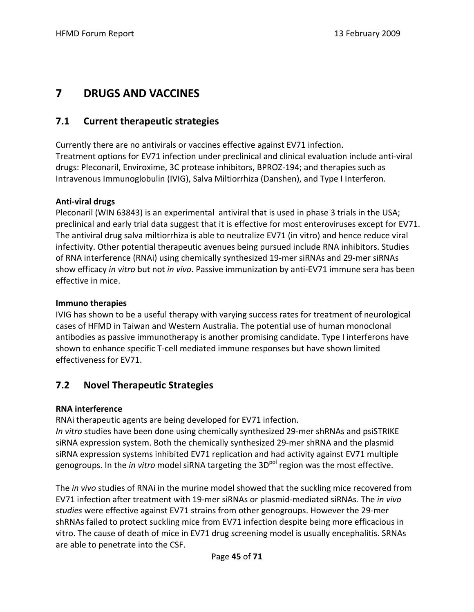# **7 DRUGS AND VACCINES**

# **7.1 Current therapeutic strategies**

Currently there are no antivirals or vaccines effective against EV71 infection. Treatment options for EV71 infection under preclinical and clinical evaluation include anti‐viral drugs: Pleconaril, Enviroxime, 3C protease inhibitors, BPROZ‐194; and therapies such as Intravenous Immunoglobulin (IVIG), Salva Miltiorrhiza (Danshen), and Type I Interferon.

## **Anti‐viral drugs**

Pleconaril (WIN 63843) is an experimental antiviral that is used in phase 3 trials in the USA; preclinical and early trial data suggest that it is effective for most enteroviruses except for EV71. The antiviral drug salva miltiorrhiza is able to neutralize EV71 (in vitro) and hence reduce viral infectivity. Other potential therapeutic avenues being pursued include RNA inhibitors. Studies of RNA interference (RNAi) using chemically synthesized 19‐mer siRNAs and 29‐mer siRNAs show efficacy *in vitro* but not *in vivo*. Passive immunization by anti‐EV71 immune sera has been effective in mice.

## **Immuno therapies**

IVIG has shown to be a useful therapy with varying success rates for treatment of neurological cases of HFMD in Taiwan and Western Australia. The potential use of human monoclonal antibodies as passive immunotherapy is another promising candidate. Type I interferons have shown to enhance specific T‐cell mediated immune responses but have shown limited effectiveness for EV71.

# **7.2 Novel Therapeutic Strategies**

## **RNA interference**

RNAi therapeutic agents are being developed for EV71 infection.

*In vitro* studies have been done using chemically synthesized 29‐mer shRNAs and psiSTRIKE siRNA expression system. Both the chemically synthesized 29-mer shRNA and the plasmid siRNA expression systems inhibited EV71 replication and had activity against EV71 multiple genogroups. In the *in vitro* model siRNA targeting the 3D<sup>pol</sup> region was the most effective.

The *in vivo* studies of RNAi in the murine model showed that the suckling mice recovered from EV71 infection after treatment with 19‐mer siRNAs or plasmid‐mediated siRNAs. The *in vivo studies* were effective against EV71 strains from other genogroups. However the 29‐mer shRNAs failed to protect suckling mice from EV71 infection despite being more efficacious in vitro. The cause of death of mice in EV71 drug screening model is usually encephalitis. SRNAs are able to penetrate into the CSF.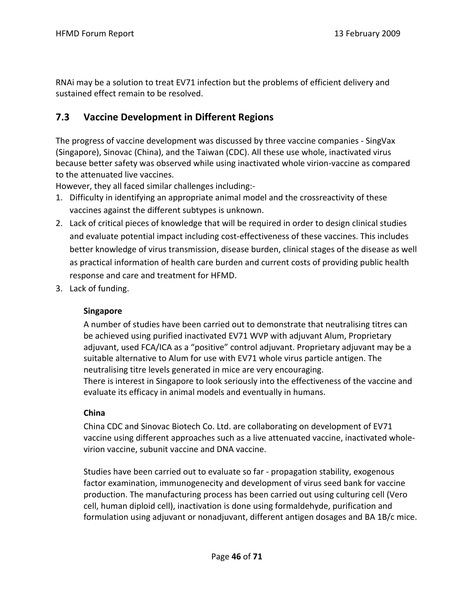RNAi may be a solution to treat EV71 infection but the problems of efficient delivery and sustained effect remain to be resolved.

# **7.3 Vaccine Development in Different Regions**

The progress of vaccine development was discussed by three vaccine companies ‐ SingVax (Singapore), Sinovac (China), and the Taiwan (CDC). All these use whole, inactivated virus because better safety was observed while using inactivated whole virion‐vaccine as compared to the attenuated live vaccines.

However, they all faced similar challenges including:‐

- 1. Difficulty in identifying an appropriate animal model and the crossreactivity of these vaccines against the different subtypes is unknown.
- 2. Lack of critical pieces of knowledge that will be required in order to design clinical studies and evaluate potential impact including cost‐effectiveness of these vaccines. This includes better knowledge of virus transmission, disease burden, clinical stages of the disease as well as practical information of health care burden and current costs of providing public health response and care and treatment for HFMD.
- 3. Lack of funding.

## **Singapore**

A number of studies have been carried out to demonstrate that neutralising titres can be achieved using purified inactivated EV71 WVP with adjuvant Alum, Proprietary adjuvant, used FCA/ICA as a "positive" control adjuvant. Proprietary adjuvant may be a suitable alternative to Alum for use with EV71 whole virus particle antigen. The neutralising titre levels generated in mice are very encouraging. There is interest in Singapore to look seriously into the effectiveness of the vaccine and evaluate its efficacy in animal models and eventually in humans.

# **China**

China CDC and Sinovac Biotech Co. Ltd. are collaborating on development of EV71 vaccine using different approaches such as a live attenuated vaccine, inactivated whole‐ virion vaccine, subunit vaccine and DNA vaccine.

Studies have been carried out to evaluate so far ‐ propagation stability, exogenous factor examination, immunogenecity and development of virus seed bank for vaccine production. The manufacturing process has been carried out using culturing cell (Vero cell, human diploid cell), inactivation is done using formaldehyde, purification and formulation using adjuvant or nonadjuvant, different antigen dosages and BA 1B/c mice.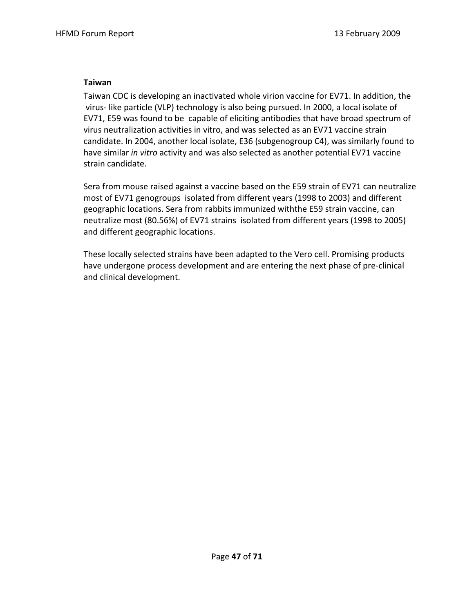## **Taiwan**

Taiwan CDC is developing an inactivated whole virion vaccine for EV71. In addition, the virus‐ like particle (VLP) technology is also being pursued. In 2000, a local isolate of EV71, E59 was found to be capable of eliciting antibodies that have broad spectrum of virus neutralization activities in vitro, and was selected as an EV71 vaccine strain candidate. In 2004, another local isolate, E36 (subgenogroup C4), was similarly found to have similar *in vitro* activity and was also selected as another potential EV71 vaccine strain candidate.

Sera from mouse raised against a vaccine based on the E59 strain of EV71 can neutralize most of EV71 genogroups isolated from different years (1998 to 2003) and different geographic locations. Sera from rabbits immunized withthe E59 strain vaccine, can neutralize most (80.56%) of EV71 strains isolated from different years (1998 to 2005) and different geographic locations.

These locally selected strains have been adapted to the Vero cell. Promising products have undergone process development and are entering the next phase of pre‐clinical and clinical development.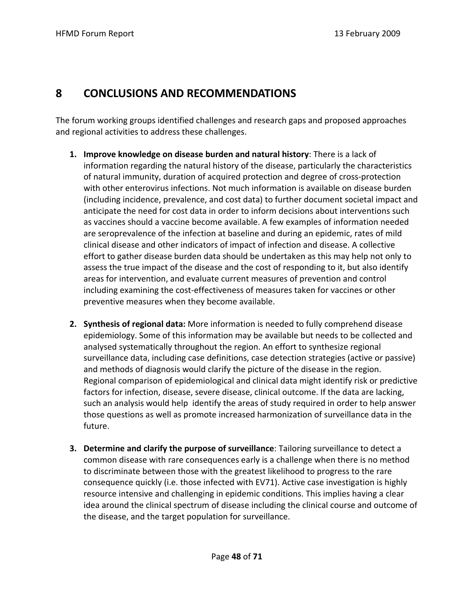# **8 CONCLUSIONS AND RECOMMENDATIONS**

The forum working groups identified challenges and research gaps and proposed approaches and regional activities to address these challenges.

- **1. Improve knowledge on disease burden and natural history**: There is a lack of information regarding the natural history of the disease, particularly the characteristics of natural immunity, duration of acquired protection and degree of cross‐protection with other enterovirus infections. Not much information is available on disease burden (including incidence, prevalence, and cost data) to further document societal impact and anticipate the need for cost data in order to inform decisions about interventions such as vaccines should a vaccine become available. A few examples of information needed are seroprevalence of the infection at baseline and during an epidemic, rates of mild clinical disease and other indicators of impact of infection and disease. A collective effort to gather disease burden data should be undertaken as this may help not only to assess the true impact of the disease and the cost of responding to it, but also identify areas for intervention, and evaluate current measures of prevention and control including examining the cost‐effectiveness of measures taken for vaccines or other preventive measures when they become available.
- **2. Synthesis of regional data:** More information is needed to fully comprehend disease epidemiology. Some of this information may be available but needs to be collected and analysed systematically throughout the region. An effort to synthesize regional surveillance data, including case definitions, case detection strategies (active or passive) and methods of diagnosis would clarify the picture of the disease in the region. Regional comparison of epidemiological and clinical data might identify risk or predictive factors for infection, disease, severe disease, clinical outcome. If the data are lacking, such an analysis would help identify the areas of study required in order to help answer those questions as well as promote increased harmonization of surveillance data in the future.
- **3. Determine and clarify the purpose of surveillance**: Tailoring surveillance to detect a common disease with rare consequences early is a challenge when there is no method to discriminate between those with the greatest likelihood to progress to the rare consequence quickly (i.e. those infected with EV71). Active case investigation is highly resource intensive and challenging in epidemic conditions. This implies having a clear idea around the clinical spectrum of disease including the clinical course and outcome of the disease, and the target population for surveillance.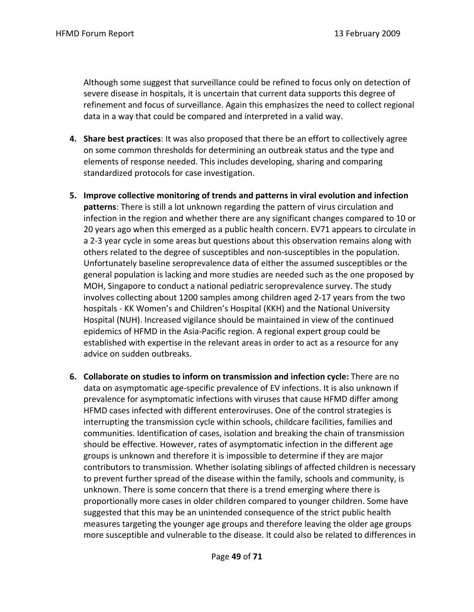Although some suggest that surveillance could be refined to focus only on detection of severe disease in hospitals, it is uncertain that current data supports this degree of refinement and focus of surveillance. Again this emphasizes the need to collect regional data in a way that could be compared and interpreted in a valid way.

- **4. Share best practices**: It was also proposed that there be an effort to collectively agree on some common thresholds for determining an outbreak status and the type and elements of response needed. This includes developing, sharing and comparing standardized protocols for case investigation.
- **5. Improve collective monitoring of trends and patterns in viral evolution and infection patterns**: There is still a lot unknown regarding the pattern of virus circulation and infection in the region and whether there are any significant changes compared to 10 or 20 years ago when this emerged as a public health concern. EV71 appears to circulate in a 2‐3 year cycle in some areas but questions about this observation remains along with others related to the degree of susceptibles and non‐susceptibles in the population. Unfortunately baseline seroprevalence data of either the assumed susceptibles or the general population is lacking and more studies are needed such as the one proposed by MOH, Singapore to conduct a national pediatric seroprevalence survey. The study involves collecting about 1200 samples among children aged 2‐17 years from the two hospitals ‐ KK Women's and Children's Hospital (KKH) and the National University Hospital (NUH). Increased vigilance should be maintained in view of the continued epidemics of HFMD in the Asia‐Pacific region. A regional expert group could be established with expertise in the relevant areas in order to act as a resource for any advice on sudden outbreaks.
- **6. Collaborate on studies to inform on transmission and infection cycle:** There are no data on asymptomatic age‐specific prevalence of EV infections. It is also unknown if prevalence for asymptomatic infections with viruses that cause HFMD differ among HFMD cases infected with different enteroviruses. One of the control strategies is interrupting the transmission cycle within schools, childcare facilities, families and communities. Identification of cases, isolation and breaking the chain of transmission should be effective. However, rates of asymptomatic infection in the different age groups is unknown and therefore it is impossible to determine if they are major contributors to transmission. Whether isolating siblings of affected children is necessary to prevent further spread of the disease within the family, schools and community, is unknown. There is some concern that there is a trend emerging where there is proportionally more cases in older children compared to younger children. Some have suggested that this may be an unintended consequence of the strict public health measures targeting the younger age groups and therefore leaving the older age groups more susceptible and vulnerable to the disease. It could also be related to differences in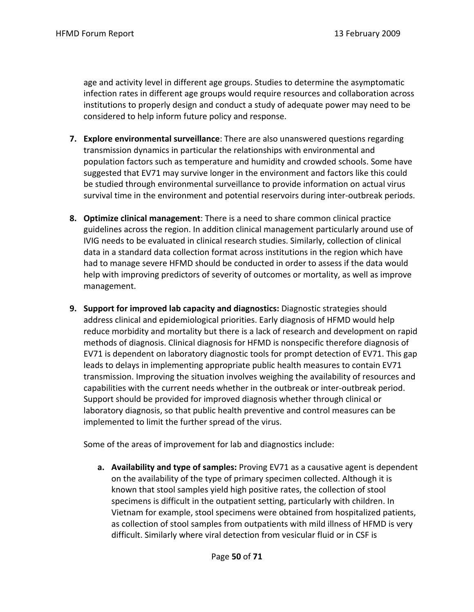age and activity level in different age groups. Studies to determine the asymptomatic infection rates in different age groups would require resources and collaboration across institutions to properly design and conduct a study of adequate power may need to be considered to help inform future policy and response.

- **7. Explore environmental surveillance**: There are also unanswered questions regarding transmission dynamics in particular the relationships with environmental and population factors such as temperature and humidity and crowded schools. Some have suggested that EV71 may survive longer in the environment and factors like this could be studied through environmental surveillance to provide information on actual virus survival time in the environment and potential reservoirs during inter-outbreak periods.
- **8. Optimize clinical management**: There is a need to share common clinical practice guidelines across the region. In addition clinical management particularly around use of IVIG needs to be evaluated in clinical research studies. Similarly, collection of clinical data in a standard data collection format across institutions in the region which have had to manage severe HFMD should be conducted in order to assess if the data would help with improving predictors of severity of outcomes or mortality, as well as improve management.
- **9. Support for improved lab capacity and diagnostics:** Diagnostic strategies should address clinical and epidemiological priorities. Early diagnosis of HFMD would help reduce morbidity and mortality but there is a lack of research and development on rapid methods of diagnosis. Clinical diagnosis for HFMD is nonspecific therefore diagnosis of EV71 is dependent on laboratory diagnostic tools for prompt detection of EV71. This gap leads to delays in implementing appropriate public health measures to contain EV71 transmission. Improving the situation involves weighing the availability of resources and capabilities with the current needs whether in the outbreak or inter‐outbreak period. Support should be provided for improved diagnosis whether through clinical or laboratory diagnosis, so that public health preventive and control measures can be implemented to limit the further spread of the virus.

Some of the areas of improvement for lab and diagnostics include:

**a. Availability and type of samples:** Proving EV71 as a causative agent is dependent on the availability of the type of primary specimen collected. Although it is known that stool samples yield high positive rates, the collection of stool specimens is difficult in the outpatient setting, particularly with children. In Vietnam for example, stool specimens were obtained from hospitalized patients, as collection of stool samples from outpatients with mild illness of HFMD is very difficult. Similarly where viral detection from vesicular fluid or in CSF is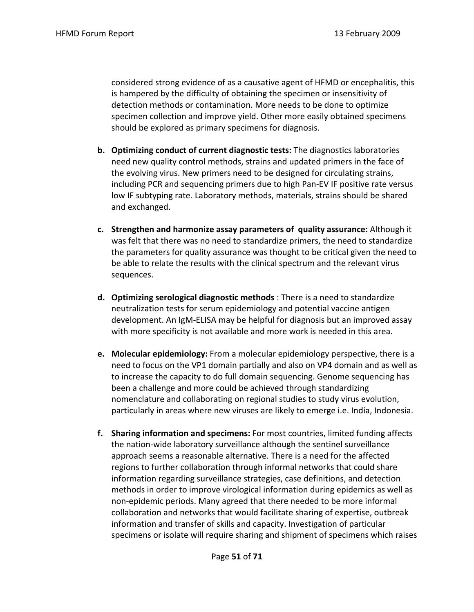considered strong evidence of as a causative agent of HFMD or encephalitis, this is hampered by the difficulty of obtaining the specimen or insensitivity of detection methods or contamination. More needs to be done to optimize specimen collection and improve yield. Other more easily obtained specimens should be explored as primary specimens for diagnosis.

- **b. Optimizing conduct of current diagnostic tests:** The diagnostics laboratories need new quality control methods, strains and updated primers in the face of the evolving virus. New primers need to be designed for circulating strains, including PCR and sequencing primers due to high Pan‐EV IF positive rate versus low IF subtyping rate. Laboratory methods, materials, strains should be shared and exchanged.
- **c. Strengthen and harmonize assay parameters of quality assurance:** Although it was felt that there was no need to standardize primers, the need to standardize the parameters for quality assurance was thought to be critical given the need to be able to relate the results with the clinical spectrum and the relevant virus sequences.
- **d. Optimizing serological diagnostic methods** : There is a need to standardize neutralization tests for serum epidemiology and potential vaccine antigen development. An IgM‐ELISA may be helpful for diagnosis but an improved assay with more specificity is not available and more work is needed in this area.
- **e. Molecular epidemiology:** From a molecular epidemiology perspective, there is a need to focus on the VP1 domain partially and also on VP4 domain and as well as to increase the capacity to do full domain sequencing. Genome sequencing has been a challenge and more could be achieved through standardizing nomenclature and collaborating on regional studies to study virus evolution, particularly in areas where new viruses are likely to emerge i.e. India, Indonesia.
- **f. Sharing information and specimens:** For most countries, limited funding affects the nation‐wide laboratory surveillance although the sentinel surveillance approach seems a reasonable alternative. There is a need for the affected regions to further collaboration through informal networks that could share information regarding surveillance strategies, case definitions, and detection methods in order to improve virological information during epidemics as well as non‐epidemic periods. Many agreed that there needed to be more informal collaboration and networks that would facilitate sharing of expertise, outbreak information and transfer of skills and capacity. Investigation of particular specimens or isolate will require sharing and shipment of specimens which raises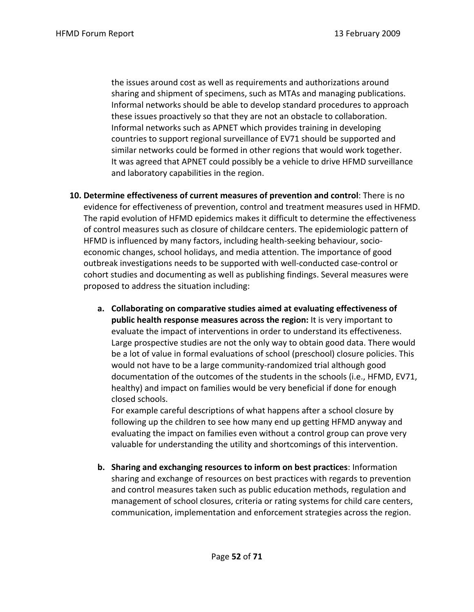the issues around cost as well as requirements and authorizations around sharing and shipment of specimens, such as MTAs and managing publications. Informal networks should be able to develop standard procedures to approach these issues proactively so that they are not an obstacle to collaboration. Informal networks such as APNET which provides training in developing countries to support regional surveillance of EV71 should be supported and similar networks could be formed in other regions that would work together. It was agreed that APNET could possibly be a vehicle to drive HFMD surveillance and laboratory capabilities in the region.

- **10. Determine effectiveness of current measures of prevention and control**: There is no evidence for effectiveness of prevention, control and treatment measures used in HFMD. The rapid evolution of HFMD epidemics makes it difficult to determine the effectiveness of control measures such as closure of childcare centers. The epidemiologic pattern of HFMD is influenced by many factors, including health‐seeking behaviour, socio‐ economic changes, school holidays, and media attention. The importance of good outbreak investigations needs to be supported with well‐conducted case‐control or cohort studies and documenting as well as publishing findings. Several measures were proposed to address the situation including:
	- **a. Collaborating on comparative studies aimed at evaluating effectiveness of public health response measures across the region:** It is very important to evaluate the impact of interventions in order to understand its effectiveness. Large prospective studies are not the only way to obtain good data. There would be a lot of value in formal evaluations of school (preschool) closure policies. This would not have to be a large community‐randomized trial although good documentation of the outcomes of the students in the schools (i.e., HFMD, EV71, healthy) and impact on families would be very beneficial if done for enough closed schools.

 For example careful descriptions of what happens after a school closure by following up the children to see how many end up getting HFMD anyway and evaluating the impact on families even without a control group can prove very valuable for understanding the utility and shortcomings of this intervention.

**b. Sharing and exchanging resources to inform on best practices**: Information sharing and exchange of resources on best practices with regards to prevention and control measures taken such as public education methods, regulation and management of school closures, criteria or rating systems for child care centers, communication, implementation and enforcement strategies across the region.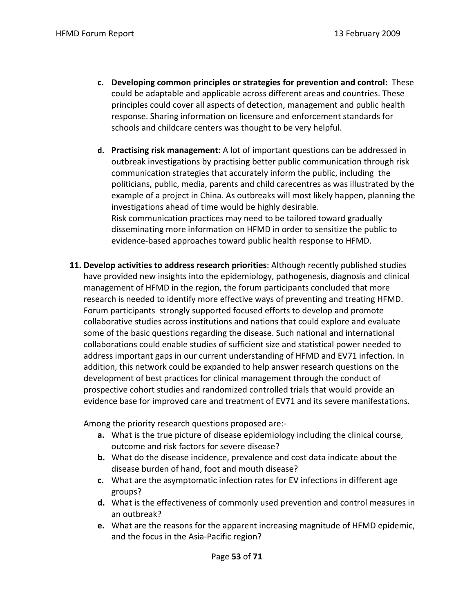- **c. Developing common principles or strategies for prevention and control:** These could be adaptable and applicable across different areas and countries. These principles could cover all aspects of detection, management and public health response. Sharing information on licensure and enforcement standards for schools and childcare centers was thought to be very helpful.
- **d. Practising risk management:** A lot of important questions can be addressed in outbreak investigations by practising better public communication through risk communication strategies that accurately inform the public, including the politicians, public, media, parents and child carecentres as was illustrated by the example of a project in China. As outbreaks will most likely happen, planning the investigations ahead of time would be highly desirable. Risk communication practices may need to be tailored toward gradually disseminating more information on HFMD in order to sensitize the public to evidence‐based approaches toward public health response to HFMD.
- **11. Develop activities to address research priorities**: Although recently published studies have provided new insights into the epidemiology, pathogenesis, diagnosis and clinical management of HFMD in the region, the forum participants concluded that more research is needed to identify more effective ways of preventing and treating HFMD. Forum participants strongly supported focused efforts to develop and promote collaborative studies across institutions and nations that could explore and evaluate some of the basic questions regarding the disease. Such national and international collaborations could enable studies of sufficient size and statistical power needed to address important gaps in our current understanding of HFMD and EV71 infection. In addition, this network could be expanded to help answer research questions on the development of best practices for clinical management through the conduct of prospective cohort studies and randomized controlled trials that would provide an evidence base for improved care and treatment of EV71 and its severe manifestations.

Among the priority research questions proposed are:‐

- **a.** What is the true picture of disease epidemiology including the clinical course, outcome and risk factors for severe disease?
- **b.** What do the disease incidence, prevalence and cost data indicate about the disease burden of hand, foot and mouth disease?
- **c.** What are the asymptomatic infection rates for EV infections in different age groups?
- **d.** What is the effectiveness of commonly used prevention and control measures in an outbreak?
- **e.** What are the reasons for the apparent increasing magnitude of HFMD epidemic, and the focus in the Asia‐Pacific region?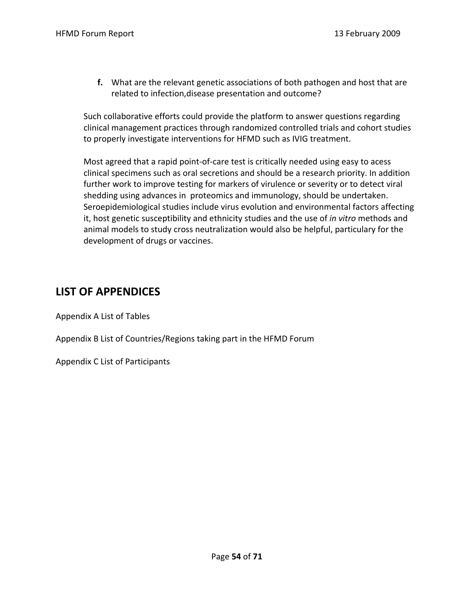**f.** What are the relevant genetic associations of both pathogen and host that are related to infection,disease presentation and outcome?

Such collaborative efforts could provide the platform to answer questions regarding clinical management practices through randomized controlled trials and cohort studies to properly investigate interventions for HFMD such as IVIG treatment.

Most agreed that a rapid point‐of‐care test is critically needed using easy to acess clinical specimens such as oral secretions and should be a research priority. In addition further work to improve testing for markers of virulence or severity or to detect viral shedding using advances in proteomics and immunology, should be undertaken. Seroepidemiological studies include virus evolution and environmental factors affecting it, host genetic susceptibility and ethnicity studies and the use of *in vitro* methods and animal models to study cross neutralization would also be helpful, particulary for the development of drugs or vaccines.

# **LIST OF APPENDICES**

Appendix A List of Tables

Appendix B List of Countries/Regions taking part in the HFMD Forum

Appendix C List of Participants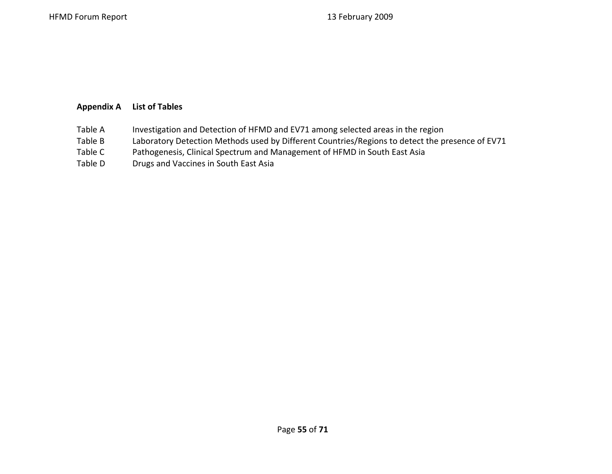### **Appendix A List of Tables**

- Table AInvestigation and Detection of HFMD and EV71 among selected areas in the region
- Table BLaboratory Detection Methods used by Different Countries/Regions to detect the presence of EV71
- Table CPathogenesis, Clinical Spectrum and Management of HFMD in South East Asia
- Table DDrugs and Vaccines in South East Asia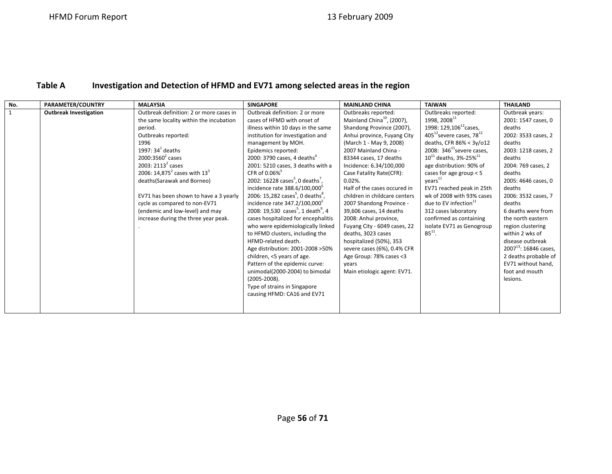#### **Table AInvestigation and Detection of HFMD and EV71 among selected areas in the region**

| No.          | PARAMETER/COUNTRY             | <b>MALAYSIA</b>                         | <b>SINGAPORE</b>                                           | <b>MAINLAND CHINA</b>                  | <b>TAIWAN</b>                          | <b>THAILAND</b>            |
|--------------|-------------------------------|-----------------------------------------|------------------------------------------------------------|----------------------------------------|----------------------------------------|----------------------------|
| $\mathbf{1}$ | <b>Outbreak Investigation</b> | Outbreak definition: 2 or more cases in | Outbreak definition: 2 or more                             | Outbreaks reported:                    | Outbreaks reported:                    | Outbreak years:            |
|              |                               | the same locality within the incubation | cases of HFMD with onset of                                | Mainland China <sup>10</sup> , (2007), | 1998, 2008 $^{11}$                     | 2001: 1547 cases, 0        |
|              |                               | period.                                 | illness within 10 days in the same                         | Shandong Province (2007),              | 1998: $129,106^{12}$ cases,            | deaths                     |
|              |                               | Outbreaks reported:                     | institution for investigation and                          | Anhui province, Fuyang City            | 405 $^{12}$ severe cases, 78 $^{12}$   | 2002: 3533 cases, 2        |
|              |                               | 1996                                    | management by MOH.                                         | (March 1 - May 9, 2008)                | deaths, CFR 86% < 3y/o12               | deaths                     |
|              |                               | 1997: $34^1$ deaths                     | Epidemics reported:                                        | 2007 Mainland China -                  | 2008: $346^{\text{11}}$ severe cases,  | 2003: 1218 cases, 2        |
|              |                               | $2000:3560^2$ cases                     | 2000: 3790 cases, 4 deaths <sup>4</sup>                    | 83344 cases, 17 deaths                 | $10^{11}$ deaths, 3%-25% <sup>11</sup> | deaths                     |
|              |                               | 2003: $2113^2$ cases                    | 2001: 5210 cases, 3 deaths with a                          | Incidence: 6.34/100,000                | age distribution: 90% of               | 2004: 769 cases, 2         |
|              |                               | 2006: $14,875^2$ cases with $13^3$      | CFR of 0.06% <sup>5</sup>                                  | Case Fatality Rate(CFR):               | cases for age group $< 5$              | deaths                     |
|              |                               | deaths(Sarawak and Borneo)              | 2002: 16228 cases <sup>5</sup> , 0 deaths <sup>7</sup> ,   | $0.02%$ .                              | years <sup>11</sup>                    | 2005: 4646 cases, 0        |
|              |                               |                                         | incidence rate 388.6/100,000 <sup>5</sup>                  | Half of the cases occured in           | EV71 reached peak in 25th              | deaths                     |
|              |                               | EV71 has been shown to have a 3 yearly  | 2006: 15,282 cases <sup>5</sup> , 0 deaths <sup>8</sup> ,  | children in childcare centers          | wk of 2008 with 93% cases              | 2006: 3532 cases, 7        |
|              |                               | cycle as compared to non-EV71           | incidence rate 347.2/100,000 <sup>5</sup>                  | 2007 Shandong Province -               | due to EV infection <sup>11</sup>      | deaths                     |
|              |                               | (endemic and low-level) and may         | 2008: 19,530 cases <sup>5</sup> , 1 death <sup>9</sup> , 4 | 39,606 cases, 14 deaths                | 312 cases laboratory                   | 6 deaths were from         |
|              |                               | increase during the three year peak.    | cases hospitalized for encephalitis                        | 2008: Anhui province,                  | confirmed as containing                | the north eastern          |
|              |                               |                                         | who were epidemiologically linked                          | Fuyang City - 6049 cases, 22           | isolate EV71 as Genogroup              | region clustering          |
|              |                               |                                         | to HFMD clusters, including the                            | deaths, 3023 cases                     | $BS^{11}$ .                            | within 2 wks of            |
|              |                               |                                         | HFMD-related death.                                        | hospitalized (50%), 353                |                                        | disease outbreak           |
|              |                               |                                         | Age distribution: 2001-2008 > 50%                          | severe cases (6%), 0.4% CFR            |                                        | $2007^{13}$ : 16846 cases, |
|              |                               |                                         | children, <5 years of age.                                 | Age Group: 78% cases <3                |                                        | 2 deaths probable of       |
|              |                               |                                         | Pattern of the epidemic curve:                             | years                                  |                                        | EV71 without hand,         |
|              |                               |                                         | unimodal(2000-2004) to bimodal                             | Main etiologic agent: EV71.            |                                        | foot and mouth             |
|              |                               |                                         | $(2005 - 2008).$                                           |                                        |                                        | lesions.                   |
|              |                               |                                         | Type of strains in Singapore                               |                                        |                                        |                            |
|              |                               |                                         | causing HFMD: CA16 and EV71                                |                                        |                                        |                            |
|              |                               |                                         |                                                            |                                        |                                        |                            |
|              |                               |                                         |                                                            |                                        |                                        |                            |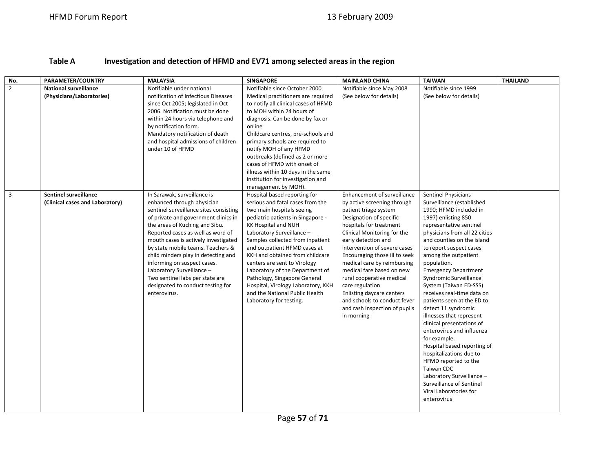#### **Table AInvestigation and detection of HFMD and EV71 among selected areas in the region**

| No.                     | <b>PARAMETER/COUNTRY</b>                                        | <b>MALAYSIA</b>                                                                                                                                                                                                                                                                                                                                                                                                                                                                            | <b>SINGAPORE</b>                                                                                                                                                                                                                                                                                                                                                                                                                                                                                    | <b>MAINLAND CHINA</b>                                                                                                                                                                                                                                                                                                                                                                                                                                                                           | <b>TAIWAN</b>                                                                                                                                                                                                                                                                                                                                                                                                                                                                                                                                                                                                                                                                                                                                      | <b>THAILAND</b> |
|-------------------------|-----------------------------------------------------------------|--------------------------------------------------------------------------------------------------------------------------------------------------------------------------------------------------------------------------------------------------------------------------------------------------------------------------------------------------------------------------------------------------------------------------------------------------------------------------------------------|-----------------------------------------------------------------------------------------------------------------------------------------------------------------------------------------------------------------------------------------------------------------------------------------------------------------------------------------------------------------------------------------------------------------------------------------------------------------------------------------------------|-------------------------------------------------------------------------------------------------------------------------------------------------------------------------------------------------------------------------------------------------------------------------------------------------------------------------------------------------------------------------------------------------------------------------------------------------------------------------------------------------|----------------------------------------------------------------------------------------------------------------------------------------------------------------------------------------------------------------------------------------------------------------------------------------------------------------------------------------------------------------------------------------------------------------------------------------------------------------------------------------------------------------------------------------------------------------------------------------------------------------------------------------------------------------------------------------------------------------------------------------------------|-----------------|
| $\overline{2}$          | <b>National surveillance</b><br>(Physicians/Laboratories)       | Notifiable under national<br>notification of Infectious Diseases<br>since Oct 2005; legislated in Oct<br>2006. Notification must be done<br>within 24 hours via telephone and<br>by notification form.<br>Mandatory notification of death<br>and hospital admissions of children<br>under 10 of HFMD                                                                                                                                                                                       | Notifiable since October 2000<br>Medical practitioners are required<br>to notify all clinical cases of HFMD<br>to MOH within 24 hours of<br>diagnosis. Can be done by fax or<br>online<br>Childcare centres, pre-schools and<br>primary schools are required to<br>notify MOH of any HFMD<br>outbreaks (defined as 2 or more<br>cases of HFMD with onset of<br>illness within 10 days in the same<br>institution for investigation and<br>management by MOH).                                       | Notifiable since May 2008<br>(See below for details)                                                                                                                                                                                                                                                                                                                                                                                                                                            | Notifiable since 1999<br>(See below for details)                                                                                                                                                                                                                                                                                                                                                                                                                                                                                                                                                                                                                                                                                                   |                 |
| $\overline{\mathbf{3}}$ | <b>Sentinel surveillance</b><br>(Clinical cases and Laboratory) | In Sarawak, surveillance is<br>enhanced through physician<br>sentinel surveillance sites consisting<br>of private and government clinics in<br>the areas of Kuching and Sibu.<br>Reported cases as well as word of<br>mouth cases is actively investigated<br>by state mobile teams. Teachers &<br>child minders play in detecting and<br>informing on suspect cases.<br>Laboratory Surveillance -<br>Two sentinel labs per state are<br>designated to conduct testing for<br>enterovirus. | Hospital based reporting for<br>serious and fatal cases from the<br>two main hospitals seeing<br>pediatric patients in Singapore -<br>KK Hospital and NUH<br>Laboratory Surveillance -<br>Samples collected from inpatient<br>and outpatient HFMD cases at<br>KKH and obtained from childcare<br>centers are sent to Virology<br>Laboratory of the Department of<br>Pathology, Singapore General<br>Hospital, Virology Laboratory, KKH<br>and the National Public Health<br>Laboratory for testing. | Enhancement of surveillance<br>by active screening through<br>patient triage system<br>Designation of specific<br>hospitals for treatment<br>Clinical Monitoring for the<br>early detection and<br>intervention of severe cases<br>Encouraging those ill to seek<br>medical care by reimbursing<br>medical fare based on new<br>rural cooperative medical<br>care regulation<br><b>Enlisting daycare centers</b><br>and schools to conduct fever<br>and rash inspection of pupils<br>in morning | <b>Sentinel Physicians</b><br>Surveillance (established<br>1990; HFMD included in<br>1997) enlisting 850<br>representative sentinel<br>physicians from all 22 cities<br>and counties on the island<br>to report suspect cases<br>among the outpatient<br>population.<br><b>Emergency Department</b><br>Syndromic Surveillance<br>System (Taiwan ED-SSS)<br>receives real-time data on<br>patients seen at the ED to<br>detect 11 syndromic<br>illnesses that represent<br>clinical presentations of<br>enterovirus and influenza<br>for example.<br>Hospital based reporting of<br>hospitalizations due to<br>HFMD reported to the<br>Taiwan CDC<br>Laboratory Surveillance -<br>Surveillance of Sentinel<br>Viral Laboratories for<br>enterovirus |                 |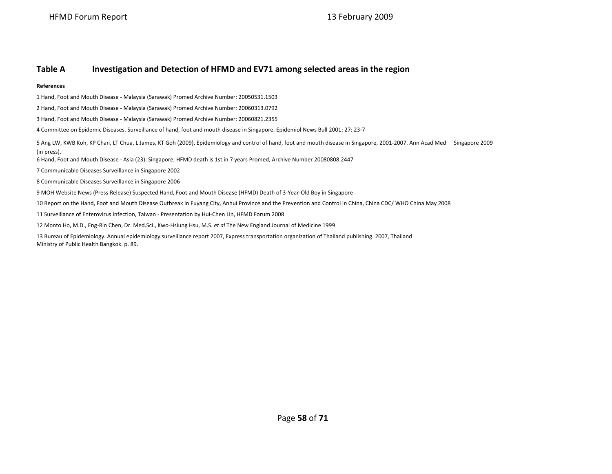13 February 2009

#### **Table AInvestigation and Detection of HFMD and EV71 among selected areas in the region**

### **References**

1 Hand, Foot and Mouth Disease ‐ Malaysia (Sarawak) Promed Archive Number: 20050531.1503

2 Hand, Foot and Mouth Disease ‐ Malaysia (Sarawak) Promed Archive Number: 20060313.0792

3 Hand, Foot and Mouth Disease ‐ Malaysia (Sarawak) Promed Archive Number: 20060821.2355

4 Committee on Epidemic Diseases. Surveillance of hand, foot and mouth disease in Singapore. Epidemiol News Bull 2001; 27: 23‐7

5 Ang LW, KWB Koh, KP Chan, LT Chua, L James, KT Goh (2009), Epidemiology and control of hand, foot and mouth disease in Singapore, 2001‐2007. Ann Acad Med Singapore 2009 (in press).

6 Hand, Foot and Mouth Disease ‐ Asia (23): Singapore, HFMD death is 1st in 7 years Promed, Archive Number 20080808.2447

7 Communicable Diseases Surveillance in Singapore 2002

8 Communicable Diseases Surveillance in Singapore 2006

9 MOH Website News (Press Release) Suspected Hand, Foot and Mouth Disease (HFMD) Death of 3‐Year‐Old Boy in Singapore

10 Report on the Hand, Foot and Mouth Disease Outbreak in Fuyang City, Anhui Province and the Prevention and Control in China, China CDC/ WHO China May 2008

11 Surveillance of Enterovirus Infection, Taiwan ‐ Presentation by Hui‐Chen Lin, HFMD Forum 2008

12 Monto Ho, M.D., Eng‐Rin Chen, Dr. Med.Sci., Kwo‐Hsiung Hsu, M.S. *et al* The New England Journal of Medicine 1999

13 Bureau of Epidemiology. Annual epidemiology surveillance report 2007, Express transportation organization of Thailand publishing. 2007, Thailand Ministry of Public Health Bangkok. p. 89.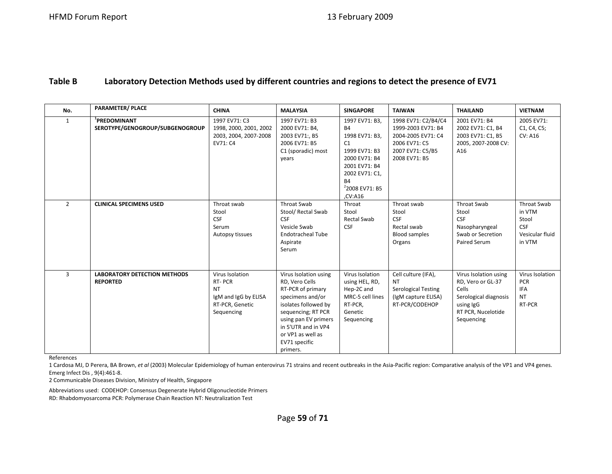#### **Table BLaboratory Detection Methods used by different countries and regions to detect the presence of EV71**

| No.            | <b>PARAMETER/ PLACE</b>                                     | <b>CHINA</b>                                                                                    | <b>MALAYSIA</b>                                                                                                                                                                                                                 | <b>SINGAPORE</b>                                                                                                                                                              | <b>TAIWAN</b>                                                                                                         | <b>THAILAND</b>                                                                                                               | <b>VIETNAM</b>                                                            |
|----------------|-------------------------------------------------------------|-------------------------------------------------------------------------------------------------|---------------------------------------------------------------------------------------------------------------------------------------------------------------------------------------------------------------------------------|-------------------------------------------------------------------------------------------------------------------------------------------------------------------------------|-----------------------------------------------------------------------------------------------------------------------|-------------------------------------------------------------------------------------------------------------------------------|---------------------------------------------------------------------------|
| $\mathbf{1}$   | <sup>1</sup> PREDOMINANT<br>SEROTYPE/GENOGROUP/SUBGENOGROUP | 1997 EV71: C3<br>1998, 2000, 2001, 2002<br>2003, 2004, 2007-2008<br>EV71: C4                    | 1997 EV71: B3<br>2000 EV71: B4,<br>2003 EV71:, B5<br>2006 EV71: B5<br>C1 (sporadic) most<br>years                                                                                                                               | 1997 EV71: B3,<br><b>B4</b><br>1998 EV71: B3,<br>C1<br>1999 EV71: B3<br>2000 EV71: B4<br>2001 EV71: B4<br>2002 EV71: C1,<br><b>B4</b><br><sup>2</sup> 2008 EV71: B5<br>CV:A16 | 1998 EV71: C2/B4/C4<br>1999-2003 EV71: B4<br>2004-2005 EV71: C4<br>2006 EV71: C5<br>2007 EV71: C5/B5<br>2008 EV71: B5 | 2001 EV71: B4<br>2002 EV71: C1, B4<br>2003 EV71: C1, B5<br>2005, 2007-2008 CV:<br>A16                                         | 2005 EV71:<br>C1, C4, C5;<br><b>CV: A16</b>                               |
| $\overline{2}$ | <b>CLINICAL SPECIMENS USED</b>                              | Throat swab<br>Stool<br><b>CSF</b><br>Serum<br>Autopsy tissues                                  | <b>Throat Swab</b><br>Stool/ Rectal Swab<br><b>CSF</b><br>Vesicle Swab<br><b>Endotracheal Tube</b><br>Aspirate<br>Serum                                                                                                         | Throat<br>Stool<br><b>Rectal Swab</b><br><b>CSF</b>                                                                                                                           | Throat swab<br>Stool<br><b>CSF</b><br>Rectal swab<br>Blood samples<br>Organs                                          | <b>Throat Swab</b><br>Stool<br><b>CSF</b><br>Nasopharyngeal<br>Swab or Secretion<br><b>Paired Serum</b>                       | Throat Swab<br>in VTM<br>Stool<br><b>CSF</b><br>Vesicular fluid<br>in VTM |
| $\overline{3}$ | <b>LABORATORY DETECTION METHODS</b><br><b>REPORTED</b>      | Virus Isolation<br>RT-PCR<br><b>NT</b><br>IgM and IgG by ELISA<br>RT-PCR, Genetic<br>Sequencing | Virus Isolation using<br>RD, Vero Cells<br>RT-PCR of primary<br>specimens and/or<br>isolates followed by<br>sequencing; RT PCR<br>using pan EV primers<br>in 5'UTR and in VP4<br>or VP1 as well as<br>EV71 specific<br>primers. | Virus Isolation<br>using HEL, RD,<br>Hep-2C and<br>MRC-5 cell lines<br>RT-PCR,<br>Genetic<br>Sequencing                                                                       | Cell culture (IFA),<br><b>NT</b><br><b>Serological Testing</b><br>(IgM capture ELISA)<br>RT-PCR/CODEHOP               | Virus Isolation using<br>RD, Vero or GL-37<br>Cells<br>Serological diagnosis<br>using IgG<br>RT PCR, Nucelotide<br>Sequencing | Virus Isolation<br><b>PCR</b><br><b>IFA</b><br><b>NT</b><br>RT-PCR        |

References

1 Cardosa MJ, D Perera, BA Brown, *et al* (2003) Molecular Epidemiology of human enterovirus 71 strains and recent outbreaks in the Asia‐Pacific region: Comparative analysis of the VP1 and VP4 genes. Emerg Infect Dis , 9(4):461‐8.

2 Communicable Diseases Division, Ministry of Health, Singapore

Abbreviations used: CODEHOP: Consensus Degenerate Hybrid Oligonucleotide Primers RD: Rhabdomyosarcoma PCR: Polymerase Chain Reaction NT: Neutralization Test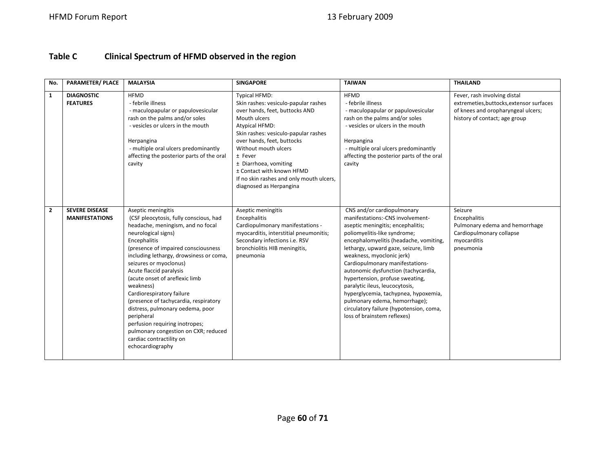#### **Table CClinical Spectrum of HFMD observed in the region**

| No.            | <b>PARAMETER/ PLACE</b>                        | <b>MALAYSIA</b>                                                                                                                                                                                                                                                                                                                                                                                                                                                                                                                                                                  | <b>SINGAPORE</b>                                                                                                                                                                                                                                                                                                                                                              | <b>TAIWAN</b>                                                                                                                                                                                                                                                                                                                                                                                                                                                                                                                                        | <b>THAILAND</b>                                                                                                                                 |
|----------------|------------------------------------------------|----------------------------------------------------------------------------------------------------------------------------------------------------------------------------------------------------------------------------------------------------------------------------------------------------------------------------------------------------------------------------------------------------------------------------------------------------------------------------------------------------------------------------------------------------------------------------------|-------------------------------------------------------------------------------------------------------------------------------------------------------------------------------------------------------------------------------------------------------------------------------------------------------------------------------------------------------------------------------|------------------------------------------------------------------------------------------------------------------------------------------------------------------------------------------------------------------------------------------------------------------------------------------------------------------------------------------------------------------------------------------------------------------------------------------------------------------------------------------------------------------------------------------------------|-------------------------------------------------------------------------------------------------------------------------------------------------|
| $\mathbf{1}$   | <b>DIAGNOSTIC</b><br><b>FEATURES</b>           | <b>HFMD</b><br>- febrile illness<br>- maculopapular or papulovesicular<br>rash on the palms and/or soles<br>- vesicles or ulcers in the mouth<br>Herpangina<br>- multiple oral ulcers predominantly<br>affecting the posterior parts of the oral<br>cavity                                                                                                                                                                                                                                                                                                                       | <b>Typical HFMD:</b><br>Skin rashes: vesiculo-papular rashes<br>over hands, feet, buttocks AND<br>Mouth ulcers<br><b>Atypical HFMD:</b><br>Skin rashes: vesiculo-papular rashes<br>over hands, feet, buttocks<br>Without mouth ulcers<br>± Fever<br>± Diarrhoea, vomiting<br>± Contact with known HFMD<br>If no skin rashes and only mouth ulcers,<br>diagnosed as Herpangina | <b>HFMD</b><br>- febrile illness<br>- maculopapular or papulovesicular<br>rash on the palms and/or soles<br>- vesicles or ulcers in the mouth<br>Herpangina<br>- multiple oral ulcers predominantly<br>affecting the posterior parts of the oral<br>cavity                                                                                                                                                                                                                                                                                           | Fever, rash involving distal<br>extremeties, buttocks, extensor surfaces<br>of knees and oropharyngeal ulcers;<br>history of contact; age group |
| $\overline{2}$ | <b>SEVERE DISEASE</b><br><b>MANIFESTATIONS</b> | Aseptic meningitis<br>(CSF pleocytosis, fully conscious, had<br>headache, meningism, and no focal<br>neurological signs)<br>Encephalitis<br>(presence of impaired consciousness<br>including lethargy, drowsiness or coma,<br>seizures or myoclonus)<br>Acute flaccid paralysis<br>(acute onset of areflexic limb<br>weakness)<br>Cardiorespiratory failure<br>(presence of tachycardia, respiratory<br>distress, pulmonary oedema, poor<br>peripheral<br>perfusion requiring inotropes;<br>pulmonary congestion on CXR; reduced<br>cardiac contractility on<br>echocardiography | Aseptic meningitis<br>Encephalitis<br>Cardiopulmonary manifestations -<br>myocarditis, interstitial pneumonitis;<br>Secondary infections i.e. RSV<br>bronchiolitis HIB meningitis,<br>pneumonia                                                                                                                                                                               | CNS and/or cardiopulmonary<br>manifestations:-CNS involvement-<br>aseptic meningitis; encephalitis;<br>poliomyelitis-like syndrome;<br>encephalomyelitis (headache, vomiting,<br>lethargy, upward gaze, seizure, limb<br>weakness, myoclonic jerk)<br>Cardiopulmonary manifestations-<br>autonomic dysfunction (tachycardia,<br>hypertension, profuse sweating,<br>paralytic ileus, leucocytosis,<br>hyperglycemia, tachypnea, hypoxemia,<br>pulmonary edema, hemorrhage);<br>circulatory failure (hypotension, coma,<br>loss of brainstem reflexes) | Seizure<br>Encephalitis<br>Pulmonary edema and hemorrhage<br>Cardiopulmonary collapse<br>myocarditis<br>pneumonia                               |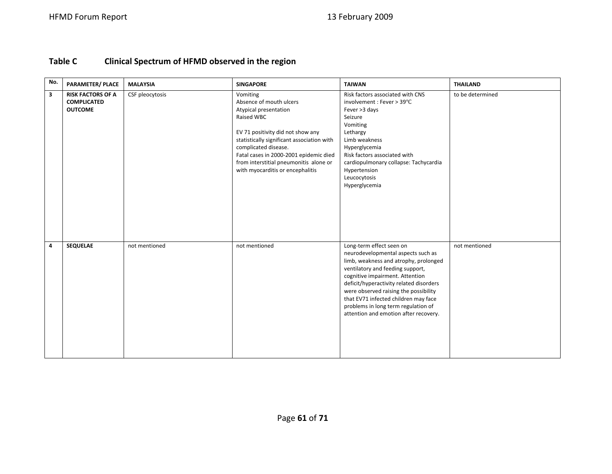#### **Table CClinical Spectrum of HFMD observed in the region**

| No.                     | <b>PARAMETER/ PLACE</b>                                          | <b>MALAYSIA</b> | <b>SINGAPORE</b>                                                                                                                                                                                                                                                                                              | <b>TAIWAN</b>                                                                                                                                                                                                                                                                                                                                                                              | <b>THAILAND</b>  |
|-------------------------|------------------------------------------------------------------|-----------------|---------------------------------------------------------------------------------------------------------------------------------------------------------------------------------------------------------------------------------------------------------------------------------------------------------------|--------------------------------------------------------------------------------------------------------------------------------------------------------------------------------------------------------------------------------------------------------------------------------------------------------------------------------------------------------------------------------------------|------------------|
| $\overline{\mathbf{3}}$ | <b>RISK FACTORS OF A</b><br><b>COMPLICATED</b><br><b>OUTCOME</b> | CSF pleocytosis | Vomiting<br>Absence of mouth ulcers<br>Atypical presentation<br>Raised WBC<br>EV 71 positivity did not show any<br>statistically significant association with<br>complicated disease.<br>Fatal cases in 2000-2001 epidemic died<br>from interstitial pneumonitis alone or<br>with myocarditis or encephalitis | Risk factors associated with CNS<br>involvement : Fever > 39°C<br>Fever >3 days<br>Seizure<br>Vomiting<br>Lethargy<br>Limb weakness<br>Hyperglycemia<br>Risk factors associated with<br>cardiopulmonary collapse: Tachycardia<br>Hypertension<br>Leucocytosis<br>Hyperglycemia                                                                                                             | to be determined |
| 4                       | <b>SEQUELAE</b>                                                  | not mentioned   | not mentioned                                                                                                                                                                                                                                                                                                 | Long-term effect seen on<br>neurodevelopmental aspects such as<br>limb, weakness and atrophy, prolonged<br>ventilatory and feeding support,<br>cognitive impairment. Attention<br>deficit/hyperactivity related disorders<br>were observed raising the possibility<br>that EV71 infected children may face<br>problems in long term regulation of<br>attention and emotion after recovery. | not mentioned    |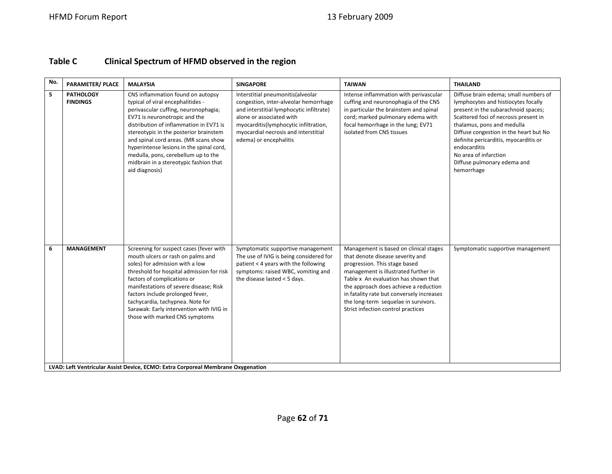#### **Table CClinical Spectrum of HFMD observed in the region**

| No. | <b>PARAMETER/ PLACE</b>             | <b>MALAYSIA</b>                                                                                                                                                                                                                                                                                                                                                                                                                                                                 | <b>SINGAPORE</b>                                                                                                                                                                                                                                              | <b>TAIWAN</b>                                                                                                                                                                                                                                                                                                                                                   | <b>THAILAND</b>                                                                                                                                                                                                                                                                                                                                                     |
|-----|-------------------------------------|---------------------------------------------------------------------------------------------------------------------------------------------------------------------------------------------------------------------------------------------------------------------------------------------------------------------------------------------------------------------------------------------------------------------------------------------------------------------------------|---------------------------------------------------------------------------------------------------------------------------------------------------------------------------------------------------------------------------------------------------------------|-----------------------------------------------------------------------------------------------------------------------------------------------------------------------------------------------------------------------------------------------------------------------------------------------------------------------------------------------------------------|---------------------------------------------------------------------------------------------------------------------------------------------------------------------------------------------------------------------------------------------------------------------------------------------------------------------------------------------------------------------|
| 5   | <b>PATHOLOGY</b><br><b>FINDINGS</b> | CNS inflammation found on autopsy<br>typical of viral encephalitides -<br>perivascular cuffing, neuronophagia;<br>EV71 is neuronotropic and the<br>distribution of inflammation in EV71 is<br>stereotypic in the posterior brainstem<br>and spinal cord areas. (MR scans show<br>hyperintense lesions in the spinal cord,<br>medulla, pons, cerebellum up to the<br>midbrain in a stereotypic fashion that<br>aid diagnosis)                                                    | Interstitial pneumonitis(alveolar<br>congestion, inter-alveolar hemorrhage<br>and interstitial lymphocytic infiltrate)<br>alone or associated with<br>myocarditis(lymphocytic infiltration,<br>myocardial necrosis and interstitial<br>edema) or encephalitis | Intense inflammation with perivascular<br>cuffing and neuronophagia of the CNS<br>in particular the brainstem and spinal<br>cord; marked pulmonary edema with<br>focal hemorrhage in the lung; EV71<br>isolated from CNS tissues                                                                                                                                | Diffuse brain edema; small numbers of<br>lymphocytes and histiocytes focally<br>present in the subarachnoid spaces;<br>Scattered foci of necrosis present in<br>thalamus, pons and medulla<br>Diffuse congestion in the heart but No<br>definite pericarditis, myocarditis or<br>endocarditis<br>No area of infarction<br>Diffuse pulmonary edema and<br>hemorrhage |
| 6   | <b>MANAGEMENT</b>                   | Screening for suspect cases (fever with<br>mouth ulcers or rash on palms and<br>soles) for admission with a low<br>threshold for hospital admission for risk<br>factors of complications or<br>manifestations of severe disease; Risk<br>factors include prolonged fever,<br>tachycardia, tachypnea. Note for<br>Sarawak: Early intervention with IVIG in<br>those with marked CNS symptoms<br>LVAD: Left Ventricular Assist Device, ECMO: Extra Corporeal Membrane Oxygenation | Symptomatic supportive management<br>The use of IVIG is being considered for<br>patient < 4 years with the following<br>symptoms: raised WBC, vomiting and<br>the disease lasted $<$ 5 days.                                                                  | Management is based on clinical stages<br>that denote disease severity and<br>progression. This stage based<br>management is illustrated further in<br>Table x An evaluation has shown that<br>the approach does achieve a reduction<br>in fatality rate but conversely increases<br>the long-term sequelae in survivors.<br>Strict infection control practices | Symptomatic supportive management                                                                                                                                                                                                                                                                                                                                   |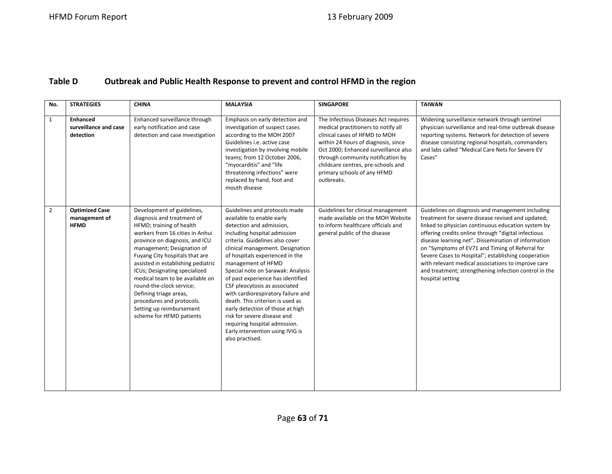#### **Table DOutbreak and Public Health Response to prevent and control HFMD in the region**

| No.            | <b>STRATEGIES</b>                                     | <b>CHINA</b>                                                                                                                                                                                                                                                                                                                                                                                                                                                                   | <b>MALAYSIA</b>                                                                                                                                                                                                                                                                                                                                                                                                                                                                                                                                                                                        | <b>SINGAPORE</b>                                                                                                                                                                                                                                                                                                    | <b>TAIWAN</b>                                                                                                                                                                                                                                                                                                                                                                                                                                                                                                          |
|----------------|-------------------------------------------------------|--------------------------------------------------------------------------------------------------------------------------------------------------------------------------------------------------------------------------------------------------------------------------------------------------------------------------------------------------------------------------------------------------------------------------------------------------------------------------------|--------------------------------------------------------------------------------------------------------------------------------------------------------------------------------------------------------------------------------------------------------------------------------------------------------------------------------------------------------------------------------------------------------------------------------------------------------------------------------------------------------------------------------------------------------------------------------------------------------|---------------------------------------------------------------------------------------------------------------------------------------------------------------------------------------------------------------------------------------------------------------------------------------------------------------------|------------------------------------------------------------------------------------------------------------------------------------------------------------------------------------------------------------------------------------------------------------------------------------------------------------------------------------------------------------------------------------------------------------------------------------------------------------------------------------------------------------------------|
| $\mathbf{1}$   | <b>Enhanced</b><br>surveillance and case<br>detection | Enhanced surveillance through<br>early notification and case<br>detection and case investigation                                                                                                                                                                                                                                                                                                                                                                               | Emphasis on early detection and<br>investigation of suspect cases<br>according to the MOH 2007<br>Guidelines i.e. active case<br>investigation by involving mobile<br>teams; from 12 October 2006,<br>"myocarditis" and "life<br>threatening infections" were<br>replaced by hand, foot and<br>mouth disease                                                                                                                                                                                                                                                                                           | The Infectious Diseases Act requires<br>medical practitioners to notify all<br>clinical cases of HFMD to MOH<br>within 24 hours of diagnosis, since<br>Oct 2000; Enhanced surveillance also<br>through community notification by<br>childcare centres, pre-schools and<br>primary schools of any HFMD<br>outbreaks. | Widening surveillance network through sentinel<br>physician surveillance and real-time outbreak disease<br>reporting systems. Network for detection of severe<br>disease consisting regional hospitals, commanders<br>and labs called "Medical Care Nets for Severe EV<br>Cases"                                                                                                                                                                                                                                       |
| $\overline{2}$ | <b>Optimized Case</b><br>management of<br><b>HFMD</b> | Development of guidelines,<br>diagnosis and treatment of<br>HFMD; training of health<br>workers from 16 cities in Anhui<br>province on diagnosis, and ICU<br>management; Designation of<br>Fuyang City hospitals that are<br>assisted in establishing pediatric<br>ICUs; Designating specialized<br>medical team to be available on<br>round-the-clock service;<br>Defining triage areas,<br>procedures and protocols.<br>Setting up reimbursement<br>scheme for HFMD patients | Guidelines and protocols made<br>available to enable early<br>detection and admission,<br>including hospital admission<br>criteria. Guidelines also cover<br>clinical management. Designation<br>of hospitals experienced in the<br>management of HFMD<br>Special note on Sarawak: Analysis<br>of past experience has identified<br>CSF pleocytosis as associated<br>with cardiorespiratory failure and<br>death. This criterion is used as<br>early detection of those at high<br>risk for severe disease and<br>requiring hospital admission.<br>Early intervention using IVIG is<br>also practised. | Guidelines for clinical management<br>made available on the MOH Website<br>to inform healthcare officials and<br>general public of the disease                                                                                                                                                                      | Guidelines on diagnosis and management including<br>treatment for severe disease revised and updated;<br>linked to physician continuous education system by<br>offering credits online through "digital infectious<br>disease learning net". Dissemination of information<br>on "Symptoms of EV71 and Timing of Referral for<br>Severe Cases to Hospital"; establishing cooperation<br>with relevant medical associations to improve care<br>and treatment; strengthening infection control in the<br>hospital setting |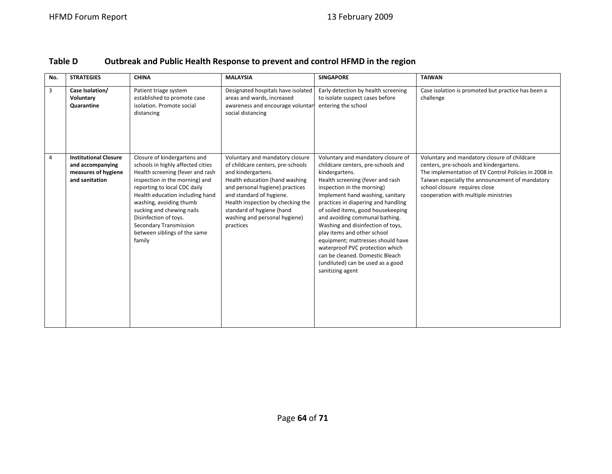| Table D | Outbreak and Public Health Response to prevent and control HFMD in the region |  |
|---------|-------------------------------------------------------------------------------|--|
|---------|-------------------------------------------------------------------------------|--|

| No.            | <b>STRATEGIES</b>                                                                         | <b>CHINA</b>                                                                                                                                                                                                                                                                                                                                                    | <b>MALAYSIA</b>                                                                                                                                                                                                                                                                                             | <b>SINGAPORE</b>                                                                                                                                                                                                                                                                                                                                                                                                                                                                                                                                        | <b>TAIWAN</b>                                                                                                                                                                                                                                                               |
|----------------|-------------------------------------------------------------------------------------------|-----------------------------------------------------------------------------------------------------------------------------------------------------------------------------------------------------------------------------------------------------------------------------------------------------------------------------------------------------------------|-------------------------------------------------------------------------------------------------------------------------------------------------------------------------------------------------------------------------------------------------------------------------------------------------------------|---------------------------------------------------------------------------------------------------------------------------------------------------------------------------------------------------------------------------------------------------------------------------------------------------------------------------------------------------------------------------------------------------------------------------------------------------------------------------------------------------------------------------------------------------------|-----------------------------------------------------------------------------------------------------------------------------------------------------------------------------------------------------------------------------------------------------------------------------|
| 3              | Case Isolation/<br>Voluntary<br>Quarantine                                                | Patient triage system<br>established to promote case<br>isolation. Promote social<br>distancing                                                                                                                                                                                                                                                                 | Designated hospitals have isolated<br>areas and wards, increased<br>awareness and encourage voluntar<br>social distancing                                                                                                                                                                                   | Early detection by health screening<br>to isolate suspect cases before<br>entering the school                                                                                                                                                                                                                                                                                                                                                                                                                                                           | Case isolation is promoted but practice has been a<br>challenge                                                                                                                                                                                                             |
| $\overline{4}$ | <b>Institutional Closure</b><br>and accompanying<br>measures of hygiene<br>and sanitation | Closure of kindergartens and<br>schools in highly affected cities<br>Health screening (fever and rash<br>inspection in the morning) and<br>reporting to local CDC daily<br>Health education including hand<br>washing, avoiding thumb<br>sucking and chewing nails<br>Disinfection of toys.<br>Secondary Transmission<br>between siblings of the same<br>family | Voluntary and mandatory closure<br>of childcare centers, pre-schools<br>and kindergartens.<br>Health education (hand washing<br>and personal hygiene) practices<br>and standard of hygiene.<br>Health inspection by checking the<br>standard of hygiene (hand<br>washing and personal hygiene)<br>practices | Voluntary and mandatory closure of<br>childcare centers, pre-schools and<br>kindergartens.<br>Health screening (fever and rash<br>inspection in the morning)<br>Implement hand washing, sanitary<br>practices in diapering and handling<br>of soiled items, good housekeeping<br>and avoiding communal bathing.<br>Washing and disinfection of toys,<br>play items and other school<br>equipment; mattresses should have<br>waterproof PVC protection which<br>can be cleaned. Domestic Bleach<br>(undiluted) can be used as a good<br>sanitizing agent | Voluntary and mandatory closure of childcare<br>centers, pre-schools and kindergartens.<br>The implementation of EV Control Policies in 2008 in<br>Taiwan especially the announcement of mandatory<br>school closure requires close<br>cooperation with multiple ministries |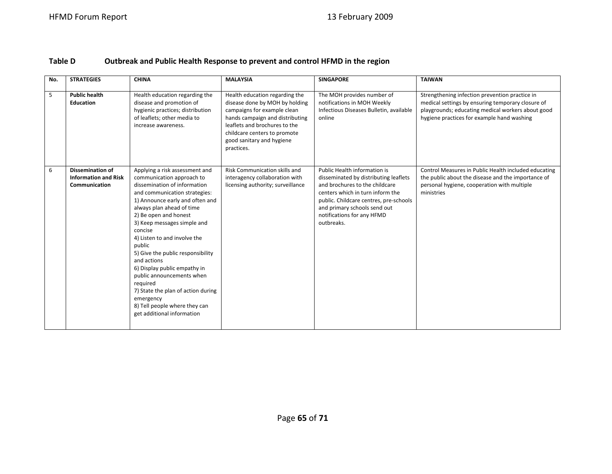#### **Table DOutbreak and Public Health Response to prevent and control HFMD in the region**

| No. | <b>STRATEGIES</b>                                                       | <b>CHINA</b>                                                                                                                                                                                                                                                                                                                                                                                                                                                                                                                                             | <b>MALAYSIA</b>                                                                                                                                                                                                                                | <b>SINGAPORE</b>                                                                                                                                                                                                                                                  | <b>TAIWAN</b>                                                                                                                                                                                          |
|-----|-------------------------------------------------------------------------|----------------------------------------------------------------------------------------------------------------------------------------------------------------------------------------------------------------------------------------------------------------------------------------------------------------------------------------------------------------------------------------------------------------------------------------------------------------------------------------------------------------------------------------------------------|------------------------------------------------------------------------------------------------------------------------------------------------------------------------------------------------------------------------------------------------|-------------------------------------------------------------------------------------------------------------------------------------------------------------------------------------------------------------------------------------------------------------------|--------------------------------------------------------------------------------------------------------------------------------------------------------------------------------------------------------|
| 5   | <b>Public health</b><br><b>Education</b>                                | Health education regarding the<br>disease and promotion of<br>hygienic practices; distribution<br>of leaflets; other media to<br>increase awareness.                                                                                                                                                                                                                                                                                                                                                                                                     | Health education regarding the<br>disease done by MOH by holding<br>campaigns for example clean<br>hands campaign and distributing<br>leaflets and brochures to the<br>childcare centers to promote<br>good sanitary and hygiene<br>practices. | The MOH provides number of<br>notifications in MOH Weekly<br>Infectious Diseases Bulletin, available<br>online                                                                                                                                                    | Strengthening infection prevention practice in<br>medical settings by ensuring temporary closure of<br>playgrounds; educating medical workers about good<br>hygiene practices for example hand washing |
| 6   | <b>Dissemination of</b><br><b>Information and Risk</b><br>Communication | Applying a risk assessment and<br>communication approach to<br>dissemination of information<br>and communication strategies:<br>1) Announce early and often and<br>always plan ahead of time<br>2) Be open and honest<br>3) Keep messages simple and<br>concise<br>4) Listen to and involve the<br>public<br>5) Give the public responsibility<br>and actions<br>6) Display public empathy in<br>public announcements when<br>required<br>7) State the plan of action during<br>emergency<br>8) Tell people where they can<br>get additional information | Risk Communication skills and<br>interagency collaboration with<br>licensing authority; surveillance                                                                                                                                           | Public Health information is<br>disseminated by distributing leaflets<br>and brochures to the childcare<br>centers which in turn inform the<br>public. Childcare centres, pre-schools<br>and primary schools send out<br>notifications for any HFMD<br>outbreaks. | Control Measures in Public Health included educating<br>the public about the disease and the importance of<br>personal hygiene, cooperation with multiple<br>ministries                                |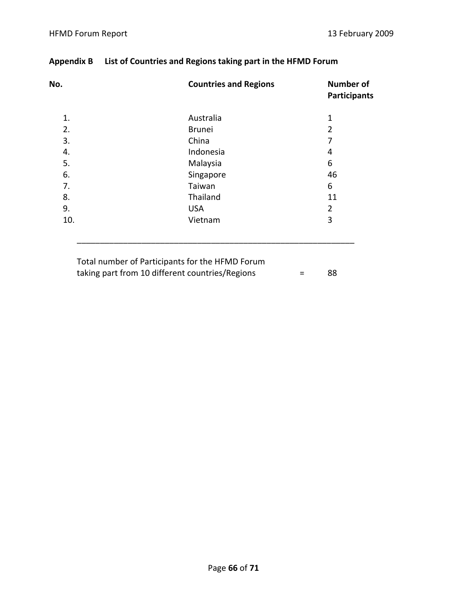| No. | <b>Countries and Regions</b> | <b>Number of</b><br><b>Participants</b> |
|-----|------------------------------|-----------------------------------------|
| 1.  | Australia                    | $\mathbf 1$                             |
| 2.  | <b>Brunei</b>                | $\overline{2}$                          |
| 3.  | China                        | 7                                       |
| 4.  | Indonesia                    | 4                                       |
| 5.  | Malaysia                     | 6                                       |
| 6.  | Singapore                    | 46                                      |
| 7.  | Taiwan                       | 6                                       |
| 8.  | Thailand                     | 11                                      |
| 9.  | <b>USA</b>                   | $\overline{2}$                          |
| 10. | Vietnam                      | 3                                       |

# **Appendix B List of Countries and Regions taking part in the HFMD Forum**

| Total number of Participants for the HFMD Forum |                   |     |
|-------------------------------------------------|-------------------|-----|
| taking part from 10 different countries/Regions | $\equiv$ $\equiv$ | -88 |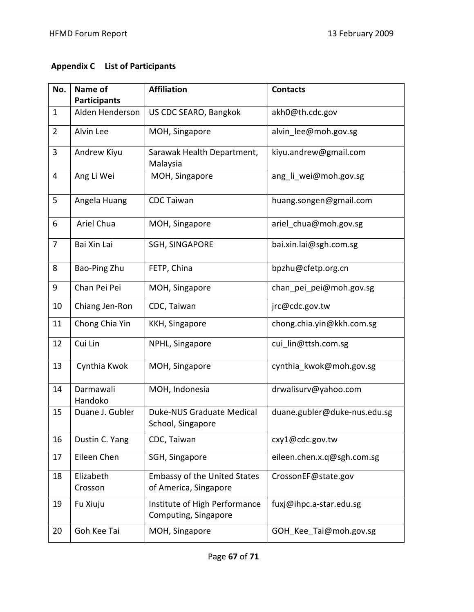## **Appendix C List of Participants**

| No.            | Name of                                | <b>Affiliation</b>                                           | <b>Contacts</b>              |
|----------------|----------------------------------------|--------------------------------------------------------------|------------------------------|
| $\mathbf{1}$   | <b>Participants</b><br>Alden Henderson | US CDC SEARO, Bangkok                                        | akh0@th.cdc.gov              |
| $\overline{2}$ | Alvin Lee                              | MOH, Singapore                                               | alvin lee@moh.gov.sg         |
| 3              | Andrew Kiyu                            | Sarawak Health Department,<br>Malaysia                       | kiyu.andrew@gmail.com        |
| 4              | Ang Li Wei                             | MOH, Singapore                                               | ang_li_wei@moh.gov.sg        |
| 5              | Angela Huang                           | <b>CDC Taiwan</b>                                            | huang.songen@gmail.com       |
| 6              | Ariel Chua                             | MOH, Singapore                                               | ariel_chua@moh.gov.sg        |
| $\overline{7}$ | Bai Xin Lai                            | <b>SGH, SINGAPORE</b>                                        | bai.xin.lai@sgh.com.sg       |
| 8              | Bao-Ping Zhu                           | FETP, China                                                  | bpzhu@cfetp.org.cn           |
| 9              | Chan Pei Pei                           | MOH, Singapore                                               | chan_pei_pei@moh.gov.sg      |
| 10             | Chiang Jen-Ron                         | CDC, Taiwan                                                  | jrc@cdc.gov.tw               |
| 11             | Chong Chia Yin                         | KKH, Singapore                                               | chong.chia.yin@kkh.com.sg    |
| 12             | Cui Lin                                | NPHL, Singapore                                              | cui lin@ttsh.com.sg          |
| 13             | Cynthia Kwok                           | MOH, Singapore                                               | cynthia_kwok@moh.gov.sg      |
| 14             | Darmawali<br>Handoko                   | MOH, Indonesia                                               | drwalisurv@yahoo.com         |
| 15             | Duane J. Gubler                        | Duke-NUS Graduate Medical<br>School, Singapore               | duane.gubler@duke-nus.edu.sg |
| 16             | Dustin C. Yang                         | CDC, Taiwan                                                  | cxy1@cdc.gov.tw              |
| 17             | Eileen Chen                            | SGH, Singapore                                               | eileen.chen.x.q@sgh.com.sg   |
| 18             | Elizabeth<br>Crosson                   | <b>Embassy of the United States</b><br>of America, Singapore | CrossonEF@state.gov          |
| 19             | Fu Xiuju                               | Institute of High Performance<br>Computing, Singapore        | fuxj@ihpc.a-star.edu.sg      |
| 20             | Goh Kee Tai                            | MOH, Singapore                                               | GOH Kee Tai@moh.gov.sg       |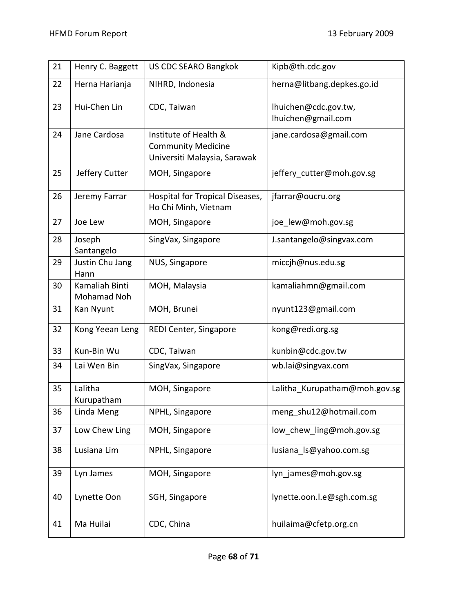| 21 | Henry C. Baggett              | <b>US CDC SEARO Bangkok</b>                                                        | Kipb@th.cdc.gov                            |
|----|-------------------------------|------------------------------------------------------------------------------------|--------------------------------------------|
| 22 | Herna Harianja                | NIHRD, Indonesia                                                                   | herna@litbang.depkes.go.id                 |
| 23 | Hui-Chen Lin                  | CDC, Taiwan                                                                        | lhuichen@cdc.gov.tw,<br>lhuichen@gmail.com |
| 24 | Jane Cardosa                  | Institute of Health &<br><b>Community Medicine</b><br>Universiti Malaysia, Sarawak | jane.cardosa@gmail.com                     |
| 25 | Jeffery Cutter                | MOH, Singapore                                                                     | jeffery_cutter@moh.gov.sg                  |
| 26 | Jeremy Farrar                 | Hospital for Tropical Diseases,<br>Ho Chi Minh, Vietnam                            | jfarrar@oucru.org                          |
| 27 | Joe Lew                       | MOH, Singapore                                                                     | joe lew@moh.gov.sg                         |
| 28 | Joseph<br>Santangelo          | SingVax, Singapore                                                                 | J.santangelo@singvax.com                   |
| 29 | Justin Chu Jang<br>Hann       | NUS, Singapore                                                                     | miccjh@nus.edu.sg                          |
| 30 | Kamaliah Binti<br>Mohamad Noh | MOH, Malaysia                                                                      | kamaliahmn@gmail.com                       |
| 31 | Kan Nyunt                     | MOH, Brunei                                                                        | nyunt123@gmail.com                         |
| 32 | Kong Yeean Leng               | REDI Center, Singapore                                                             | kong@redi.org.sg                           |
| 33 | Kun-Bin Wu                    | CDC, Taiwan                                                                        | kunbin@cdc.gov.tw                          |
| 34 | Lai Wen Bin                   | SingVax, Singapore                                                                 | wb.lai@singvax.com                         |
| 35 | Lalitha<br>Kurupatham         | MOH, Singapore                                                                     | Lalitha_Kurupatham@moh.gov.sg              |
| 36 | Linda Meng                    | NPHL, Singapore                                                                    | meng_shu12@hotmail.com                     |
| 37 | Low Chew Ling                 | MOH, Singapore                                                                     | low chew ling@moh.gov.sg                   |
| 38 | Lusiana Lim                   | NPHL, Singapore                                                                    | lusiana ls@yahoo.com.sg                    |
| 39 | Lyn James                     | MOH, Singapore                                                                     | lyn james@moh.gov.sg                       |
| 40 | Lynette Oon                   | SGH, Singapore                                                                     | lynette.oon.l.e@sgh.com.sg                 |
| 41 | Ma Huilai                     | CDC, China                                                                         | huilaima@cfetp.org.cn                      |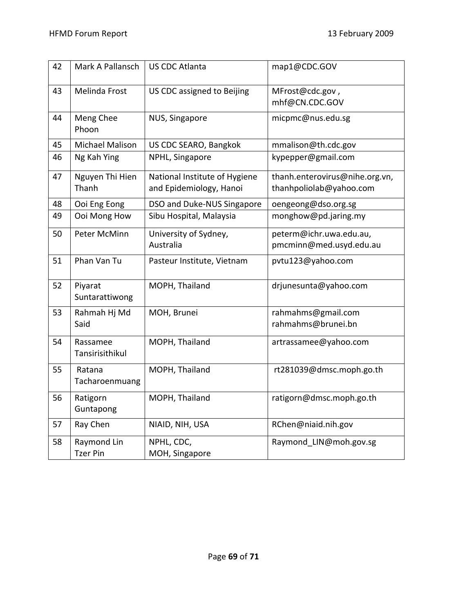| 42 | Mark A Pallansch               | <b>US CDC Atlanta</b>                                    | map1@CDC.GOV                                              |
|----|--------------------------------|----------------------------------------------------------|-----------------------------------------------------------|
| 43 | Melinda Frost                  | US CDC assigned to Beijing                               | MFrost@cdc.gov,<br>mhf@CN.CDC.GOV                         |
| 44 | Meng Chee<br>Phoon             | NUS, Singapore                                           | micpmc@nus.edu.sg                                         |
| 45 | <b>Michael Malison</b>         | US CDC SEARO, Bangkok                                    | mmalison@th.cdc.gov                                       |
| 46 | Ng Kah Ying                    | NPHL, Singapore                                          | kypepper@gmail.com                                        |
| 47 | Nguyen Thi Hien<br>Thanh       | National Institute of Hygiene<br>and Epidemiology, Hanoi | thanh.enterovirus@nihe.org.vn,<br>thanhpoliolab@yahoo.com |
| 48 | Ooi Eng Eong                   | DSO and Duke-NUS Singapore                               | oengeong@dso.org.sg                                       |
| 49 | Ooi Mong How                   | Sibu Hospital, Malaysia                                  | monghow@pd.jaring.my                                      |
| 50 | Peter McMinn                   | University of Sydney,<br>Australia                       | peterm@ichr.uwa.edu.au,<br>pmcminn@med.usyd.edu.au        |
|    |                                |                                                          |                                                           |
| 51 | Phan Van Tu                    | Pasteur Institute, Vietnam                               | pvtu123@yahoo.com                                         |
| 52 | Piyarat<br>Suntarattiwong      | MOPH, Thailand                                           | drjunesunta@yahoo.com                                     |
| 53 | Rahmah Hj Md<br>Said           | MOH, Brunei                                              | rahmahms@gmail.com<br>rahmahms@brunei.bn                  |
|    |                                |                                                          |                                                           |
| 54 | Rassamee<br>Tansirisithikul    | MOPH, Thailand                                           | artrassamee@yahoo.com                                     |
| 55 | Ratana<br>Tacharoenmuang       | MOPH, Thailand                                           | rt281039@dmsc.moph.go.th                                  |
| 56 | Ratigorn<br>Guntapong          | MOPH, Thailand                                           | ratigorn@dmsc.moph.go.th                                  |
| 57 | Ray Chen                       | NIAID, NIH, USA                                          | RChen@niaid.nih.gov                                       |
| 58 | Raymond Lin<br><b>Tzer Pin</b> | NPHL, CDC,<br>MOH, Singapore                             | Raymond LIN@moh.gov.sg                                    |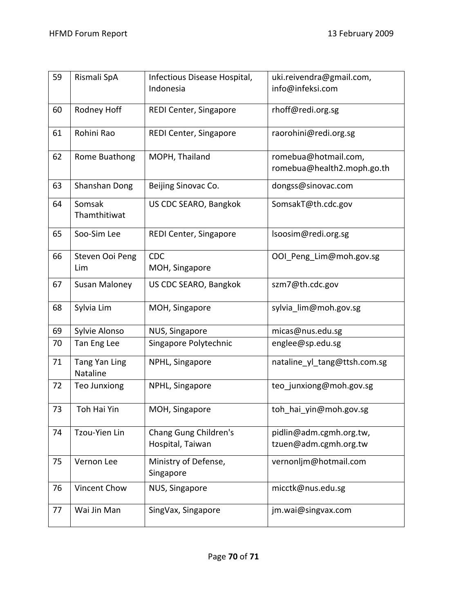| 59 | Rismali SpA               | Infectious Disease Hospital,              | uki.reivendra@gmail.com,                           |
|----|---------------------------|-------------------------------------------|----------------------------------------------------|
|    |                           | Indonesia                                 | info@infeksi.com                                   |
| 60 | Rodney Hoff               | REDI Center, Singapore                    | rhoff@redi.org.sg                                  |
| 61 | Rohini Rao                | REDI Center, Singapore                    | raorohini@redi.org.sg                              |
| 62 | Rome Buathong             | MOPH, Thailand                            | romebua@hotmail.com,<br>romebua@health2.moph.go.th |
| 63 | Shanshan Dong             | Beijing Sinovac Co.                       | dongss@sinovac.com                                 |
| 64 | Somsak<br>Thamthitiwat    | US CDC SEARO, Bangkok                     | SomsakT@th.cdc.gov                                 |
| 65 | Soo-Sim Lee               | REDI Center, Singapore                    | lsoosim@redi.org.sg                                |
| 66 | Steven Ooi Peng<br>Lim    | <b>CDC</b><br>MOH, Singapore              | OOI_Peng_Lim@moh.gov.sg                            |
| 67 | Susan Maloney             | US CDC SEARO, Bangkok                     | szm7@th.cdc.gov                                    |
| 68 | Sylvia Lim                | MOH, Singapore                            | sylvia_lim@moh.gov.sg                              |
| 69 | Sylvie Alonso             | NUS, Singapore                            | micas@nus.edu.sg                                   |
| 70 | Tan Eng Lee               | Singapore Polytechnic                     | englee@sp.edu.sg                                   |
| 71 | Tang Yan Ling<br>Nataline | NPHL, Singapore                           | nataline_yl_tang@ttsh.com.sg                       |
| 72 | Teo Junxiong              | NPHL, Singapore                           | teo_junxiong@moh.gov.sg                            |
| 73 | Toh Hai Yin               | MOH, Singapore                            | toh_hai_yin@moh.gov.sg                             |
| 74 | Tzou-Yien Lin             | Chang Gung Children's<br>Hospital, Taiwan | pidlin@adm.cgmh.org.tw,<br>tzuen@adm.cgmh.org.tw   |
| 75 | Vernon Lee                | Ministry of Defense,<br>Singapore         | vernonljm@hotmail.com                              |
| 76 | Vincent Chow              | NUS, Singapore                            | micctk@nus.edu.sg                                  |
| 77 | Wai Jin Man               | SingVax, Singapore                        | jm.wai@singvax.com                                 |